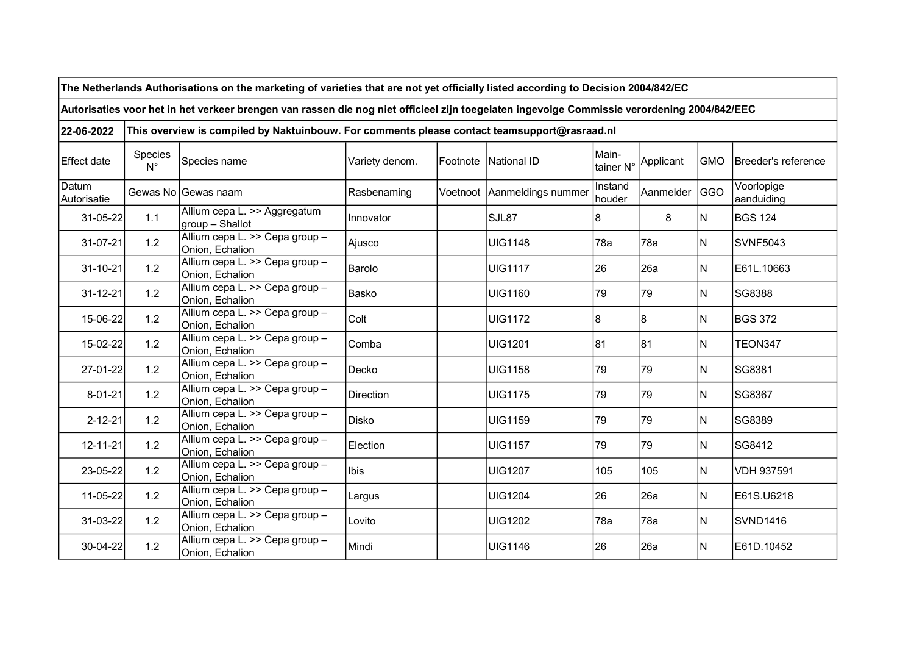## The Netherlands Authorisations on the marketing of varieties that are not yet officially listed according to Decision 2004/842/EC

## Autorisaties voor het in het verkeer brengen van rassen die nog niet officieel zijn toegelaten ingevolge Commissie verordening 2004/842/EEC

22-06-2022 This overview is compiled by Naktuinbouw. For comments please contact teamsupport@rasraad.nl

| Effect date          | Species<br>$N^{\circ}$ | Species name                                      | Variety denom.   | Footnote National ID        | Main-             | Itainer N° Applicant | <b>GMO</b> | Breeder's reference      |
|----------------------|------------------------|---------------------------------------------------|------------------|-----------------------------|-------------------|----------------------|------------|--------------------------|
| Datum<br>Autorisatie |                        | Gewas No Gewas naam                               | Rasbenaming      | Voetnoot Aanmeldings nummer | Instand<br>houder | Aanmelder            | <b>GGO</b> | Voorlopige<br>aanduiding |
| 31-05-22             | 1.1                    | Allium cepa L. >> Aggregatum<br>group - Shallot   | Innovator        | SJL87                       | 8                 | 8                    | N          | <b>BGS 124</b>           |
| 31-07-21             | 1.2                    | Allium cepa L. >> Cepa group -<br>Onion, Echalion | Ajusco           | <b>UIG1148</b>              | 78a               | 78a                  | N          | SVNF5043                 |
| 31-10-21             | 1.2                    | Allium cepa L. >> Cepa group -<br>Onion, Echalion | Barolo           | <b>UIG1117</b>              | 26                | 26a                  | N          | E61L.10663               |
| $31 - 12 - 21$       | 1.2                    | Allium cepa L. >> Cepa group -<br>Onion, Echalion | Basko            | <b>UIG1160</b>              | 79                | 79                   | N          | SG8388                   |
| 15-06-22             | 1.2                    | Allium cepa L. >> Cepa group -<br>Onion, Echalion | Colt             | <b>UIG1172</b>              | 8                 | 8                    | N          | <b>BGS 372</b>           |
| 15-02-22             | 1.2                    | Allium cepa L. >> Cepa group -<br>Onion, Echalion | <b>Comba</b>     | <b>UIG1201</b>              | 811               | 81                   | N          | TEON347                  |
| 27-01-22             | 1.2                    | Allium cepa L. >> Cepa group -<br>Onion, Echalion | Decko            | <b>UIG1158</b>              | 79                | 79                   | N          | SG8381                   |
| $8 - 01 - 21$        | 1.2                    | Allium cepa L. >> Cepa group -<br>Onion, Echalion | <b>Direction</b> | <b>UIG1175</b>              | 79                | 79                   | Ν          | SG8367                   |
| $2 - 12 - 21$        | 1.2                    | Allium cepa L. >> Cepa group -<br>Onion, Echalion | Disko            | <b>UIG1159</b>              | 79                | 79                   | N          | SG8389                   |
| 12-11-21             | 1.2                    | Allium cepa L. >> Cepa group -<br>Onion, Echalion | Election         | <b>UIG1157</b>              | 79                | 79                   | N          | SG8412                   |
| 23-05-22             | 1.2                    | Allium cepa L. >> Cepa group -<br>Onion, Echalion | <b>Ibis</b>      | <b>UIG1207</b>              | 105               | 105                  | N          | VDH 937591               |
| 11-05-22             | 1.2                    | Allium cepa L. >> Cepa group -<br>Onion, Echalion | Largus           | <b>UIG1204</b>              | 26                | 26a                  | N          | E61S.U6218               |
| 31-03-22             | 1.2                    | Allium cepa L. >> Cepa group -<br>Onion, Echalion | Lovito           | <b>UIG1202</b>              | 78a               | 78a                  | N          | <b>SVND1416</b>          |
| 30-04-22             | 1.2                    | Allium cepa L. >> Cepa group -<br>Onion, Echalion | Mindi            | <b>UIG1146</b>              | 26                | 26a                  | N          | E61D.10452               |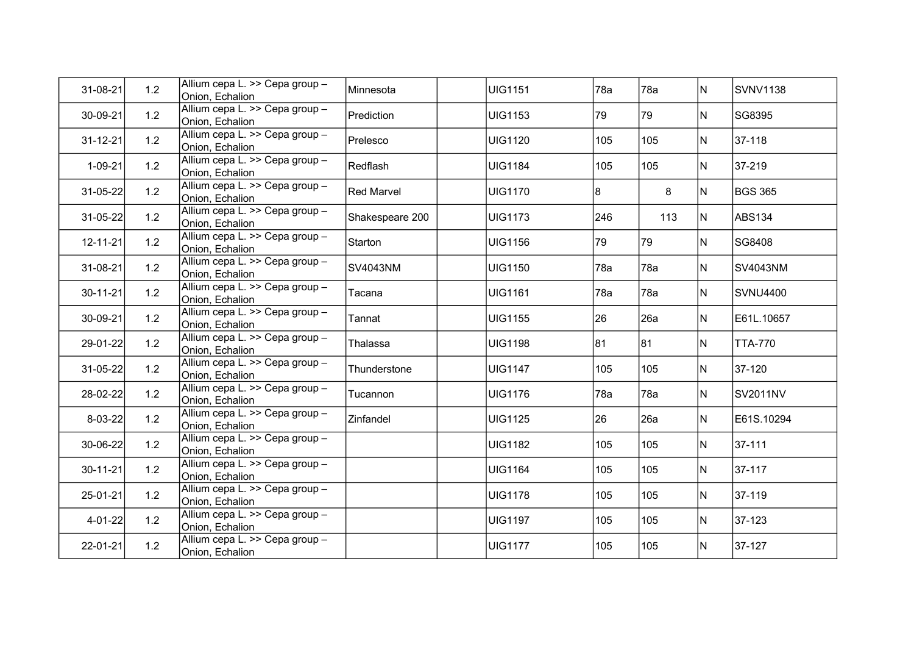| 31-08-21       | 1.2 | Allium cepa L. >> Cepa group -<br>Onion, Echalion | Minnesota         | <b>UIG1151</b> | 78a | 78a | N   | SVNV1138        |
|----------------|-----|---------------------------------------------------|-------------------|----------------|-----|-----|-----|-----------------|
| 30-09-21       | 1.2 | Allium cepa L. >> Cepa group -<br>Onion, Echalion | Prediction        | <b>UIG1153</b> | 79  | 79  | IN. | SG8395          |
| $31 - 12 - 21$ | 1.2 | Allium cepa L. >> Cepa group -<br>Onion, Echalion | Prelesco          | <b>UIG1120</b> | 105 | 105 | IN. | 37-118          |
| $1 - 09 - 21$  | 1.2 | Allium cepa L. >> Cepa group -<br>Onion, Echalion | Redflash          | <b>UIG1184</b> | 105 | 105 | IN. | 37-219          |
| 31-05-22       | 1.2 | Allium cepa L. >> Cepa group -<br>Onion, Echalion | <b>Red Marvel</b> | <b>UIG1170</b> | 8   | 8   | N   | <b>BGS 365</b>  |
| 31-05-22       | 1.2 | Allium cepa L. >> Cepa group -<br>Onion, Echalion | Shakespeare 200   | <b>UIG1173</b> | 246 | 113 | N   | ABS134          |
| 12-11-21       | 1.2 | Allium cepa L. >> Cepa group -<br>Onion, Echalion | Starton           | <b>UIG1156</b> | 79  | 79  | N   | SG8408          |
| 31-08-21       | 1.2 | Allium cepa L. >> Cepa group -<br>Onion, Echalion | <b>SV4043NM</b>   | <b>UIG1150</b> | 78a | 78a | N   | <b>SV4043NM</b> |
| 30-11-21       | 1.2 | Allium cepa L. >> Cepa group -<br>Onion, Echalion | Tacana            | <b>UIG1161</b> | 78a | 78a | N   | <b>SVNU4400</b> |
| 30-09-21       | 1.2 | Allium cepa L. >> Cepa group -<br>Onion, Echalion | Tannat            | <b>UIG1155</b> | 26  | 26a | N   | E61L.10657      |
| 29-01-22       | 1.2 | Allium cepa L. >> Cepa group -<br>Onion, Echalion | Thalassa          | <b>UIG1198</b> | 811 | 81  | N   | <b>TTA-770</b>  |
| 31-05-22       | 1.2 | Allium cepa L. >> Cepa group -<br>Onion, Echalion | Thunderstone      | <b>UIG1147</b> | 105 | 105 | N   | 37-120          |
| 28-02-22       | 1.2 | Allium cepa L. >> Cepa group -<br>Onion, Echalion | Tucannon          | <b>UIG1176</b> | 78a | 78a | N   | <b>SV2011NV</b> |
| 8-03-22        | 1.2 | Allium cepa L. >> Cepa group -<br>Onion, Echalion | Zinfandel         | <b>UIG1125</b> | 26  | 26a | N   | E61S.10294      |
| 30-06-22       | 1.2 | Allium cepa L. >> Cepa group -<br>Onion, Echalion |                   | <b>UIG1182</b> | 105 | 105 | N   | 37-111          |
| 30-11-21       | 1.2 | Allium cepa L. >> Cepa group -<br>Onion, Echalion |                   | <b>UIG1164</b> | 105 | 105 | N   | 37-117          |
| 25-01-21       | 1.2 | Allium cepa L. >> Cepa group -<br>Onion, Echalion |                   | <b>UIG1178</b> | 105 | 105 | IN. | 37-119          |
| 4-01-22        | 1.2 | Allium cepa L. >> Cepa group -<br>Onion, Echalion |                   | <b>UIG1197</b> | 105 | 105 | N   | 37-123          |
| 22-01-21       | 1.2 | Allium cepa L. >> Cepa group -<br>Onion, Echalion |                   | <b>UIG1177</b> | 105 | 105 | N   | 37-127          |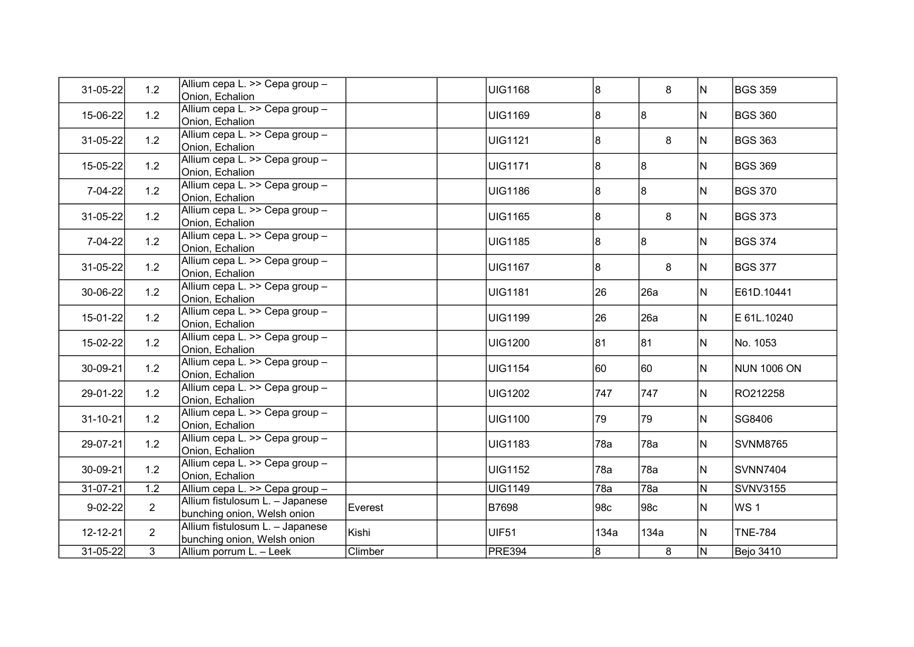| 31-05-22      | 1.2            | Allium cepa L. >> Cepa group -<br>Onion, Echalion              |         | <b>UIG1168</b> | 8              | 8    | N                       | <b>BGS 359</b>     |
|---------------|----------------|----------------------------------------------------------------|---------|----------------|----------------|------|-------------------------|--------------------|
| 15-06-22      | 1.2            | Allium cepa L. >> Cepa group -<br>Onion, Echalion              |         | <b>UIG1169</b> | 8              | 8    | N                       | <b>BGS 360</b>     |
| 31-05-22      | 1.2            | Allium cepa L. >> Cepa group -<br>Onion, Echalion              |         | <b>UIG1121</b> | 8              | 8    | IN.                     | <b>BGS 363</b>     |
| 15-05-22      | 1.2            | Allium cepa L. >> Cepa group -<br>Onion, Echalion              |         | <b>UIG1171</b> | 8              | 8    | IN.                     | <b>BGS 369</b>     |
| 7-04-22       | 1.2            | Allium cepa L. >> Cepa group -<br>Onion, Echalion              |         | <b>UIG1186</b> | 8              | 8    | IN.                     | <b>BGS 370</b>     |
| 31-05-22      | 1.2            | Allium cepa L. >> Cepa group -<br>Onion, Echalion              |         | <b>UIG1165</b> | 8              | 8    | N                       | <b>BGS 373</b>     |
| 7-04-22       | 1.2            | Allium cepa L. >> Cepa group -<br>Onion, Echalion              |         | <b>UIG1185</b> | 8              | 8    | N                       | <b>BGS 374</b>     |
| 31-05-22      | 1.2            | Allium cepa L. >> Cepa group -<br>Onion, Echalion              |         | <b>UIG1167</b> | 8              | 8    | N                       | <b>BGS 377</b>     |
| 30-06-22      | 1.2            | Allium cepa L. >> Cepa group -<br>Onion, Echalion              |         | <b>UIG1181</b> | 26             | 26a  | N                       | E61D.10441         |
| 15-01-22      | 1.2            | Allium cepa L. >> Cepa group -<br>Onion, Echalion              |         | <b>UIG1199</b> | 26             | 26a  | N                       | E 61L.10240        |
| 15-02-22      | 1.2            | Allium cepa L. >> Cepa group -<br>Onion, Echalion              |         | <b>UIG1200</b> | 81             | 81   | N                       | No. 1053           |
| 30-09-21      | 1.2            | Allium cepa L. >> Cepa group -<br>Onion, Echalion              |         | <b>UIG1154</b> | 60             | 60   | N                       | <b>NUN 1006 ON</b> |
| 29-01-22      | 1.2            | Allium cepa L. >> Cepa group -<br>Onion, Echalion              |         | <b>UIG1202</b> | 747            | 747  | N                       | RO212258           |
| 31-10-21      | 1.2            | Allium cepa L. >> Cepa group -<br>Onion, Echalion              |         | <b>UIG1100</b> | 79             | 79   | N                       | SG8406             |
| 29-07-21      | 1.2            | Allium cepa L. >> Cepa group -<br>Onion, Echalion              |         | <b>UIG1183</b> | 78a            | 78a  | IN.                     | <b>SVNM8765</b>    |
| 30-09-21      | 1.2            | Allium cepa L. >> Cepa group -<br>Onion, Echalion              |         | <b>UIG1152</b> | 78a            | 78a  | IN.                     | SVNN7404           |
| 31-07-21      | 1.2            | Allium cepa L. >> Cepa group -                                 |         | <b>UIG1149</b> | 78a            | 78a  | N                       | SVNV3155           |
| $9 - 02 - 22$ | $\overline{2}$ | Allium fistulosum L. - Japanese<br>bunching onion, Welsh onion | Everest | <b>B7698</b>   | 98c            | 98c  | N                       | WS 1               |
| 12-12-21      | $\overline{2}$ | Allium fistulosum L. - Japanese<br>bunching onion, Welsh onion | Kishi   | <b>UIF51</b>   | 134a           | 134a | N                       | <b>TNE-784</b>     |
| 31-05-22      | $\mathbf{3}$   | Allium porrum L. - Leek                                        | Climber | <b>PRE394</b>  | $\overline{8}$ | 8    | $\overline{\mathsf{N}}$ | Bejo 3410          |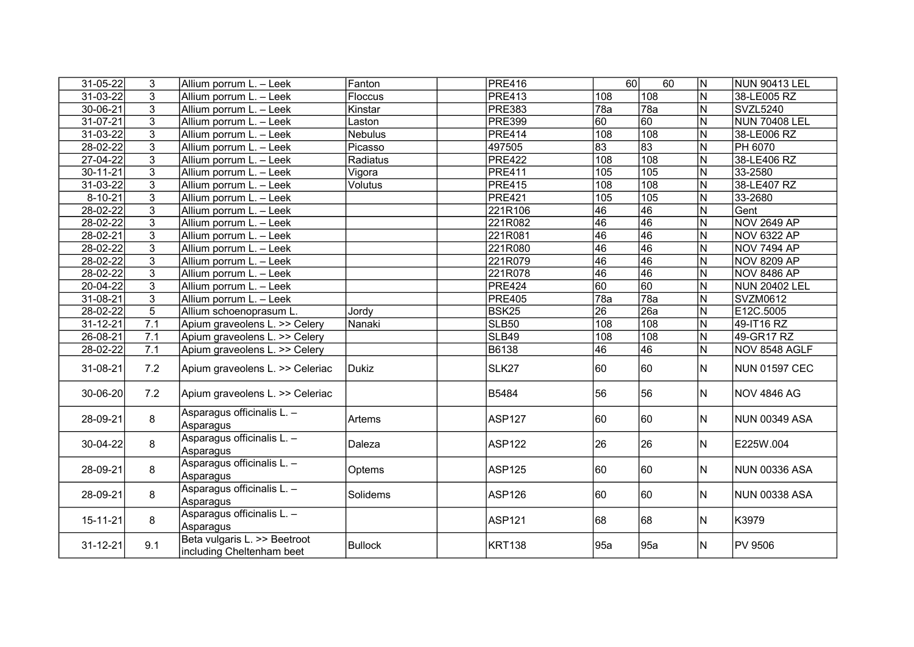| 31-05-22       | 3              | Allium porrum L. - Leek                                   | Fanton         | <b>PRE416</b>     | 60               | 60               | $\overline{\mathsf{N}}$ | <b>NUN 90413 LEL</b> |
|----------------|----------------|-----------------------------------------------------------|----------------|-------------------|------------------|------------------|-------------------------|----------------------|
| 31-03-22       | $\overline{3}$ | Allium porrum L. - Leek                                   | Floccus        | <b>PRE413</b>     | 108              | 108              | $\overline{\mathsf{N}}$ | 38-LE005 RZ          |
| 30-06-21       | $\overline{3}$ | Allium porrum L. - Leek                                   | Kinstar        | <b>PRE383</b>     | $\overline{78a}$ | $\overline{78a}$ | $\overline{N}$          | <b>SVZL5240</b>      |
| 31-07-21       | $\overline{3}$ | Allium porrum L. – Leek                                   | Laston         | <b>PRE399</b>     | 60               | 60               | $\overline{\mathsf{N}}$ | <b>NUN 70408 LEL</b> |
| 31-03-22       | $\overline{3}$ | Allium porrum L. - Leek                                   | Nebulus        | <b>PRE414</b>     | 108              | $\overline{108}$ | $\overline{\mathsf{N}}$ | 38-LE006 RZ          |
| 28-02-22       | $\overline{3}$ | Allium porrum L. – Leek                                   | Picasso        | 497505            | 83               | $\overline{83}$  | $\overline{\mathsf{N}}$ | PH 6070              |
| 27-04-22       | $\overline{3}$ | Allium porrum L. – Leek                                   | Radiatus       | <b>PRE422</b>     | 108              | 108              | $\overline{\mathsf{N}}$ | 38-LE406 RZ          |
| $30 - 11 - 21$ | $\overline{3}$ | Allium porrum L. - Leek                                   | Vigora         | <b>PRE411</b>     | 105              | 105              | $\overline{\mathsf{N}}$ | 33-2580              |
| 31-03-22       | $\overline{3}$ | Allium porrum L. – Leek                                   | Volutus        | <b>PRE415</b>     | 108              | 108              | N                       | 38-LE407 RZ          |
| $8 - 10 - 21$  | $\overline{3}$ | Allium porrum L. – Leek                                   |                | <b>PRE421</b>     | 105              | 105              | N                       | 33-2680              |
| 28-02-22       | $\overline{3}$ | Allium porrum L. – Leek                                   |                | 221R106           | 46               | 46               | N                       | Gent                 |
| 28-02-22       | $\overline{3}$ | Allium porrum L. - Leek                                   |                | 221R082           | 46               | 46               | N                       | <b>NOV 2649 AP</b>   |
| 28-02-21       | $\overline{3}$ | Allium porrum L. – Leek                                   |                | 221R081           | 46               | 46               | $\overline{\mathsf{N}}$ | <b>NOV 6322 AP</b>   |
| 28-02-22       | 3              | Allium porrum L. – Leek                                   |                | 221R080           | 46               | 46               | N                       | NOV 7494 AP          |
| 28-02-22       | $\overline{3}$ | Allium porrum L. - Leek                                   |                | 221R079           | 46               | 46               | $\overline{\mathsf{z}}$ | NOV 8209 AP          |
| 28-02-22       | 3              | Allium porrum L. - Leek                                   |                | 221R078           | 46               | 46               | N                       | NOV 8486 AP          |
| 20-04-22       | $\overline{3}$ | Allium porrum L. - Leek                                   |                | <b>PRE424</b>     | 60               | 60               | N                       | NUN 20402 LEL        |
| 31-08-21       | $\overline{3}$ | Allium porrum L. – Leek                                   |                | <b>PRE405</b>     | 78a              | 78a              | N                       | <b>SVZM0612</b>      |
| 28-02-22       | 5              | Allium schoenoprasum L.                                   | Jordy          | BSK <sub>25</sub> | 26               | 26a              | N                       | E12C.5005            |
| $31 - 12 - 21$ | 7.1            | Apium graveolens L. >> Celery                             | Nanaki         | <b>SLB50</b>      | 108              | 108              | $\overline{\mathsf{N}}$ | 49-IT16 RZ           |
| 26-08-21       | 7.1            | Apium graveolens L. >> Celery                             |                | <b>SLB49</b>      | 108              | 108              | $\overline{\mathsf{N}}$ | 49-GR17 RZ           |
| 28-02-22       | 7.1            | Apium graveolens L. >> Celery                             |                | B6138             | 46               | 46               | N                       | NOV 8548 AGLF        |
| 31-08-21       | 7.2            | Apium graveolens L. >> Celeriac                           | Dukiz          | SLK27             | 60               | 60               | N                       | <b>NUN 01597 CEC</b> |
| 30-06-20       | 7.2            | Apium graveolens L. >> Celeriac                           |                | B5484             | 56               | 56               | N                       | NOV 4846 AG          |
| 28-09-21       | 8              | Asparagus officinalis L. -<br>Asparagus                   | Artems         | <b>ASP127</b>     | 60               | 60               | N                       | NUN 00349 ASA        |
| 30-04-22       | 8              | Asparagus officinalis L. -<br>Asparagus                   | Daleza         | <b>ASP122</b>     | 26               | 26               | N                       | E225W.004            |
| 28-09-21       | 8              | Asparagus officinalis L. -<br>Asparagus                   | Optems         | <b>ASP125</b>     | 60               | 60               | N                       | NUN 00336 ASA        |
| 28-09-21       | 8              | Asparagus officinalis L. -<br>Asparagus                   | Solidems       | ASP126            | 60               | 60               | N                       | <b>NUN 00338 ASA</b> |
| 15-11-21       | 8              | Asparagus officinalis L. -<br>Asparagus                   |                | <b>ASP121</b>     | 68               | 68               | N                       | K3979                |
| 31-12-21       | 9.1            | Beta vulgaris L. >> Beetroot<br>including Cheltenham beet | <b>Bullock</b> | KRT138            | 95a              | 95a              | N                       | PV 9506              |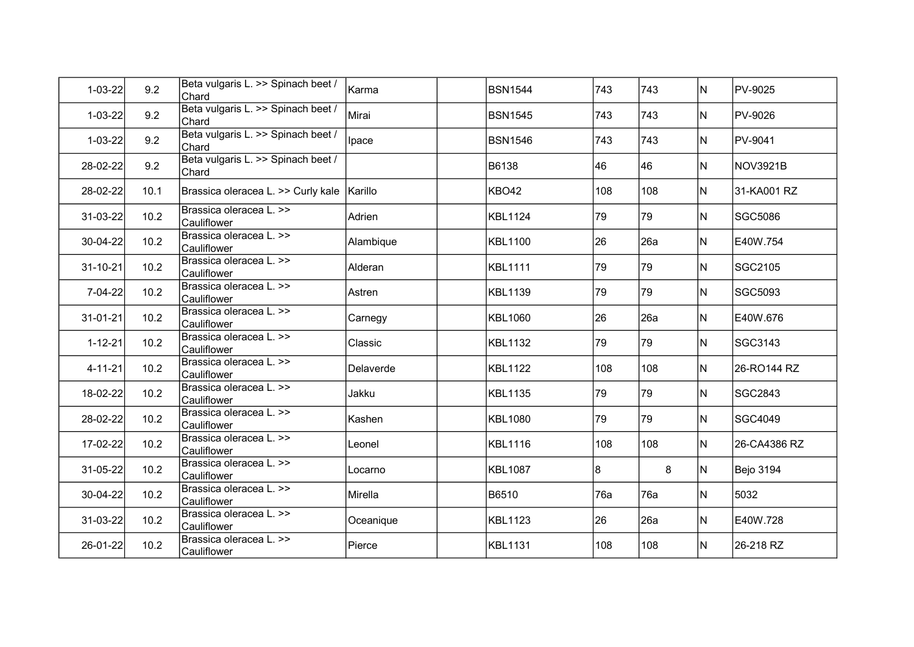| $1 - 03 - 22$ | 9.2  | Beta vulgaris L. >> Spinach beet /<br>Chard | Karma     | <b>BSN1544</b> | 743                     | 743 | N   | PV-9025        |
|---------------|------|---------------------------------------------|-----------|----------------|-------------------------|-----|-----|----------------|
| $1 - 03 - 22$ | 9.2  | Beta vulgaris L. >> Spinach beet /<br>Chard | Mirai     | <b>BSN1545</b> | 743                     | 743 | N   | PV-9026        |
| $1-03-22$     | 9.2  | Beta vulgaris L. >> Spinach beet /<br>Chard | Ipace     | <b>BSN1546</b> | 743                     | 743 | IN. | PV-9041        |
| 28-02-22      | 9.2  | Beta vulgaris L. >> Spinach beet /<br>Chard |           | B6138          | 46                      | 46  | IN. | NOV3921B       |
| 28-02-22      | 10.1 | Brassica oleracea L. >> Curly kale Karillo  |           | <b>KBO42</b>   | 108                     | 108 | N   | 31-KA001 RZ    |
| 31-03-22      | 10.2 | Brassica oleracea L. >><br>Cauliflower      | Adrien    | <b>KBL1124</b> | 79                      | 79  | N   | SGC5086        |
| 30-04-22      | 10.2 | Brassica oleracea L. >><br>Cauliflower      | Alambique | <b>KBL1100</b> | 26                      | 26a | N   | E40W.754       |
| 31-10-21      | 10.2 | Brassica oleracea L. >><br>Cauliflower      | Alderan   | <b>KBL1111</b> | 79                      | 79  | N   | SGC2105        |
| 7-04-22       | 10.2 | Brassica oleracea L. >><br>Cauliflower      | Astren    | <b>KBL1139</b> | 79                      | 79  | N   | SGC5093        |
| 31-01-21      | 10.2 | Brassica oleracea L. >><br>Cauliflower      | Carnegy   | <b>KBL1060</b> | 26                      | 26a | N   | E40W.676       |
| $1 - 12 - 21$ | 10.2 | Brassica oleracea L. >><br>Cauliflower      | Classic   | <b>KBL1132</b> | 79                      | 79  | N   | SGC3143        |
| $4 - 11 - 21$ | 10.2 | Brassica oleracea L. >><br>Cauliflower      | Delaverde | <b>KBL1122</b> | 108                     | 108 | N   | 26-RO144 RZ    |
| 18-02-22      | 10.2 | Brassica oleracea L. >><br>Cauliflower      | Jakku     | <b>KBL1135</b> | 79                      | 79  | N   | SGC2843        |
| 28-02-22      | 10.2 | Brassica oleracea L. >><br>Cauliflower      | Kashen    | <b>KBL1080</b> | 79                      | 79  | N   | <b>SGC4049</b> |
| 17-02-22      | 10.2 | Brassica oleracea L. >><br>Cauliflower      | Leonel    | <b>KBL1116</b> | 108                     | 108 | N   | 26-CA4386 RZ   |
| 31-05-22      | 10.2 | Brassica oleracea L. >><br>Cauliflower      | Locarno   | <b>KBL1087</b> | $\overline{\mathbf{8}}$ | 8   | N   | Bejo 3194      |
| 30-04-22      | 10.2 | Brassica oleracea L. >><br>Cauliflower      | Mirella   | B6510          | 76a                     | 76a | N   | 5032           |
| 31-03-22      | 10.2 | Brassica oleracea L. >><br>Cauliflower      | Oceanique | <b>KBL1123</b> | 26                      | 26a | N   | E40W.728       |
| 26-01-22      | 10.2 | Brassica oleracea L. >><br>Cauliflower      | Pierce    | <b>KBL1131</b> | 108                     | 108 | N   | 26-218 RZ      |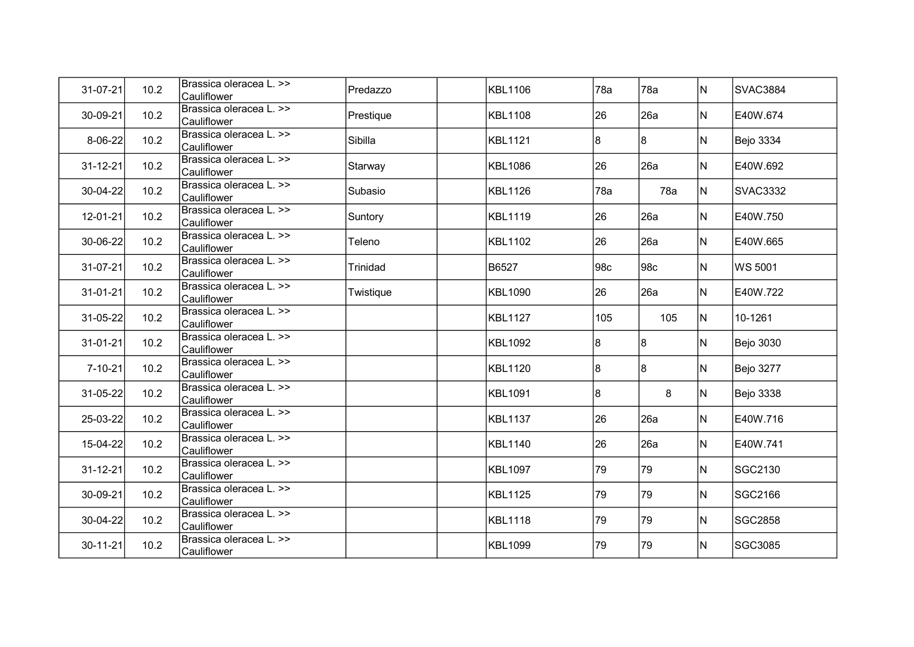| 31-07-21       | 10.2 | Brassica oleracea L. >><br>Cauliflower | Predazzo  | <b>KBL1106</b> | 78a | 78a | N   | SVAC3884        |
|----------------|------|----------------------------------------|-----------|----------------|-----|-----|-----|-----------------|
| 30-09-21       | 10.2 | Brassica oleracea L. >><br>Cauliflower | Prestique | <b>KBL1108</b> | 26  | 26a | N   | E40W.674        |
| 8-06-22        | 10.2 | Brassica oleracea L. >><br>Cauliflower | Sibilla   | <b>KBL1121</b> | 8   | 8   | N   | Bejo 3334       |
| $31 - 12 - 21$ | 10.2 | Brassica oleracea L. >><br>Cauliflower | Starway   | <b>KBL1086</b> | 26  | 26a | N   | E40W.692        |
| 30-04-22       | 10.2 | Brassica oleracea L. >><br>Cauliflower | Subasio   | <b>KBL1126</b> | 78a | 78a | N   | <b>SVAC3332</b> |
| 12-01-21       | 10.2 | Brassica oleracea L. >><br>Cauliflower | Suntory   | <b>KBL1119</b> | 26  | 26a | N   | E40W.750        |
| 30-06-22       | 10.2 | Brassica oleracea L. >><br>Cauliflower | Teleno    | <b>KBL1102</b> | 26  | 26a | N   | E40W.665        |
| 31-07-21       | 10.2 | Brassica oleracea L. >><br>Cauliflower | Trinidad  | <b>B6527</b>   | 98c | 98c | N   | WS 5001         |
| 31-01-21       | 10.2 | Brassica oleracea L. >><br>Cauliflower | Twistique | <b>KBL1090</b> | 26  | 26a | N   | E40W.722        |
| 31-05-22       | 10.2 | Brassica oleracea L. >><br>Cauliflower |           | <b>KBL1127</b> | 105 | 105 | N   | 10-1261         |
| 31-01-21       | 10.2 | Brassica oleracea L. >><br>Cauliflower |           | <b>KBL1092</b> | 8   | 81  | N   | Bejo 3030       |
| $7 - 10 - 21$  | 10.2 | Brassica oleracea L. >><br>Cauliflower |           | <b>KBL1120</b> | 8   | 81  | N   | Bejo 3277       |
| 31-05-22       | 10.2 | Brassica oleracea L. >><br>Cauliflower |           | <b>KBL1091</b> | 8   | 8   | N   | Bejo 3338       |
| 25-03-22       | 10.2 | Brassica oleracea L. >><br>Cauliflower |           | <b>KBL1137</b> | 26  | 26a | N   | E40W.716        |
| 15-04-22       | 10.2 | Brassica oleracea L. >><br>Cauliflower |           | <b>KBL1140</b> | 26  | 26a | N   | E40W.741        |
| 31-12-21       | 10.2 | Brassica oleracea L. >><br>Cauliflower |           | <b>KBL1097</b> | 79  | 79  | N   | SGC2130         |
| 30-09-21       | 10.2 | Brassica oleracea L. >><br>Cauliflower |           | <b>KBL1125</b> | 79  | 79  | N   | SGC2166         |
| 30-04-22       | 10.2 | Brassica oleracea L. >><br>Cauliflower |           | <b>KBL1118</b> | 79  | 79  | N   | SGC2858         |
| 30-11-21       | 10.2 | Brassica oleracea L. >><br>Cauliflower |           | <b>KBL1099</b> | 79  | 79  | IN. | SGC3085         |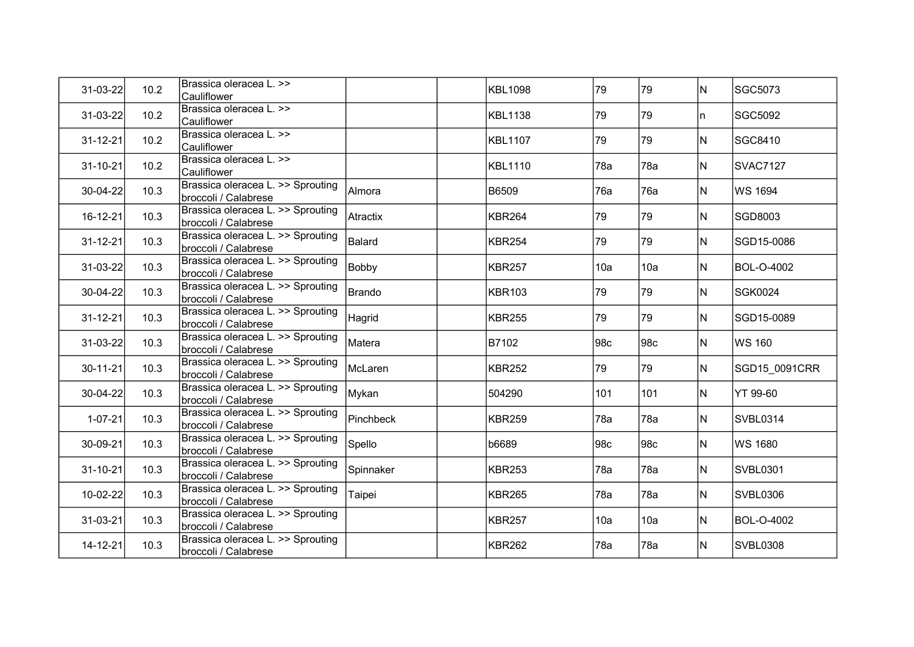| 31-03-22       | 10.2 | Brassica oleracea L. >><br>Cauliflower                    |           | <b>KBL1098</b> | 79  | 79  | IN. | SGC5073           |
|----------------|------|-----------------------------------------------------------|-----------|----------------|-----|-----|-----|-------------------|
| 31-03-22       | 10.2 | Brassica oleracea L. >><br>Cauliflower                    |           | <b>KBL1138</b> | 79  | 79  | n.  | SGC5092           |
| $31 - 12 - 21$ | 10.2 | Brassica oleracea L. >><br>Cauliflower                    |           | <b>KBL1107</b> | 79  | 79  | N   | SGC8410           |
| 31-10-21       | 10.2 | Brassica oleracea L. >><br>Cauliflower                    |           | <b>KBL1110</b> | 78a | 78a | N   | <b>SVAC7127</b>   |
| 30-04-22       | 10.3 | Brassica oleracea L. >> Sprouting<br>broccoli / Calabrese | Almora    | <b>B6509</b>   | 76a | 76a | IN. | WS 1694           |
| 16-12-21       | 10.3 | Brassica oleracea L. >> Sprouting<br>broccoli / Calabrese | Atractix  | <b>KBR264</b>  | 79  | 79  | N   | SGD8003           |
| 31-12-21       | 10.3 | Brassica oleracea L. >> Sprouting<br>broccoli / Calabrese | Balard    | <b>KBR254</b>  | 79  | 79  | N   | SGD15-0086        |
| 31-03-22       | 10.3 | Brassica oleracea L. >> Sprouting<br>broccoli / Calabrese | Bobby     | <b>KBR257</b>  | 10a | 10a | N   | <b>BOL-O-4002</b> |
| 30-04-22       | 10.3 | Brassica oleracea L. >> Sprouting<br>broccoli / Calabrese | Brando    | <b>KBR103</b>  | 79  | 79  | N   | SGK0024           |
| 31-12-21       | 10.3 | Brassica oleracea L. >> Sprouting<br>broccoli / Calabrese | Hagrid    | <b>KBR255</b>  | 79  | 79  | N   | SGD15-0089        |
| 31-03-22       | 10.3 | Brassica oleracea L. >> Sprouting<br>broccoli / Calabrese | Matera    | <b>B7102</b>   | 98c | 98c | N   | lWS 160           |
| 30-11-21       | 10.3 | Brassica oleracea L. >> Sprouting<br>broccoli / Calabrese | McLaren   | <b>KBR252</b>  | 79  | 79  | N   | SGD15_0091CRR     |
| 30-04-22       | 10.3 | Brassica oleracea L. >> Sprouting<br>broccoli / Calabrese | Mykan     | 504290         | 101 | 101 | N   | YT 99-60          |
| $1 - 07 - 21$  | 10.3 | Brassica oleracea L. >> Sprouting<br>broccoli / Calabrese | Pinchbeck | <b>KBR259</b>  | 78a | 78a | N   | <b>SVBL0314</b>   |
| 30-09-21       | 10.3 | Brassica oleracea L. >> Sprouting<br>broccoli / Calabrese | Spello    | b6689          | 98c | 98c | N   | WS 1680           |
| 31-10-21       | 10.3 | Brassica oleracea L. >> Sprouting<br>broccoli / Calabrese | Spinnaker | <b>KBR253</b>  | 78a | 78a | N   | <b>SVBL0301</b>   |
| 10-02-22       | 10.3 | Brassica oleracea L. >> Sprouting<br>broccoli / Calabrese | Taipei    | <b>KBR265</b>  | 78a | 78a | N   | SVBL0306          |
| 31-03-21       | 10.3 | Brassica oleracea L. >> Sprouting<br>broccoli / Calabrese |           | <b>KBR257</b>  | 10a | 10a | N   | BOL-O-4002        |
| 14-12-21       | 10.3 | Brassica oleracea L. >> Sprouting<br>broccoli / Calabrese |           | <b>KBR262</b>  | 78a | 78a | N   | SVBL0308          |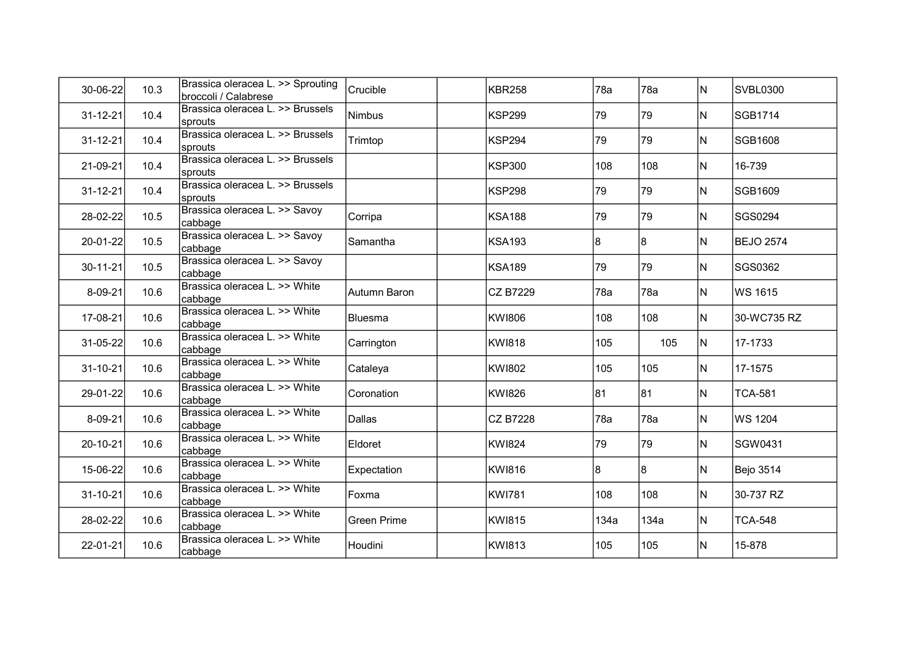| 30-06-22       | 10.3 | Brassica oleracea L. >> Sprouting<br>broccoli / Calabrese | Crucible           | <b>KBR258</b>   | 78a  | 78a  | N   | SVBL0300         |
|----------------|------|-----------------------------------------------------------|--------------------|-----------------|------|------|-----|------------------|
| $31 - 12 - 21$ | 10.4 | Brassica oleracea L. >> Brussels<br>sprouts               | <b>Nimbus</b>      | <b>KSP299</b>   | 79   | 79   | lN. | SGB1714          |
| $31 - 12 - 21$ | 10.4 | Brassica oleracea L. >> Brussels<br>sprouts               | Trimtop            | <b>KSP294</b>   | 79   | 79   | IN. | <b>SGB1608</b>   |
| 21-09-21       | 10.4 | Brassica oleracea L. >> Brussels<br>sprouts               |                    | <b>KSP300</b>   | 108  | 108  | IN. | 16-739           |
| $31 - 12 - 21$ | 10.4 | Brassica oleracea L. >> Brussels<br>Isprouts              |                    | <b>KSP298</b>   | 79   | 79   | N   | SGB1609          |
| 28-02-22       | 10.5 | Brassica oleracea L. >> Savoy<br>cabbage                  | Corripa            | <b>KSA188</b>   | 79   | 79   | N   | SGS0294          |
| 20-01-22       | 10.5 | Brassica oleracea L. >> Savoy<br>cabbage                  | Samantha           | <b>KSA193</b>   | 8    | 8    | N   | <b>BEJO 2574</b> |
| 30-11-21       | 10.5 | Brassica oleracea L. >> Savoy<br>cabbage                  |                    | <b>KSA189</b>   | 79   | 79   | IN. | SGS0362          |
| 8-09-21        | 10.6 | Brassica oleracea L. >> White<br>cabbage                  | Autumn Baron       | <b>CZ B7229</b> | 78a  | 78a  | N   | WS 1615          |
| 17-08-21       | 10.6 | Brassica oleracea L. >> White<br>cabbage                  | Bluesma            | <b>KWI806</b>   | 108  | 108  | IN. | 30-WC735 RZ      |
| 31-05-22       | 10.6 | Brassica oleracea L. >> White<br>cabbage                  | Carrington         | <b>KWI818</b>   | 105  | 105  | N   | 17-1733          |
| $31 - 10 - 21$ | 10.6 | Brassica oleracea L. >> White<br>cabbage                  | Cataleya           | <b>KWI802</b>   | 105  | 105  | N   | 17-1575          |
| 29-01-22       | 10.6 | Brassica oleracea L. >> White<br>cabbage                  | Coronation         | <b>KWI826</b>   | 81   | 81   | N   | <b>TCA-581</b>   |
| 8-09-21        | 10.6 | Brassica oleracea L. >> White<br>cabbage                  | <b>Dallas</b>      | <b>CZ B7228</b> | 78a  | 78a  | N   | WS 1204          |
| 20-10-21       | 10.6 | Brassica oleracea L. >> White<br>cabbage                  | Eldoret            | <b>KWI824</b>   | 79   | 79   | N   | SGW0431          |
| 15-06-22       | 10.6 | Brassica oleracea L. >> White<br>cabbage                  | Expectation        | <b>KWI816</b>   | 8    | 8    | N   | Bejo 3514        |
| $31 - 10 - 21$ | 10.6 | Brassica oleracea L. >> White<br>cabbage                  | Foxma              | <b>KWI781</b>   | 108  | 108  | IN. | 30-737 RZ        |
| 28-02-22       | 10.6 | Brassica oleracea L. >> White<br>cabbage                  | <b>Green Prime</b> | <b>KWI815</b>   | 134a | 134a | N   | <b>TCA-548</b>   |
| 22-01-21       | 10.6 | Brassica oleracea L. >> White<br>cabbage                  | Houdini            | <b>KWI813</b>   | 105  | 105  | N   | 15-878           |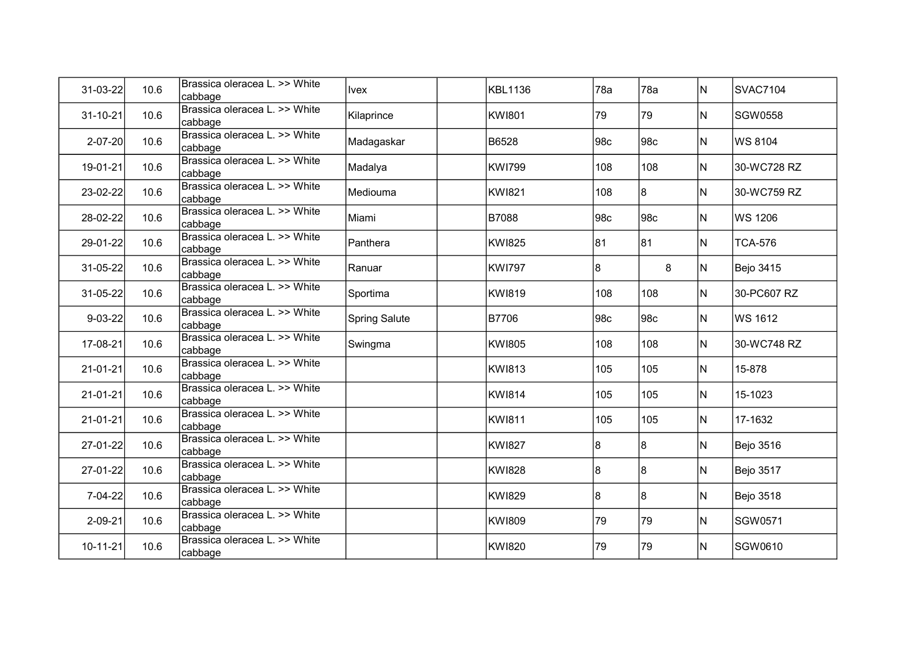| $31 - 03 - 22$ | 10.6 | Brassica oleracea L. >> White<br>cabbage | <b>Ivex</b>          | <b>KBL1136</b> | 78a | 78a            | N   | SVAC7104        |
|----------------|------|------------------------------------------|----------------------|----------------|-----|----------------|-----|-----------------|
| $31 - 10 - 21$ | 10.6 | Brassica oleracea L. >> White<br>cabbage | Kilaprince           | <b>KWI801</b>  | 79  | 79             | N   | SGW0558         |
| $2 - 07 - 20$  | 10.6 | Brassica oleracea L. >> White<br>cabbage | Madagaskar           | B6528          | 98c | 98c            | N   | <b>IWS 8104</b> |
| 19-01-21       | 10.6 | Brassica oleracea L. >> White<br>cabbage | Madalya              | <b>KWI799</b>  | 108 | 108            | N   | 30-WC728 RZ     |
| 23-02-22       | 10.6 | Brassica oleracea L. >> White<br>cabbage | Mediouma             | <b>KWI821</b>  | 108 | 8              | N   | 30-WC759 RZ     |
| 28-02-22       | 10.6 | Brassica oleracea L. >> White<br>cabbage | Miami                | B7088          | 98c | 98c            | N   | WS 1206         |
| 29-01-22       | 10.6 | Brassica oleracea L. >> White<br>cabbage | Panthera             | <b>KWI825</b>  | 81  | 81             | N   | <b>TCA-576</b>  |
| 31-05-22       | 10.6 | Brassica oleracea L. >> White<br>cabbage | Ranuar               | <b>KWI797</b>  | 8   | 8              | N   | Bejo 3415       |
| 31-05-22       | 10.6 | Brassica oleracea L. >> White<br>cabbage | Sportima             | <b>KWI819</b>  | 108 | 108            | N   | 30-PC607 RZ     |
| $9 - 03 - 22$  | 10.6 | Brassica oleracea L. >> White<br>cabbage | <b>Spring Salute</b> | B7706          | 98c | 98c            | N   | WS 1612         |
| 17-08-21       | 10.6 | Brassica oleracea L. >> White<br>cabbage | Swingma              | <b>KWI805</b>  | 108 | 108            | N   | 30-WC748 RZ     |
| 21-01-21       | 10.6 | Brassica oleracea L. >> White<br>cabbage |                      | <b>KWI813</b>  | 105 | 105            | IN. | 15-878          |
| $21 - 01 - 21$ | 10.6 | Brassica oleracea L. >> White<br>cabbage |                      | <b>KWI814</b>  | 105 | 105            | N   | 15-1023         |
| $21 - 01 - 21$ | 10.6 | Brassica oleracea L. >> White<br>cabbage |                      | <b>KWI811</b>  | 105 | 105            | N   | 17-1632         |
| 27-01-22       | 10.6 | Brassica oleracea L. >> White<br>cabbage |                      | <b>KWI827</b>  | 8   | 8              | N   | Bejo 3516       |
| 27-01-22       | 10.6 | Brassica oleracea L. >> White<br>cabbage |                      | <b>KWI828</b>  | 8   | $\overline{8}$ | N   | Bejo 3517       |
| 7-04-22        | 10.6 | Brassica oleracea L. >> White<br>cabbage |                      | <b>KWI829</b>  | 8   | 8              | IN. | Bejo 3518       |
| 2-09-21        | 10.6 | Brassica oleracea L. >> White<br>cabbage |                      | <b>KWI809</b>  | 79  | 79             | IN. | SGW0571         |
| $10 - 11 - 21$ | 10.6 | Brassica oleracea L. >> White<br>cabbage |                      | KWI820         | 79  | 79             | N   | SGW0610         |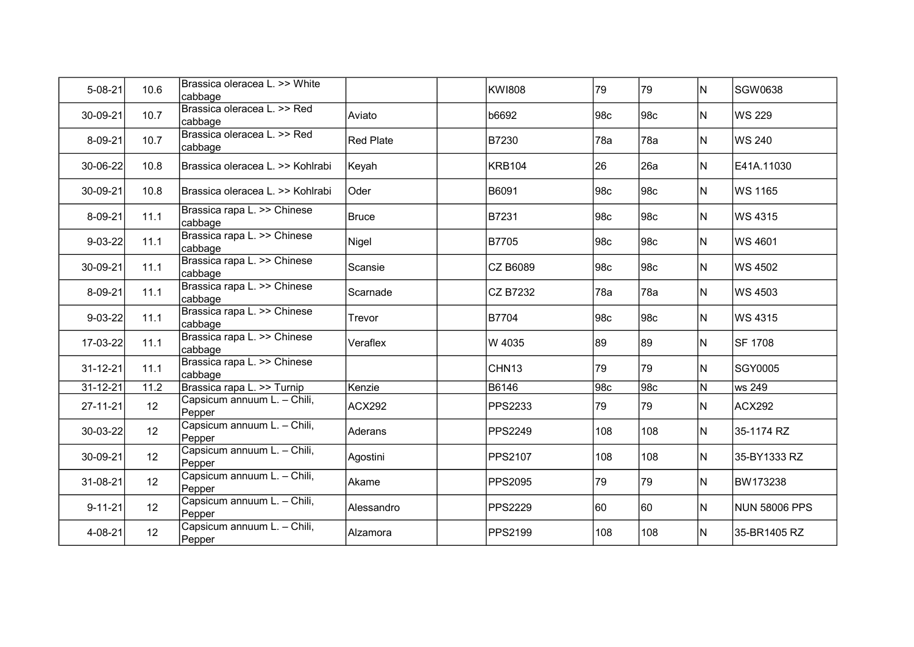| $5 - 08 - 21$  | 10.6            | Brassica oleracea L. >> White<br>Icabbaɑe |                  | <b>KWI808</b>     | 79  | 79              | N   | <b>SGW0638</b>       |
|----------------|-----------------|-------------------------------------------|------------------|-------------------|-----|-----------------|-----|----------------------|
| 30-09-21       | 10.7            | Brassica oleracea L. >> Red<br>cabbage    | Aviato           | b6692             | 98c | 98 <sub>c</sub> | IN. | lWS 229              |
| 8-09-21        | 10.7            | Brassica oleracea L. >> Red<br>cabbage    | <b>Red Plate</b> | B7230             | 78a | 78a             | N   | lWS 240              |
| 30-06-22       | 10.8            | Brassica oleracea L. >> Kohlrabi          | Keyah            | <b>KRB104</b>     | 26  | 26a             | N   | E41A.11030           |
| 30-09-21       | 10.8            | lBrassica oleracea L. >> Kohlrabi         | Oder             | B6091             | 98c | 98c             | N   | lWS 1165             |
| 8-09-21        | 11.1            | Brassica rapa L. >> Chinese<br>cabbage    | <b>Bruce</b>     | B7231             | 98c | 98c             | N   | WS 4315              |
| $9 - 03 - 22$  | 11.1            | Brassica rapa L. >> Chinese<br>cabbage    | Nigel            | <b>B7705</b>      | 98c | 98c             | N   | lWS 4601             |
| 30-09-21       | 11.1            | Brassica rapa L. >> Chinese<br>cabbage    | Scansie          | <b>CZ B6089</b>   | 98c | 98c             | N   | WS 4502              |
| 8-09-21        | 11.1            | Brassica rapa L. >> Chinese<br>cabbage    | Scarnade         | CZ B7232          | 78a | 78a             | N   | lWS 4503             |
| $9 - 03 - 22$  | 11.1            | Brassica rapa L. >> Chinese<br>cabbage    | Trevor           | <b>B7704</b>      | 98c | 98c             | N   | WS 4315              |
| 17-03-22       | 11.1            | Brassica rapa L. >> Chinese<br>cabbage    | Veraflex         | W 4035            | 89  | 89              | N   | <b>SF 1708</b>       |
| 31-12-21       | 11.1            | Brassica rapa L. >> Chinese<br>cabbage    |                  | CHN <sub>13</sub> | 79  | 79              | N   | SGY0005              |
| $31 - 12 - 21$ | 11.2            | Brassica rapa L. >> Turnip                | Kenzie           | <b>B6146</b>      | 98c | 98c             | N   | ws 249               |
| 27-11-21       | 12              | Capsicum annuum L. - Chili,<br>Pepper     | <b>ACX292</b>    | <b>PPS2233</b>    | 79  | 79              | N   | ACX292               |
| $30 - 03 - 22$ | 12              | Capsicum annuum L. - Chili,<br>Pepper     | Aderans          | PPS2249           | 108 | 108             | N   | 35-1174 RZ           |
| 30-09-21       | 12              | Capsicum annuum L. - Chili,<br>Pepper     | Agostini         | <b>PPS2107</b>    | 108 | 108             | N   | 35-BY1333 RZ         |
| 31-08-21       | 12              | Capsicum annuum L. - Chili,<br>Pepper     | Akame            | <b>PPS2095</b>    | 79  | 79              | N   | BW173238             |
| $9 - 11 - 21$  | 12 <sup>°</sup> | Capsicum annuum L. - Chili,<br>Pepper     | Alessandro       | <b>PPS2229</b>    | 60  | 60              | N   | <b>NUN 58006 PPS</b> |
| 4-08-21        | 12              | Capsicum annuum L. - Chili,<br>Pepper     | Alzamora         | <b>PPS2199</b>    | 108 | 108             | IN. | 35-BR1405 RZ         |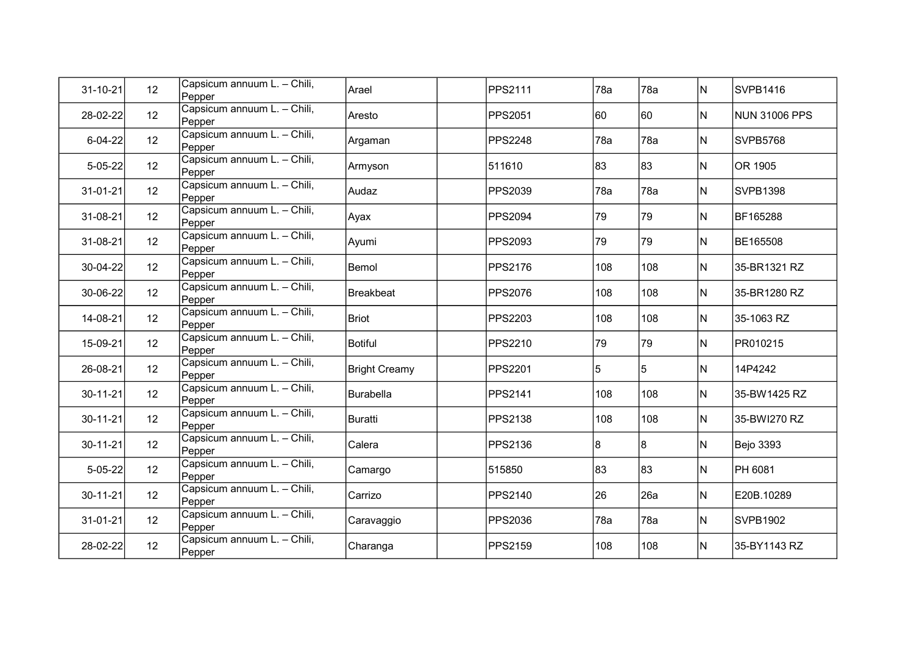| 31-10-21      | 12              | Capsicum annuum L. - Chili,<br>Pepper | Arael                | <b>PPS2111</b> | 78a | 78a | N  | <b>SVPB1416</b>      |
|---------------|-----------------|---------------------------------------|----------------------|----------------|-----|-----|----|----------------------|
| 28-02-22      | 12 <sup>°</sup> | Capsicum annuum L. - Chili,<br>Pepper | Aresto               | <b>PPS2051</b> | 60  | 60  | N. | <b>NUN 31006 PPS</b> |
| $6 - 04 - 22$ | 12              | Capsicum annuum L. - Chili,<br>Pepper | Argaman              | <b>PPS2248</b> | 78a | 78a | N  | <b>SVPB5768</b>      |
| $5 - 05 - 22$ | 12              | Capsicum annuum L. - Chili,<br>Pepper | Armyson              | 511610         | 83  | 83  | N. | OR 1905              |
| 31-01-21      | 12 <sup>°</sup> | Capsicum annuum L. - Chili,<br>Pepper | Audaz                | <b>PPS2039</b> | 78a | 78a | N  | <b>SVPB1398</b>      |
| 31-08-21      | 12 <sup>2</sup> | Capsicum annuum L. - Chili,<br>Pepper | Ayax                 | <b>PPS2094</b> | 79  | 79  | N  | BF165288             |
| 31-08-21      | 12              | Capsicum annuum L. - Chili,<br>Pepper | Ayumi                | <b>PPS2093</b> | 79  | 79  | N  | BE165508             |
| 30-04-22      | 12              | Capsicum annuum L. - Chili,<br>Pepper | Bemol                | <b>PPS2176</b> | 108 | 108 | N  | 35-BR1321 RZ         |
| 30-06-22      | 12              | Capsicum annuum L. - Chili,<br>Pepper | Breakbeat            | <b>PPS2076</b> | 108 | 108 | N  | 35-BR1280 RZ         |
| 14-08-21      | 12              | Capsicum annuum L. - Chili,<br>Pepper | Briot                | <b>PPS2203</b> | 108 | 108 | N  | 35-1063 RZ           |
| 15-09-21      | 12              | Capsicum annuum L. - Chili,<br>Pepper | Botiful              | <b>PPS2210</b> | 79  | 79  | N  | PR010215             |
| 26-08-21      | 12 <sup>°</sup> | Capsicum annuum L. - Chili,<br>Pepper | <b>Bright Creamy</b> | <b>PPS2201</b> | 5   | 5   | N  | 14P4242              |
| 30-11-21      | 12              | Capsicum annuum L. - Chili,<br>Pepper | Burabella            | <b>PPS2141</b> | 108 | 108 | N  | 35-BW1425 RZ         |
| 30-11-21      | 12              | Capsicum annuum L. - Chili,<br>Pepper | Buratti              | <b>PPS2138</b> | 108 | 108 | N  | 35-BWI270 RZ         |
| 30-11-21      | 12              | Capsicum annuum L. - Chili,<br>Pepper | Calera               | <b>PPS2136</b> | 8   | 8   | N  | <b>Bejo 3393</b>     |
| $5 - 05 - 22$ | 12              | Capsicum annuum L. - Chili,<br>Pepper | Camargo              | 515850         | 83  | 83  | N  | PH 6081              |
| 30-11-21      | 12 <sup>°</sup> | Capsicum annuum L. - Chili,<br>Pepper | Carrizo              | <b>PPS2140</b> | 26  | 26a | N  | E20B.10289           |
| 31-01-21      | 12              | Capsicum annuum L. - Chili,<br>Pepper | Caravaggio           | <b>PPS2036</b> | 78a | 78a | N  | <b>SVPB1902</b>      |
| 28-02-22      | 12              | Capsicum annuum L. - Chili,<br>Pepper | Charanga             | <b>PPS2159</b> | 108 | 108 | N. | 35-BY1143 RZ         |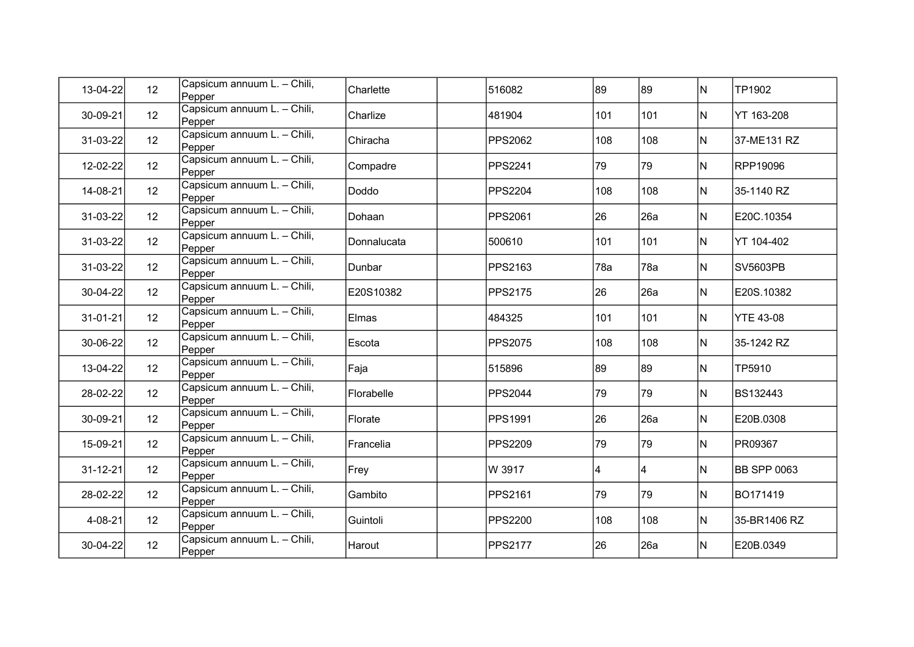| 13-04-22 | 12              | Capsicum annuum L. - Chili,<br>Pepper | Charlette   | 516082         | 89  | 89  | N   | TP1902             |
|----------|-----------------|---------------------------------------|-------------|----------------|-----|-----|-----|--------------------|
| 30-09-21 | 12 <sup>°</sup> | Capsicum annuum L. - Chili,<br>Pepper | Charlize    | 481904         | 101 | 101 | N   | YT 163-208         |
| 31-03-22 | 12              | Capsicum annuum L. - Chili,<br>Pepper | Chiracha    | <b>PPS2062</b> | 108 | 108 | IN. | 37-ME131 RZ        |
| 12-02-22 | 12              | Capsicum annuum L. - Chili,<br>Pepper | Compadre    | <b>PPS2241</b> | 79  | 79  | IN. | RPP19096           |
| 14-08-21 | 12              | Capsicum annuum L. - Chili,<br>Pepper | Doddo       | <b>PPS2204</b> | 108 | 108 | N   | 35-1140 RZ         |
| 31-03-22 | 12              | Capsicum annuum L. - Chili,<br>Pepper | Dohaan      | <b>PPS2061</b> | 26  | 26a | N   | E20C.10354         |
| 31-03-22 | 12              | Capsicum annuum L. - Chili,<br>Pepper | Donnalucata | 500610         | 101 | 101 | N   | YT 104-402         |
| 31-03-22 | 12              | Capsicum annuum L. - Chili,<br>Pepper | Dunbar      | PPS2163        | 78a | 78a | N   | <b>SV5603PB</b>    |
| 30-04-22 | 12              | Capsicum annuum L. - Chili,<br>Pepper | E20S10382   | <b>PPS2175</b> | 26  | 26a | N   | E20S.10382         |
| 31-01-21 | 12              | Capsicum annuum L. - Chili,<br>Pepper | Elmas       | 484325         | 101 | 101 | N   | <b>YTE 43-08</b>   |
| 30-06-22 | 12              | Capsicum annuum L. - Chili,<br>Pepper | Escota      | <b>PPS2075</b> | 108 | 108 | N   | 35-1242 RZ         |
| 13-04-22 | 12              | Capsicum annuum L. - Chili,<br>Pepper | Faja        | 515896         | 89  | 89  | N   | TP5910             |
| 28-02-22 | 12              | Capsicum annuum L. - Chili,<br>Pepper | Florabelle  | <b>PPS2044</b> | 79  | 79  | N   | BS132443           |
| 30-09-21 | 12              | Capsicum annuum L. - Chili,<br>Pepper | Florate     | <b>PPS1991</b> | 26  | 26a | N   | E20B.0308          |
| 15-09-21 | 12              | Capsicum annuum L. - Chili,<br>Pepper | Francelia   | <b>PPS2209</b> | 79  | 79  | N   | PR09367            |
| 31-12-21 | 12              | Capsicum annuum L. - Chili,<br>Pepper | Frey        | W 3917         | 4   | 4   | IN. | <b>BB SPP 0063</b> |
| 28-02-22 | 12 <sup>°</sup> | Capsicum annuum L. - Chili,<br>Pepper | Gambito     | PPS2161        | 79  | 79  | IN. | BO171419           |
| 4-08-21  | 12              | Capsicum annuum L. - Chili,<br>Pepper | Guintoli    | <b>PPS2200</b> | 108 | 108 | N   | 35-BR1406 RZ       |
| 30-04-22 | 12              | Capsicum annuum L. - Chili,<br>Pepper | Harout      | <b>PPS2177</b> | 26  | 26a | N   | E20B.0349          |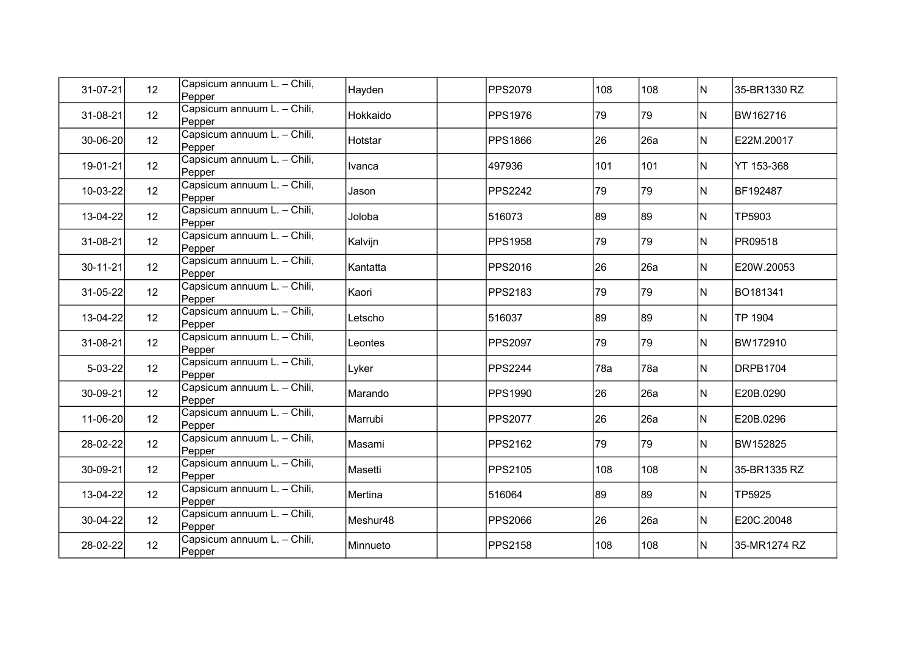| 31-07-21 | 12 | Capsicum annuum L. - Chili,<br>Pepper | Hayden   | <b>PPS2079</b> | 108 | 108 | N   | 35-BR1330 RZ |
|----------|----|---------------------------------------|----------|----------------|-----|-----|-----|--------------|
| 31-08-21 | 12 | Capsicum annuum L. - Chili,<br>Pepper | Hokkaido | <b>PPS1976</b> | 79  | 79  | N   | BW162716     |
| 30-06-20 | 12 | Capsicum annuum L. - Chili,<br>Pepper | Hotstar  | <b>PPS1866</b> | 26  | 26a | N   | E22M.20017   |
| 19-01-21 | 12 | Capsicum annuum L. - Chili,<br>Pepper | Ivanca   | 497936         | 101 | 101 | N   | YT 153-368   |
| 10-03-22 | 12 | Capsicum annuum L. - Chili,<br>Pepper | Jason    | <b>PPS2242</b> | 79  | 79  | IN. | BF192487     |
| 13-04-22 | 12 | Capsicum annuum L. - Chili,<br>Pepper | Joloba   | 516073         | 89  | 89  | N   | TP5903       |
| 31-08-21 | 12 | Capsicum annuum L. - Chili,<br>Pepper | Kalvijn  | <b>PPS1958</b> | 79  | 79  | N   | PR09518      |
| 30-11-21 | 12 | Capsicum annuum L. - Chili,<br>Pepper | Kantatta | PPS2016        | 26  | 26a | N   | E20W.20053   |
| 31-05-22 | 12 | Capsicum annuum L. - Chili,<br>Pepper | Kaori    | <b>PPS2183</b> | 79  | 79  | N   | BO181341     |
| 13-04-22 | 12 | Capsicum annuum L. - Chili,<br>Pepper | Letscho  | 516037         | 89  | 89  | N   | TP 1904      |
| 31-08-21 | 12 | Capsicum annuum L. - Chili,<br>Pepper | Leontes  | <b>PPS2097</b> | 79  | 79  | N   | BW172910     |
| 5-03-22  | 12 | Capsicum annuum L. - Chili,<br>Pepper | Lyker    | <b>PPS2244</b> | 78a | 78a | N   | DRPB1704     |
| 30-09-21 | 12 | Capsicum annuum L. - Chili,<br>Pepper | Marando  | <b>PPS1990</b> | 26  | 26a | N   | E20B.0290    |
| 11-06-20 | 12 | Capsicum annuum L. - Chili,<br>Pepper | Marrubi  | <b>PPS2077</b> | 26  | 26a | N   | E20B.0296    |
| 28-02-22 | 12 | Capsicum annuum L. - Chili,<br>Pepper | Masami   | PPS2162        | 79  | 79  | N   | BW152825     |
| 30-09-21 | 12 | Capsicum annuum L. - Chili,<br>Pepper | Masetti  | <b>PPS2105</b> | 108 | 108 | N   | 35-BR1335 RZ |
| 13-04-22 | 12 | Capsicum annuum L. - Chili,<br>Pepper | Mertina  | 516064         | 89  | 89  | IN. | TP5925       |
| 30-04-22 | 12 | Capsicum annuum L. - Chili,<br>Pepper | Meshur48 | <b>PPS2066</b> | 26  | 26a | N   | E20C.20048   |
| 28-02-22 | 12 | Capsicum annuum L. - Chili,<br>Pepper | Minnueto | <b>PPS2158</b> | 108 | 108 | N   | 35-MR1274 RZ |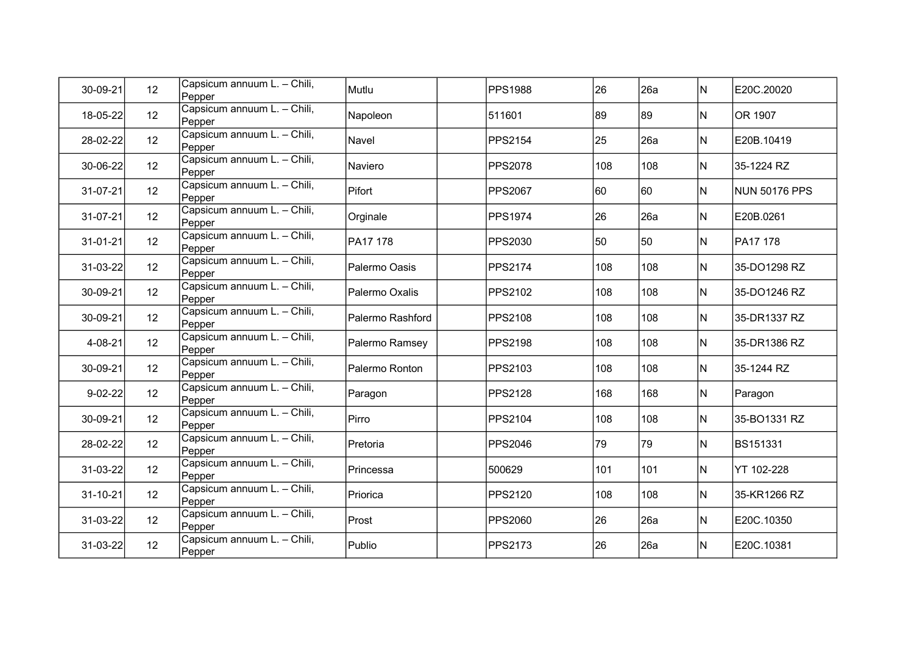| 30-09-21      | 12 | Capsicum annuum L. - Chili,<br>Pepper | Mutlu            | <b>PPS1988</b> | 26  | 26a | N            | E20C.20020           |
|---------------|----|---------------------------------------|------------------|----------------|-----|-----|--------------|----------------------|
| 18-05-22      | 12 | Capsicum annuum L. - Chili,<br>Pepper | Napoleon         | 511601         | 89  | 89  | N            | OR 1907              |
| 28-02-22      | 12 | Capsicum annuum L. - Chili,<br>Pepper | Navel            | <b>PPS2154</b> | 25  | 26a | IN.          | E20B.10419           |
| 30-06-22      | 12 | Capsicum annuum L. - Chili,<br>Pepper | Naviero          | <b>PPS2078</b> | 108 | 108 | IN.          | 35-1224 RZ           |
| 31-07-21      | 12 | Capsicum annuum L. - Chili,<br>Pepper | Pifort           | <b>PPS2067</b> | 60  | 60  | N            | <b>NUN 50176 PPS</b> |
| 31-07-21      | 12 | Capsicum annuum L. - Chili,<br>Pepper | Orginale         | <b>PPS1974</b> | 26  | 26a | N            | E20B.0261            |
| 31-01-21      | 12 | Capsicum annuum L. - Chili,<br>Pepper | PA17 178         | PPS2030        | 50  | 50  | N            | PA17 178             |
| 31-03-22      | 12 | Capsicum annuum L. - Chili,<br>Pepper | Palermo Oasis    | PPS2174        | 108 | 108 | N            | 35-DO1298 RZ         |
| 30-09-21      | 12 | Capsicum annuum L. - Chili,<br>Pepper | Palermo Oxalis   | PPS2102        | 108 | 108 | IN.          | 35-DO1246 RZ         |
| 30-09-21      | 12 | Capsicum annuum L. - Chili,<br>Pepper | Palermo Rashford | <b>PPS2108</b> | 108 | 108 | IN.          | 35-DR1337 RZ         |
| 4-08-21       | 12 | Capsicum annuum L. - Chili,<br>Pepper | Palermo Ramsey   | <b>PPS2198</b> | 108 | 108 | N            | 35-DR1386 RZ         |
| 30-09-21      | 12 | Capsicum annuum L. - Chili,<br>Pepper | Palermo Ronton   | <b>PPS2103</b> | 108 | 108 | N            | 35-1244 RZ           |
| $9 - 02 - 22$ | 12 | Capsicum annuum L. - Chili,<br>Pepper | Paragon          | <b>PPS2128</b> | 168 | 168 | N            | Paragon              |
| 30-09-21      | 12 | Capsicum annuum L. - Chili,<br>Pepper | Pirro            | PPS2104        | 108 | 108 | N            | 35-BO1331 RZ         |
| 28-02-22      | 12 | Capsicum annuum L. - Chili,<br>Pepper | Pretoria         | <b>PPS2046</b> | 79  | 79  | $\mathsf{N}$ | BS151331             |
| 31-03-22      | 12 | Capsicum annuum L. - Chili,<br>Pepper | Princessa        | 500629         | 101 | 101 | IN.          | YT 102-228           |
| 31-10-21      | 12 | Capsicum annuum L. - Chili,<br>Pepper | Priorica         | PPS2120        | 108 | 108 | IN.          | 35-KR1266 RZ         |
| 31-03-22      | 12 | Capsicum annuum L. - Chili,<br>Pepper | Prost            | <b>PPS2060</b> | 26  | 26a | N            | E20C.10350           |
| 31-03-22      | 12 | Capsicum annuum L. - Chili,<br>Pepper | Publio           | <b>PPS2173</b> | 26  | 26a | N            | E20C.10381           |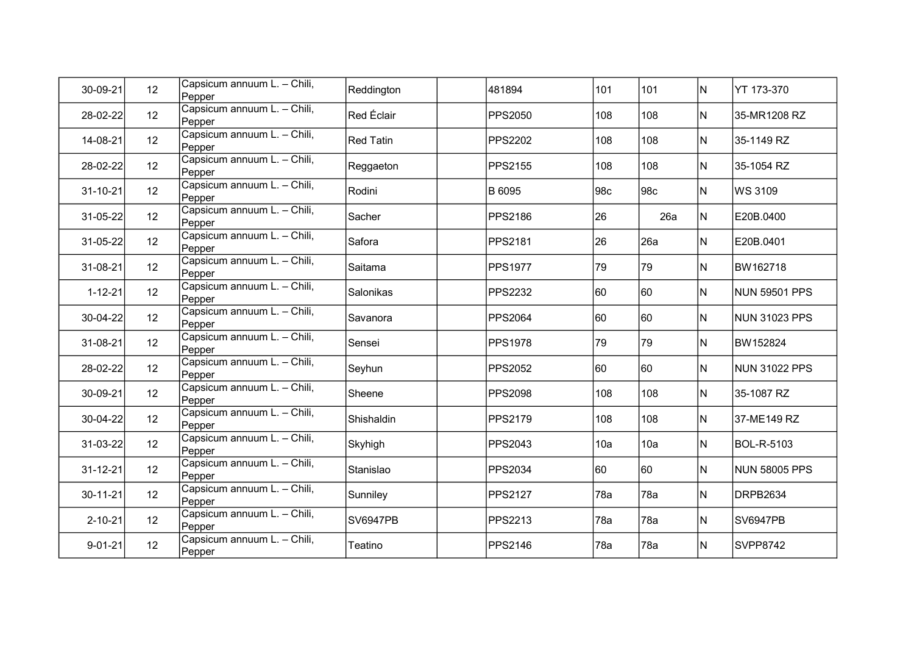| 30-09-21      | 12              | Capsicum annuum L. - Chili,<br>Pepper | Reddington       | 481894         | 101 | 101 | IN. | YT 173-370           |
|---------------|-----------------|---------------------------------------|------------------|----------------|-----|-----|-----|----------------------|
| 28-02-22      | 12              | Capsicum annuum L. - Chili,<br>Pepper | Red Éclair       | <b>PPS2050</b> | 108 | 108 | IN. | 35-MR1208 RZ         |
| 14-08-21      | 12              | Capsicum annuum L. - Chili,<br>Pepper | <b>Red Tatin</b> | <b>PPS2202</b> | 108 | 108 | IN. | 35-1149 RZ           |
| 28-02-22      | 12              | Capsicum annuum L. - Chili,<br>Pepper | Reggaeton        | <b>PPS2155</b> | 108 | 108 | IN. | 35-1054 RZ           |
| 31-10-21      | 12              | Capsicum annuum L. - Chili,<br>Pepper | Rodini           | B 6095         | 98c | 98c | IN. | WS 3109              |
| 31-05-22      | 12              | Capsicum annuum L. - Chili,<br>Pepper | Sacher           | <b>PPS2186</b> | 26  | 26a | IN. | E20B.0400            |
| 31-05-22      | 12              | Capsicum annuum L. - Chili,<br>Pepper | Safora           | PPS2181        | 26  | 26a | IN. | E20B.0401            |
| 31-08-21      | 12              | Capsicum annuum L. - Chili,<br>Pepper | Saitama          | <b>PPS1977</b> | 79  | 79  | IN. | BW162718             |
| $1 - 12 - 21$ | 12              | Capsicum annuum L. - Chili,<br>Pepper | Salonikas        | <b>PPS2232</b> | 60  | 160 | IN. | NUN 59501 PPS        |
| 30-04-22      | 12              | Capsicum annuum L. - Chili,<br>Pepper | Savanora         | <b>PPS2064</b> | 160 | 160 | IN. | <b>NUN 31023 PPS</b> |
| 31-08-21      | 12              | Capsicum annuum L. - Chili,<br>Pepper | Sensei           | <b>PPS1978</b> | 79  | 79  | IN. | BW152824             |
| 28-02-22      | 12              | Capsicum annuum L. - Chili,<br>Pepper | Seyhun           | <b>PPS2052</b> | 60  | 60  | IN. | <b>NUN 31022 PPS</b> |
| 30-09-21      | 12              | Capsicum annuum L. - Chili,<br>Pepper | Sheene           | <b>PPS2098</b> | 108 | 108 | IN. | 35-1087 RZ           |
| 30-04-22      | 12              | Capsicum annuum L. - Chili,<br>Pepper | Shishaldin       | PPS2179        | 108 | 108 | IN. | 37-ME149 RZ          |
| 31-03-22      | 12              | Capsicum annuum L. - Chili,<br>Pepper | Skyhigh          | PPS2043        | 10a | 10a | IN. | BOL-R-5103           |
| 31-12-21      | 12              | Capsicum annuum L. - Chili,<br>Pepper | Stanislao        | <b>PPS2034</b> | 60  | 160 | IN. | NUN 58005 PPS        |
| 30-11-21      | 12 <sup>°</sup> | Capsicum annuum L. - Chili,<br>Pepper | Sunniley         | <b>PPS2127</b> | 78a | 78a | IN. | DRPB2634             |
| $2 - 10 - 21$ | 12              | Capsicum annuum L. - Chili,<br>Pepper | <b>SV6947PB</b>  | <b>PPS2213</b> | 78a | 78a | IN. | SV6947PB             |
| $9 - 01 - 21$ | 12              | Capsicum annuum L. - Chili,<br>Pepper | Teatino          | <b>PPS2146</b> | 78a | 78a | IN. | SVPP8742             |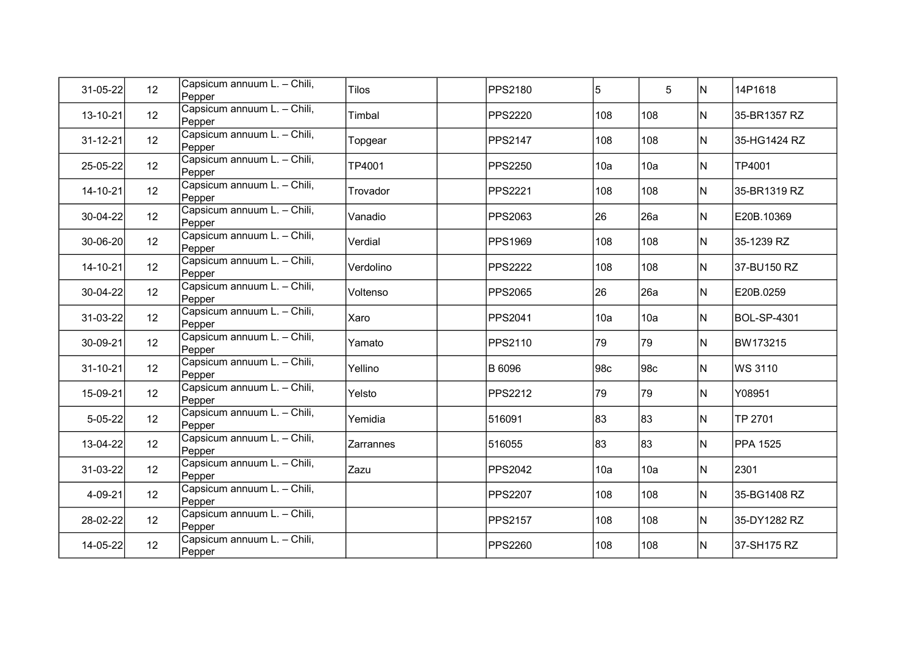| 31-05-22       | 12 | Capsicum annuum L. - Chili,<br>Pepper | <b>Tilos</b>     | <b>PPS2180</b> | $\overline{5}$ | 5   | IN. | 14P1618            |
|----------------|----|---------------------------------------|------------------|----------------|----------------|-----|-----|--------------------|
| 13-10-21       | 12 | Capsicum annuum L. - Chili,<br>Pepper | Timbal           | <b>PPS2220</b> | 108            | 108 | N   | 35-BR1357 RZ       |
| $31 - 12 - 21$ | 12 | Capsicum annuum L. - Chili,<br>Pepper | Topgear          | <b>PPS2147</b> | 108            | 108 | IN. | 35-HG1424 RZ       |
| 25-05-22       | 12 | Capsicum annuum L. - Chili,<br>Pepper | TP4001           | <b>PPS2250</b> | 10a            | 10a | N   | TP4001             |
| 14-10-21       | 12 | Capsicum annuum L. - Chili,<br>Pepper | Trovador         | <b>PPS2221</b> | 108            | 108 | N   | 35-BR1319 RZ       |
| 30-04-22       | 12 | Capsicum annuum L. - Chili,<br>Pepper | Vanadio          | <b>PPS2063</b> | 26             | 26a | IN. | E20B.10369         |
| 30-06-20       | 12 | Capsicum annuum L. - Chili,<br>Pepper | Verdial          | PPS1969        | 108            | 108 | N   | 35-1239 RZ         |
| 14-10-21       | 12 | Capsicum annuum L. - Chili,<br>Pepper | Verdolino        | <b>PPS2222</b> | 108            | 108 | N   | 37-BU150 RZ        |
| 30-04-22       | 12 | Capsicum annuum L. - Chili,<br>Pepper | Voltenso         | <b>PPS2065</b> | 26             | 26a | N   | E20B.0259          |
| 31-03-22       | 12 | Capsicum annuum L. - Chili,<br>Pepper | Xaro             | <b>PPS2041</b> | 10a            | 10a | N   | <b>BOL-SP-4301</b> |
| 30-09-21       | 12 | Capsicum annuum L. - Chili,<br>Pepper | Yamato           | <b>PPS2110</b> | 79             | 79  | N   | <b>BW173215</b>    |
| 31-10-21       | 12 | Capsicum annuum L. - Chili,<br>Pepper | Yellino          | B 6096         | 98c            | 98c | N   | WS 3110            |
| 15-09-21       | 12 | Capsicum annuum L. - Chili,<br>Pepper | Yelsto           | <b>PPS2212</b> | 79             | 79  | N   | Y08951             |
| $5 - 05 - 22$  | 12 | Capsicum annuum L. - Chili,<br>Pepper | Yemidia          | 516091         | 83             | 83  | N   | TP 2701            |
| 13-04-22       | 12 | Capsicum annuum L. - Chili,<br>Pepper | <b>Zarrannes</b> | 516055         | 83             | 83  | IN. | PPA 1525           |
| 31-03-22       | 12 | Capsicum annuum L. - Chili,<br>Pepper | Zazu             | <b>PPS2042</b> | 10a            | 10a | N   | 2301               |
| 4-09-21        | 12 | Capsicum annuum L. - Chili,<br>Pepper |                  | <b>PPS2207</b> | 108            | 108 | N   | 35-BG1408 RZ       |
| 28-02-22       | 12 | Capsicum annuum L. - Chili,<br>Pepper |                  | <b>PPS2157</b> | 108            | 108 | N   | 35-DY1282 RZ       |
| 14-05-22       | 12 | Capsicum annuum L. - Chili,<br>Pepper |                  | <b>PPS2260</b> | 108            | 108 | N   | 37-SH175 RZ        |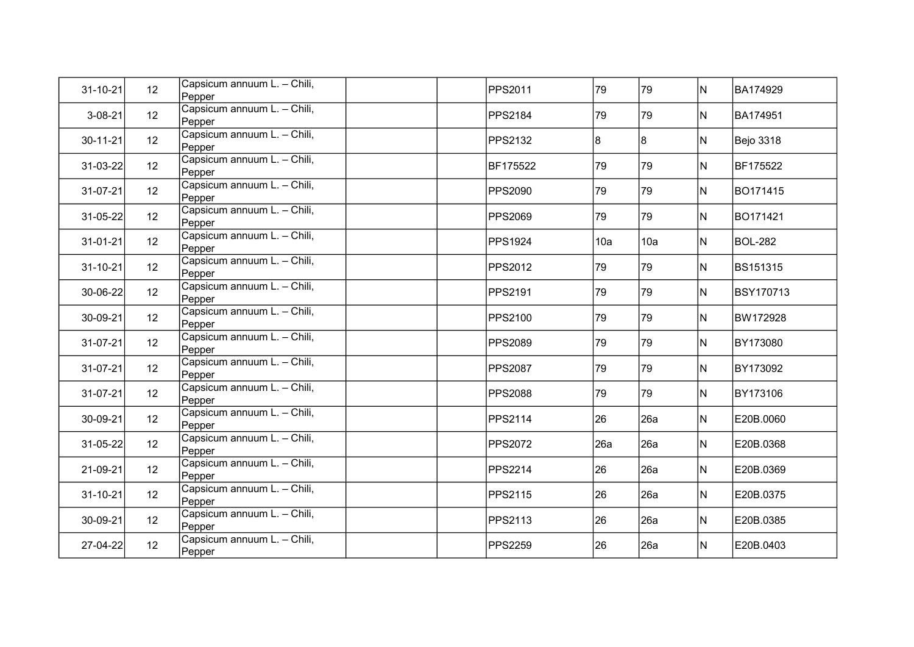| 31-10-21      | 12              | Capsicum annuum L. - Chili,<br>Pepper | <b>PPS2011</b>  | 79  | 79  | IN. | BA174929         |
|---------------|-----------------|---------------------------------------|-----------------|-----|-----|-----|------------------|
| $3 - 08 - 21$ | 12              | Capsicum annuum L. - Chili,<br>Pepper | <b>PPS2184</b>  | 79  | 79  | N   | BA174951         |
| 30-11-21      | 12 <sup>°</sup> | Capsicum annuum L. - Chili,<br>Pepper | <b>PPS2132</b>  | 8   | 8   | N   | Bejo 3318        |
| 31-03-22      | 12              | Capsicum annuum L. - Chili,<br>Pepper | <b>BF175522</b> | 79  | 79  | N   | BF175522         |
| 31-07-21      | 12              | Capsicum annuum L. - Chili,<br>Pepper | <b>PPS2090</b>  | 79  | 79  | N   | BO171415         |
| 31-05-22      | 12 <sup>°</sup> | Capsicum annuum L. - Chili,<br>Pepper | <b>PPS2069</b>  | 79  | 79  | N   | BO171421         |
| 31-01-21      | 12 <sup>°</sup> | Capsicum annuum L. - Chili,<br>Pepper | <b>PPS1924</b>  | 10a | 10a | N   | <b>BOL-282</b>   |
| 31-10-21      | 12              | Capsicum annuum L. - Chili,<br>Pepper | <b>PPS2012</b>  | 79  | 79  | N   | <b>BS151315</b>  |
| 30-06-22      | 12              | Capsicum annuum L. - Chili,<br>Pepper | PPS2191         | 79  | 79  | IN. | <b>BSY170713</b> |
| 30-09-21      | 12 <sup>2</sup> | Capsicum annuum L. - Chili,<br>Pepper | <b>PPS2100</b>  | 79  | 79  | IN. | BW172928         |
| 31-07-21      | 12 <sup>°</sup> | Capsicum annuum L. - Chili,<br>Pepper | <b>PPS2089</b>  | 79  | 79  | N   | BY173080         |
| 31-07-21      | 12              | Capsicum annuum L. - Chili,<br>Pepper | <b>PPS2087</b>  | 79  | 79  | IN. | BY173092         |
| 31-07-21      | 12              | Capsicum annuum L. - Chili,<br>Pepper | <b>PPS2088</b>  | 79  | 79  | IN. | BY173106         |
| 30-09-21      | 12              | Capsicum annuum L. - Chili,<br>Pepper | PPS2114         | 26  | 26a | N   | E20B.0060        |
| 31-05-22      | 12              | Capsicum annuum L. - Chili,<br>Pepper | <b>PPS2072</b>  | 26a | 26a | N   | E20B.0368        |
| 21-09-21      | 12              | Capsicum annuum L. - Chili,<br>Pepper | <b>PPS2214</b>  | 26  | 26a | N   | E20B.0369        |
| 31-10-21      | 12              | Capsicum annuum L. - Chili,<br>Pepper | <b>PPS2115</b>  | 26  | 26a | N   | E20B.0375        |
| 30-09-21      | 12              | Capsicum annuum L. - Chili,<br>Pepper | PPS2113         | 26  | 26a | N   | E20B.0385        |
| 27-04-22      | 12              | Capsicum annuum L. - Chili,<br>Pepper | <b>PPS2259</b>  | 26  | 26a | N   | E20B.0403        |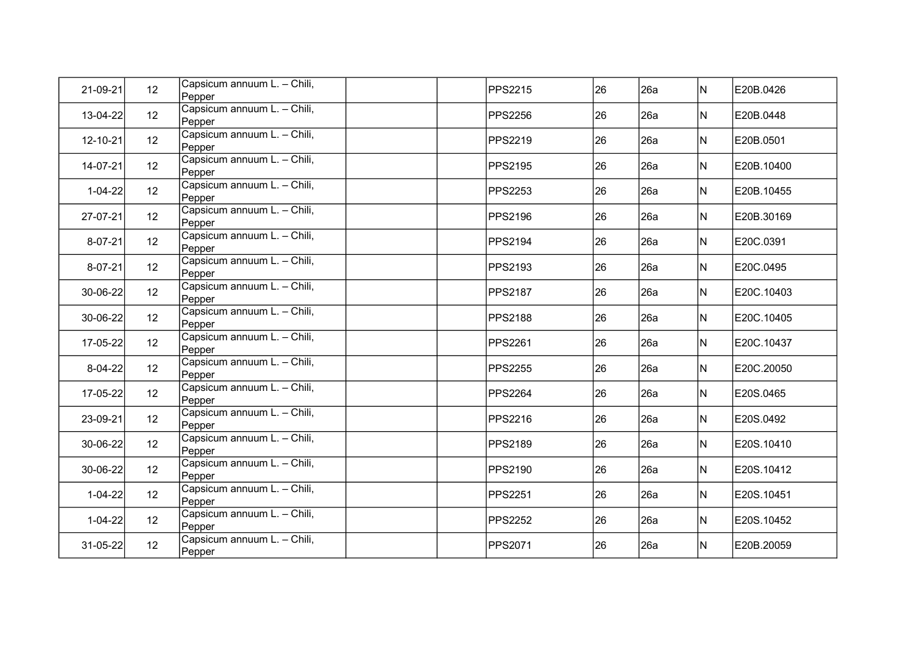| 21-09-21      | 12 <sup>°</sup> | Capsicum annuum L. - Chili,<br>Pepper | PPS2215        | 26 | 26a | N   | E20B.0426  |
|---------------|-----------------|---------------------------------------|----------------|----|-----|-----|------------|
| 13-04-22      | 12 <sup>°</sup> | Capsicum annuum L. - Chili,<br>Pepper | PPS2256        | 26 | 26a | N   | E20B.0448  |
| 12-10-21      | 12              | Capsicum annuum L. - Chili,<br>Pepper | PPS2219        | 26 | 26a | N.  | E20B.0501  |
| 14-07-21      | 12              | Capsicum annuum L. - Chili,<br>Pepper | PPS2195        | 26 | 26a | N.  | E20B.10400 |
| $1 - 04 - 22$ | 12              | Capsicum annuum L. - Chili,<br>Pepper | PPS2253        | 26 | 26a | N.  | E20B.10455 |
| 27-07-21      | 12              | Capsicum annuum L. - Chili,<br>Pepper | PPS2196        | 26 | 26a | N   | E20B.30169 |
| 8-07-21       | 12              | Capsicum annuum L. - Chili,<br>Pepper | PPS2194        | 26 | 26a | N   | E20C.0391  |
| $8 - 07 - 21$ | 12              | Capsicum annuum L. - Chili,<br>Pepper | <b>PPS2193</b> | 26 | 26a | IN. | E20C.0495  |
| 30-06-22      | 12              | Capsicum annuum L. - Chili,<br>Pepper | PPS2187        | 26 | 26a | IN. | E20C.10403 |
| 30-06-22      | 12 <sup>°</sup> | Capsicum annuum L. - Chili,<br>Pepper | <b>PPS2188</b> | 26 | 26a | N   | E20C.10405 |
| 17-05-22      | 12              | Capsicum annuum L. - Chili,<br>Pepper | <b>PPS2261</b> | 26 | 26a | N   | E20C.10437 |
| 8-04-22       | 12              | Capsicum annuum L. - Chili,<br>Pepper | <b>PPS2255</b> | 26 | 26a | N   | E20C.20050 |
| 17-05-22      | 12              | Capsicum annuum L. - Chili,<br>Pepper | <b>PPS2264</b> | 26 | 26a | IN. | E20S.0465  |
| 23-09-21      | 12 <sup>°</sup> | Capsicum annuum L. - Chili,<br>Pepper | PPS2216        | 26 | 26a | IN. | E20S.0492  |
| 30-06-22      | 12              | Capsicum annuum L. - Chili,<br>Pepper | PPS2189        | 26 | 26a | IN. | E20S.10410 |
| 30-06-22      | 12              | Capsicum annuum L. - Chili,<br>Pepper | PPS2190        | 26 | 26a | N   | E20S.10412 |
| $1 - 04 - 22$ | 12              | Capsicum annuum L. - Chili,<br>Pepper | PPS2251        | 26 | 26a | IN. | E20S.10451 |
| $1 - 04 - 22$ | 12              | Capsicum annuum L. - Chili,<br>Pepper | <b>PPS2252</b> | 26 | 26a | IN. | E20S.10452 |
| 31-05-22      | 12              | Capsicum annuum L. - Chili,<br>Pepper | PPS2071        | 26 | 26a | N   | E20B.20059 |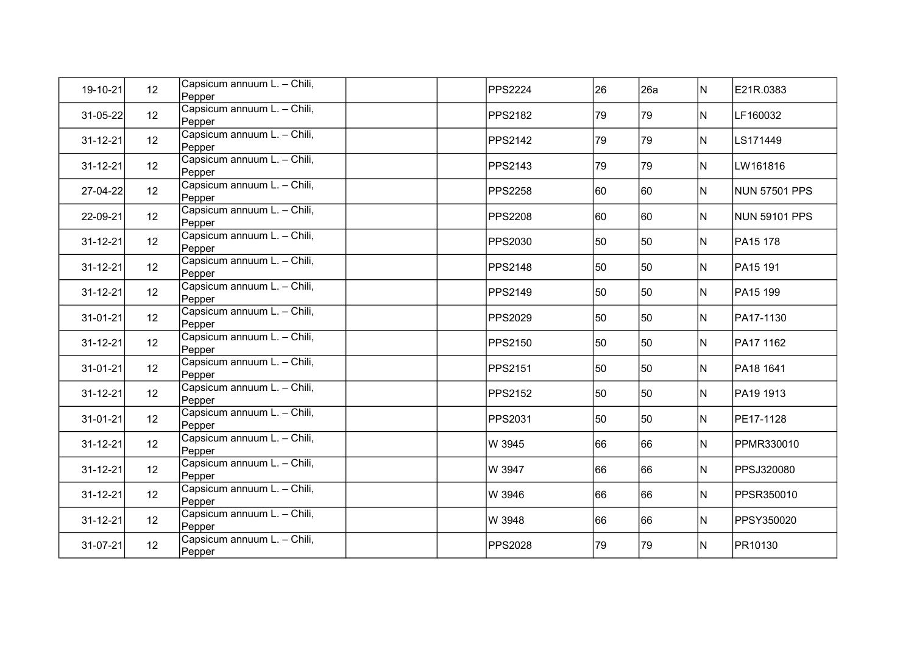| 19-10-21       | 12 | Capsicum annuum L. - Chili,<br>Pepper | <b>PPS2224</b> | 26 | 26a | N            | E21R.0383     |
|----------------|----|---------------------------------------|----------------|----|-----|--------------|---------------|
| 31-05-22       | 12 | Capsicum annuum L. - Chili,<br>Pepper | <b>PPS2182</b> | 79 | 79  | N            | LF160032      |
| $31 - 12 - 21$ | 12 | Capsicum annuum L. - Chili,<br>Pepper | <b>PPS2142</b> | 79 | 79  | N            | LS171449      |
| $31 - 12 - 21$ | 12 | Capsicum annuum L. - Chili,<br>Pepper | <b>PPS2143</b> | 79 | 79  | N            | LW161816      |
| 27-04-22       | 12 | Capsicum annuum L. - Chili,<br>Pepper | <b>PPS2258</b> | 60 | 60  | N            | NUN 57501 PPS |
| 22-09-21       | 12 | Capsicum annuum L. - Chili,<br>Pepper | <b>PPS2208</b> | 60 | 60  | N            | NUN 59101 PPS |
| 31-12-21       | 12 | Capsicum annuum L. - Chili,<br>Pepper | PPS2030        | 50 | 50  | N            | PA15 178      |
| 31-12-21       | 12 | Capsicum annuum L. - Chili,<br>Pepper | PPS2148        | 50 | 50  | N            | PA15 191      |
| $31 - 12 - 21$ | 12 | Capsicum annuum L. - Chili,<br>Pepper | PPS2149        | 50 | 50  | IN.          | PA15 199      |
| 31-01-21       | 12 | Capsicum annuum L. - Chili,<br>Pepper | <b>PPS2029</b> | 50 | 50  | IN.          | PA17-1130     |
| 31-12-21       | 12 | Capsicum annuum L. - Chili,<br>Pepper | <b>PPS2150</b> | 50 | 50  | IN.          | PA17 1162     |
| 31-01-21       | 12 | Capsicum annuum L. - Chili,<br>Pepper | <b>PPS2151</b> | 50 | 50  | N            | PA18 1641     |
| 31-12-21       | 12 | Capsicum annuum L. - Chili,<br>Pepper | <b>PPS2152</b> | 50 | 50  | N            | PA19 1913     |
| 31-01-21       | 12 | Capsicum annuum L. - Chili,<br>Pepper | PPS2031        | 50 | 50  | N            | PE17-1128     |
| 31-12-21       | 12 | Capsicum annuum L. - Chili,<br>Pepper | W 3945         | 66 | 66  | N            | PPMR330010    |
| 31-12-21       | 12 | Capsicum annuum L. - Chili,<br>Pepper | W 3947         | 66 | 66  | N            | PPSJ320080    |
| 31-12-21       | 12 | Capsicum annuum L. - Chili,<br>Pepper | W 3946         | 66 | 66  | $\mathsf{N}$ | PPSR350010    |
| $31 - 12 - 21$ | 12 | Capsicum annuum L. - Chili,<br>Pepper | W 3948         | 66 | 66  | N.           | PPSY350020    |
| 31-07-21       | 12 | Capsicum annuum L. - Chili,<br>Pepper | <b>PPS2028</b> | 79 | 79  | IN.          | PR10130       |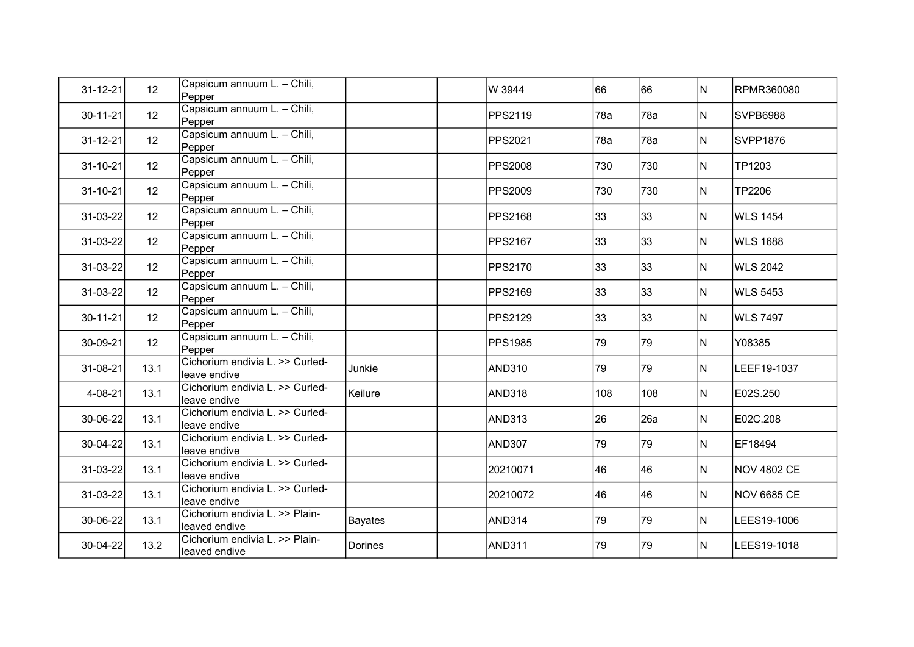| $31 - 12 - 21$ | 12              | Capsicum annuum L. - Chili,<br>Pepper           |                | W 3944         | 66  | 66  | N   | RPMR360080         |
|----------------|-----------------|-------------------------------------------------|----------------|----------------|-----|-----|-----|--------------------|
| $30 - 11 - 21$ | 12              | Capsicum annuum L. - Chili,<br>Pepper           |                | PPS2119        | 78a | 78a | N   | <b>SVPB6988</b>    |
| $31 - 12 - 21$ | 12              | Capsicum annuum L. - Chili,<br>Pepper           |                | PPS2021        | 78a | 78a | IN. | SVPP1876           |
| $31 - 10 - 21$ | 12              | Capsicum annuum L. - Chili,<br>Pepper           |                | <b>PPS2008</b> | 730 | 730 | N   | TP1203             |
| $31 - 10 - 21$ | 12              | Capsicum annuum L. - Chili,<br>lPepper          |                | <b>PPS2009</b> | 730 | 730 | N   | TP2206             |
| $31 - 03 - 22$ | 12              | Capsicum annuum L. - Chili,<br>Pepper           |                | <b>PPS2168</b> | 33  | 33  | N   | WLS 1454           |
| $31 - 03 - 22$ | 12              | Capsicum annuum L. - Chili,<br>Pepper           |                | <b>PPS2167</b> | 33  | 33  | N   | WLS 1688           |
| $31 - 03 - 22$ | 12              | Capsicum annuum L. - Chili,<br>Pepper           |                | <b>PPS2170</b> | 33  | 33  | IN. | WLS 2042           |
| $31 - 03 - 22$ | 12              | Capsicum annuum L. - Chili,<br>Pepper           |                | PPS2169        | 33  | 33  | IN. | WLS 5453           |
| 30-11-21       | 12 <sup>°</sup> | Capsicum annuum L. - Chili,<br>Pepper           |                | PPS2129        | 33  | 33  | IN. | WLS 7497           |
| 30-09-21       | 12              | Capsicum annuum L. - Chili,<br>Pepper           |                | <b>PPS1985</b> | 79  | 79  | N   | Y08385             |
| 31-08-21       | 13.1            | Cichorium endivia L. >> Curled-<br>leave endive | Junkie         | <b>AND310</b>  | 79  | 79  | N   | LEEF19-1037        |
| 4-08-21        | 13.1            | Cichorium endivia L. >> Curled-<br>leave endive | Keilure        | <b>AND318</b>  | 108 | 108 | N   | E02S.250           |
| 30-06-22       | 13.1            | Cichorium endivia L. >> Curled-<br>leave endive |                | <b>AND313</b>  | 26  | 26a | N   | E02C.208           |
| 30-04-22       | 13.1            | Cichorium endivia L. >> Curled-<br>leave endive |                | <b>AND307</b>  | 79  | 79  | N   | EF18494            |
| $31 - 03 - 22$ | 13.1            | Cichorium endivia L. >> Curled-<br>leave endive |                | 20210071       | 46  | 46  | N   | <b>NOV 4802 CE</b> |
| $31 - 03 - 22$ | 13.1            | Cichorium endivia L. >> Curled-<br>leave endive |                | 20210072       | 46  | 46  | IN. | NOV 6685 CE        |
| 30-06-22       | 13.1            | Cichorium endivia L. >> Plain-<br>leaved endive | <b>Bayates</b> | <b>AND314</b>  | 79  | 79  | N   | LEES19-1006        |
| 30-04-22       | 13.2            | Cichorium endivia L. >> Plain-<br>leaved endive | Dorines        | <b>AND311</b>  | 79  | 79  | N   | LEES19-1018        |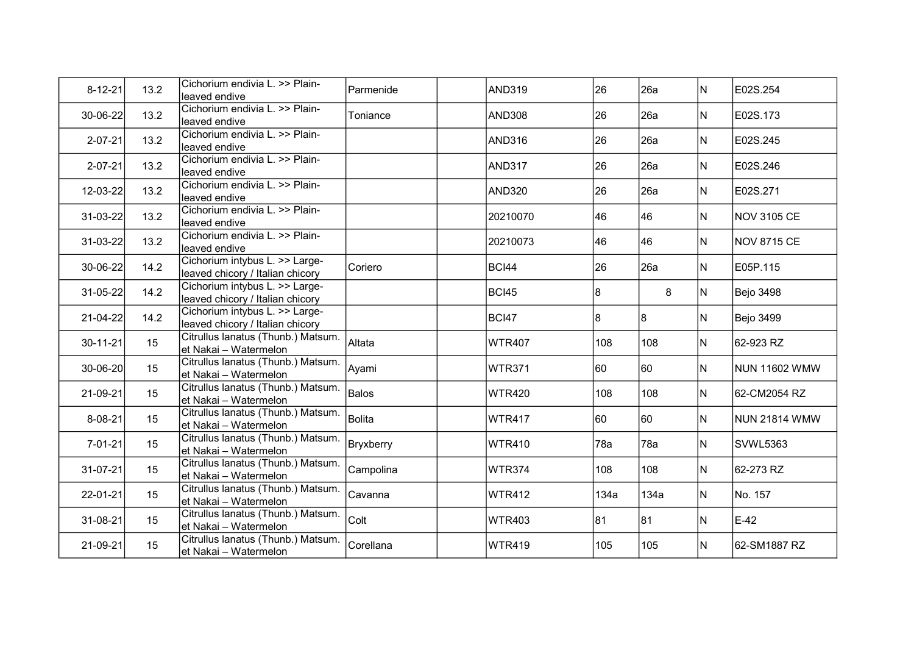| $8 - 12 - 21$ | 13.2 | Cichorium endivia L. >> Plain-<br>lleaved endive                   | Parmenide | <b>AND319</b> | 26   | 26a  | N   | E02S.254           |
|---------------|------|--------------------------------------------------------------------|-----------|---------------|------|------|-----|--------------------|
| 30-06-22      | 13.2 | Cichorium endivia L. >> Plain-<br>leaved endive                    | Toniance  | <b>AND308</b> | 26   | 26a  | N   | E02S.173           |
| $2 - 07 - 21$ | 13.2 | Cichorium endivia L. >> Plain-<br>leaved endive                    |           | <b>AND316</b> | 26   | 26a  | N   | E02S.245           |
| $2 - 07 - 21$ | 13.2 | Cichorium endivia L. >> Plain-<br>leaved endive                    |           | <b>AND317</b> | 26   | 26a  | N   | E02S.246           |
| 12-03-22      | 13.2 | Cichorium endivia L. >> Plain-<br>leaved endive                    |           | <b>AND320</b> | 26   | 26a  | N   | E02S.271           |
| 31-03-22      | 13.2 | Cichorium endivia L. >> Plain-<br>leaved endive                    |           | 20210070      | 46   | 46   | IN. | <b>NOV 3105 CE</b> |
| 31-03-22      | 13.2 | Cichorium endivia L. >> Plain-<br>leaved endive                    |           | 20210073      | 46   | 46   | N   | <b>NOV 8715 CE</b> |
| 30-06-22      | 14.2 | Cichorium intybus L. >> Large-<br>leaved chicory / Italian chicory | Coriero   | <b>BCI44</b>  | 26   | 26a  | N   | E05P.115           |
| 31-05-22      | 14.2 | Cichorium intybus L. >> Large-<br>leaved chicory / Italian chicory |           | BCI45         | 8    | 8    | N   | Bejo 3498          |
| 21-04-22      | 14.2 | Cichorium intybus L. >> Large-<br>leaved chicory / Italian chicory |           | <b>BCI47</b>  | 8    | 8    | N   | Bejo 3499          |
| 30-11-21      | 15   | Citrullus lanatus (Thunb.) Matsum.<br>et Nakai – Watermelon        | Altata    | <b>WTR407</b> | 108  | 108  | N   | 62-923 RZ          |
| 30-06-20      | 15   | Citrullus lanatus (Thunb.) Matsum.<br>et Nakai – Watermelon        | Ayami     | <b>WTR371</b> | 60   | 60   | N   | NUN 11602 WMW      |
| 21-09-21      | 15   | Citrullus lanatus (Thunb.) Matsum.<br>et Nakai - Watermelon        | Balos     | <b>WTR420</b> | 108  | 108  | N   | 62-CM2054 RZ       |
| 8-08-21       | 15   | Citrullus lanatus (Thunb.) Matsum.<br>et Nakai - Watermelon        | Bolita    | <b>WTR417</b> | 160  | 60   | N   | NUN 21814 WMW      |
| $7 - 01 - 21$ | 15   | Citrullus lanatus (Thunb.) Matsum.<br>et Nakai – Watermelon        | Bryxberry | <b>WTR410</b> | 78a  | 78a  | N   | SVWL5363           |
| 31-07-21      | 15   | Citrullus lanatus (Thunb.) Matsum.<br>et Nakai – Watermelon        | Campolina | <b>WTR374</b> | 108  | 108  | N.  | 62-273 RZ          |
| 22-01-21      | 15   | Citrullus lanatus (Thunb.) Matsum.<br>et Nakai – Watermelon        | Cavanna   | <b>WTR412</b> | 134a | 134a | N   | No. 157            |
| 31-08-21      | 15   | Citrullus lanatus (Thunb.) Matsum.<br>et Nakai – Watermelon        | Colt      | <b>WTR403</b> | 81   | 81   | N   | E-42               |
| 21-09-21      | 15   | Citrullus lanatus (Thunb.) Matsum.<br>et Nakai – Watermelon        | Corellana | <b>WTR419</b> | 105  | 105  | N   | 62-SM1887 RZ       |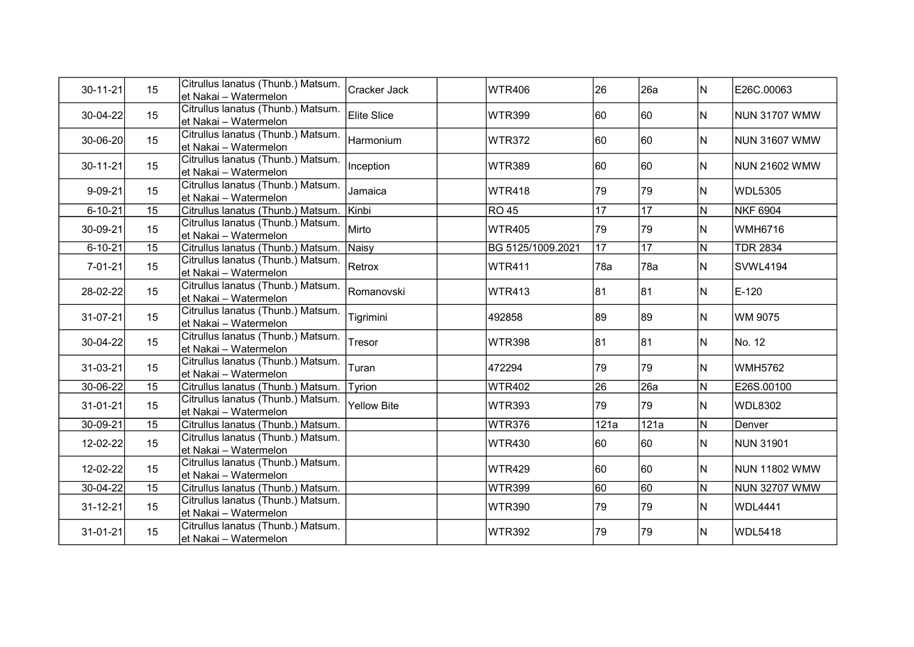| $30 - 11 - 21$ | 15              | Citrullus lanatus (Thunb.) Matsum.<br>et Nakai – Watermelon | Cracker Jack       | <b>WTR406</b>     | 26              | 26a              | N            | E26C.00063           |
|----------------|-----------------|-------------------------------------------------------------|--------------------|-------------------|-----------------|------------------|--------------|----------------------|
| 30-04-22       | 15              | Citrullus lanatus (Thunb.) Matsum.<br>et Nakai - Watermelon | $ $ Elite Slice    | <b>WTR399</b>     | 60              | 60               | N            | <b>NUN 31707 WMW</b> |
| 30-06-20       | 15              | Citrullus lanatus (Thunb.) Matsum.<br>et Nakai - Watermelon | Harmonium          | <b>WTR372</b>     | 60              | 60               | N            | <b>NUN 31607 WMW</b> |
| $30 - 11 - 21$ | 15              | Citrullus lanatus (Thunb.) Matsum.<br>et Nakai - Watermelon | Inception          | <b>WTR389</b>     | 60              | 60               | N            | NUN 21602 WMW        |
| $9 - 09 - 21$  | 15              | Citrullus lanatus (Thunb.) Matsum.<br>et Nakai - Watermelon | Jamaica            | <b>WTR418</b>     | 79              | 79               | N            | WDL5305              |
| $6 - 10 - 21$  | 15              | Citrullus lanatus (Thunb.) Matsum.                          | Kinbi              | <b>RO 45</b>      | $\overline{17}$ | $\overline{17}$  | ${\sf N}$    | NKF 6904             |
| 30-09-21       | 15              | Citrullus lanatus (Thunb.) Matsum.<br>et Nakai - Watermelon | Mirto              | <b>WTR405</b>     | 79              | 79               | N            | WMH6716              |
| $6 - 10 - 21$  | 15              | Citrullus lanatus (Thunb.) Matsum.                          | Naisy              | BG 5125/1009.2021 | $\overline{17}$ | $\overline{17}$  | N            | <b>TDR 2834</b>      |
| $7 - 01 - 21$  | 15              | Citrullus lanatus (Thunb.) Matsum.<br>et Nakai – Watermelon | Retrox             | <b>WTR411</b>     | 78a             | 78a              | N            | SVWL4194             |
| 28-02-22       | 15              | Citrullus lanatus (Thunb.) Matsum.<br>et Nakai - Watermelon | Romanovski         | <b>WTR413</b>     | 81              | 81               | N            | E-120                |
| 31-07-21       | 15              | Citrullus lanatus (Thunb.) Matsum.<br>et Nakai - Watermelon | Tigrimini          | 492858            | 89              | 89               | N            | WM 9075              |
| $30 - 04 - 22$ | 15              | Citrullus lanatus (Thunb.) Matsum.<br>et Nakai - Watermelon | Tresor             | <b>WTR398</b>     | 81              | 81               | N            | No. 12               |
| 31-03-21       | 15              | Citrullus lanatus (Thunb.) Matsum.<br>et Nakai - Watermelon | Turan              | 472294            | 79              | 79               | N            | WMH5762              |
| 30-06-22       | 15              | Citrullus lanatus (Thunb.) Matsum.                          | Tyrion             | <b>WTR402</b>     | $\overline{26}$ | $\overline{26a}$ | $\mathsf{N}$ | E26S.00100           |
| 31-01-21       | 15              | Citrullus lanatus (Thunb.) Matsum.<br>et Nakai - Watermelon | <b>Yellow Bite</b> | <b>WTR393</b>     | 79              | 79               | N            | WDL8302              |
| $30 - 09 - 21$ | $\overline{15}$ | Citrullus lanatus (Thunb.) Matsum.                          |                    | <b>WTR376</b>     | 121a            | 121a             | N            | Denver               |
| 12-02-22       | 15              | Citrullus lanatus (Thunb.) Matsum.<br>et Nakai - Watermelon |                    | <b>WTR430</b>     | 60              | 60               | N            | NUN 31901            |
| 12-02-22       | 15              | Citrullus lanatus (Thunb.) Matsum.<br>et Nakai - Watermelon |                    | <b>WTR429</b>     | 60              | 60               | N            | <b>NUN 11802 WMW</b> |
| $30 - 04 - 22$ | 15              | Citrullus lanatus (Thunb.) Matsum.                          |                    | <b>WTR399</b>     | 60              | 60               | ${\sf N}$    | NUN 32707 WMW        |
| $31 - 12 - 21$ | 15              | Citrullus lanatus (Thunb.) Matsum.<br>et Nakai - Watermelon |                    | <b>WTR390</b>     | 79              | 79               | N            | WDL4441              |
| $31 - 01 - 21$ | 15              | Citrullus lanatus (Thunb.) Matsum.<br>et Nakai - Watermelon |                    | <b>WTR392</b>     | 79              | 79               | IN.          | WDL5418              |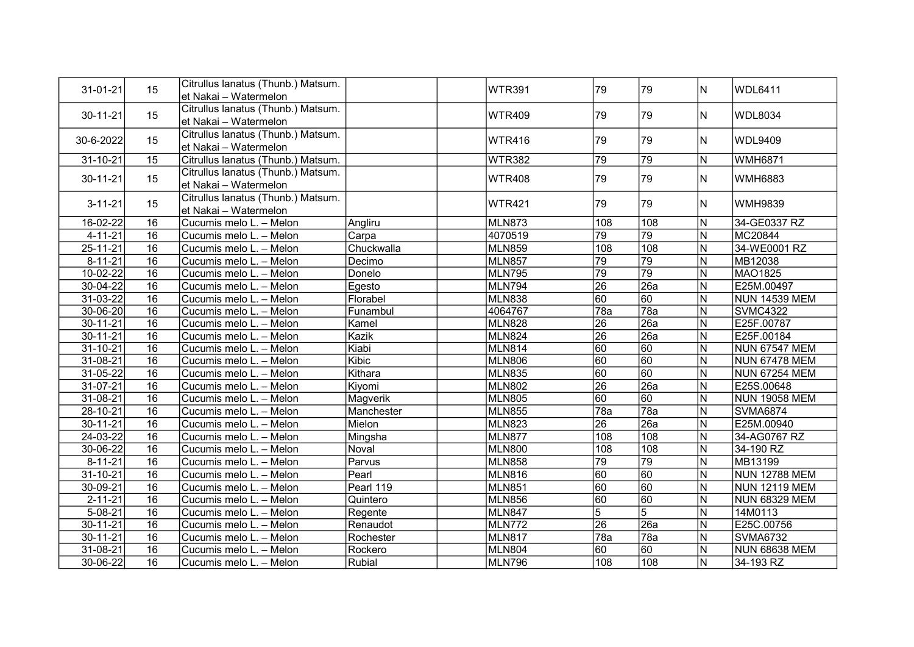| 31-01-21      | 15              | Citrullus lanatus (Thunb.) Matsum. |            | <b>WTR391</b> | 79              | 79               | N                       | WDL6411              |
|---------------|-----------------|------------------------------------|------------|---------------|-----------------|------------------|-------------------------|----------------------|
|               |                 | et Nakai - Watermelon              |            |               |                 |                  |                         |                      |
| 30-11-21      | 15              | Citrullus lanatus (Thunb.) Matsum. |            | <b>WTR409</b> | 79              | 79               | N                       | WDL8034              |
|               |                 | et Nakai - Watermelon              |            |               |                 |                  |                         |                      |
| 30-6-2022     | 15              | Citrullus lanatus (Thunb.) Matsum. |            | <b>WTR416</b> | 79              | 79               | N                       | WDL9409              |
|               |                 | et Nakai - Watermelon              |            |               |                 |                  |                         |                      |
| 31-10-21      | 15              | Citrullus lanatus (Thunb.) Matsum. |            | <b>WTR382</b> | 79              | 79               | $\overline{\mathsf{N}}$ | WMH6871              |
| 30-11-21      | 15              | Citrullus lanatus (Thunb.) Matsum. |            | <b>WTR408</b> | 79              | 79               | N                       | WMH6883              |
|               |                 | et Nakai - Watermelon              |            |               |                 |                  |                         |                      |
| $3 - 11 - 21$ | 15              | Citrullus lanatus (Thunb.) Matsum. |            | <b>WTR421</b> | 79              | 79               | N                       | <b>WMH9839</b>       |
|               |                 | et Nakai - Watermelon              |            |               |                 |                  |                         |                      |
| 16-02-22      | 16              | Cucumis melo L. - Melon            | Angliru    | <b>MLN873</b> | 108             | 108              | N                       | 34-GE0337 RZ         |
| $4 - 11 - 21$ | 16              | Cucumis melo L. - Melon            | Carpa      | 4070519       | $\overline{79}$ | $\overline{79}$  | N                       | MC20844              |
| 25-11-21      | 16              | Cucumis melo L. - Melon            | Chuckwalla | <b>MLN859</b> | 108             | 108              | N                       | 34-WE0001 RZ         |
| $8 - 11 - 21$ | 16              | Cucumis melo L. - Melon            | Decimo     | <b>MLN857</b> | 79              | $\overline{79}$  | N                       | MB12038              |
| 10-02-22      | 16              | Cucumis melo L. - Melon            | Donelo     | <b>MLN795</b> | $\overline{79}$ | $\overline{79}$  | N                       | MAO1825              |
| 30-04-22      | 16              | Cucumis melo L. - Melon            | Egesto     | <b>MLN794</b> | 26              | $\overline{26a}$ | N                       | E25M.00497           |
| 31-03-22      | 16              | Cucumis melo L. - Melon            | Florabel   | <b>MLN838</b> | 60              | 60               | N                       | NUN 14539 MEM        |
| 30-06-20      | 16              | Cucumis melo L. - Melon            | Funambul   | 4064767       | 78a             | 78a              | N                       | <b>SVMC4322</b>      |
| 30-11-21      | 16              | Cucumis melo L. - Melon            | Kamel      | <b>MLN828</b> | 26              | 26a              | $\mathsf{N}$            | E25F.00787           |
| 30-11-21      | 16              | Cucumis melo L. - Melon            | Kazik      | <b>MLN824</b> | 26              | $\overline{26a}$ | $\mathsf{N}$            | E25F.00184           |
| 31-10-21      | 16              | Cucumis melo L. - Melon            | Kiabi      | <b>MLN814</b> | 60              | 60               | $\overline{\mathsf{N}}$ | <b>NUN 67547 MEM</b> |
| 31-08-21      | 16              | Cucumis melo L. - Melon            | Kibic      | <b>MLN806</b> | 60              | 60               | $\mathsf{N}$            | NUN 67478 MEM        |
| 31-05-22      | 16              | Cucumis melo L. - Melon            | Kithara    | <b>MLN835</b> | 60              | 60               | $\overline{\mathsf{N}}$ | NUN 67254 MEM        |
| 31-07-21      | 16              | Cucumis melo L. - Melon            | Kiyomi     | <b>MLN802</b> | 26              | $\overline{26a}$ | N                       | E25S.00648           |
| 31-08-21      | 16              | Cucumis melo L. - Melon            | Magverik   | <b>MLN805</b> | 60              | 60               | $\overline{N}$          | NUN 19058 MEM        |
| 28-10-21      | 16              | Cucumis melo L. - Melon            | Manchester | <b>MLN855</b> | 78a             | $\overline{78a}$ | ${\sf N}$               | <b>SVMA6874</b>      |
| 30-11-21      | 16              | Cucumis melo L. - Melon            | Mielon     | <b>MLN823</b> | 26              | 26a              | N                       | E25M.00940           |
| 24-03-22      | 16              | Cucumis melo L. - Melon            | Mingsha    | <b>MLN877</b> | 108             | 108              | $\overline{\mathsf{N}}$ | 34-AG0767 RZ         |
| 30-06-22      | 16              | Cucumis melo L. - Melon            | Noval      | <b>MLN800</b> | 108             | 108              | $\overline{\mathsf{N}}$ | 34-190 RZ            |
| $8 - 11 - 21$ | 16              | Cucumis melo L. - Melon            | Parvus     | <b>MLN858</b> | $\overline{79}$ | $\overline{79}$  | Z                       | MB13199              |
| 31-10-21      | 16              | Cucumis melo L. - Melon            | Pearl      | <b>MLN816</b> | 60              | 60               | $\mathsf{N}$            | <b>NUN 12788 MEM</b> |
| 30-09-21      | $\overline{16}$ | Cucumis melo L. - Melon            | Pearl 119  | <b>MLN851</b> | 60              | 60               | $\mathsf{N}$            | NUN 12119 MEM        |
| $2 - 11 - 21$ | 16              | Cucumis melo L. - Melon            | Quintero   | <b>MLN856</b> | 60              | 60               | N                       | <b>NUN 68329 MEM</b> |
| $5 - 08 - 21$ | 16              | Cucumis melo L. - Melon            | Regente    | <b>MLN847</b> | $\overline{5}$  | $\overline{5}$   | N                       | 14M0113              |
| 30-11-21      | 16              | Cucumis melo L. - Melon            | Renaudot   | <b>MLN772</b> | 26              | $\overline{26a}$ | $\overline{\mathsf{N}}$ | E25C.00756           |
| 30-11-21      | 16              | Cucumis melo L. - Melon            | Rochester  | <b>MLN817</b> | 78a             | 78a              | N                       | <b>SVMA6732</b>      |
| 31-08-21      | 16              | Cucumis melo L. - Melon            | Rockero    | <b>MLN804</b> | 60              | 60               | $\overline{N}$          | NUN 68638 MEM        |
| 30-06-22      | 16              | Cucumis melo L. - Melon            | Rubial     | MLN796        | 108             | 108              | N                       | 34-193 RZ            |
|               |                 |                                    |            |               |                 |                  |                         |                      |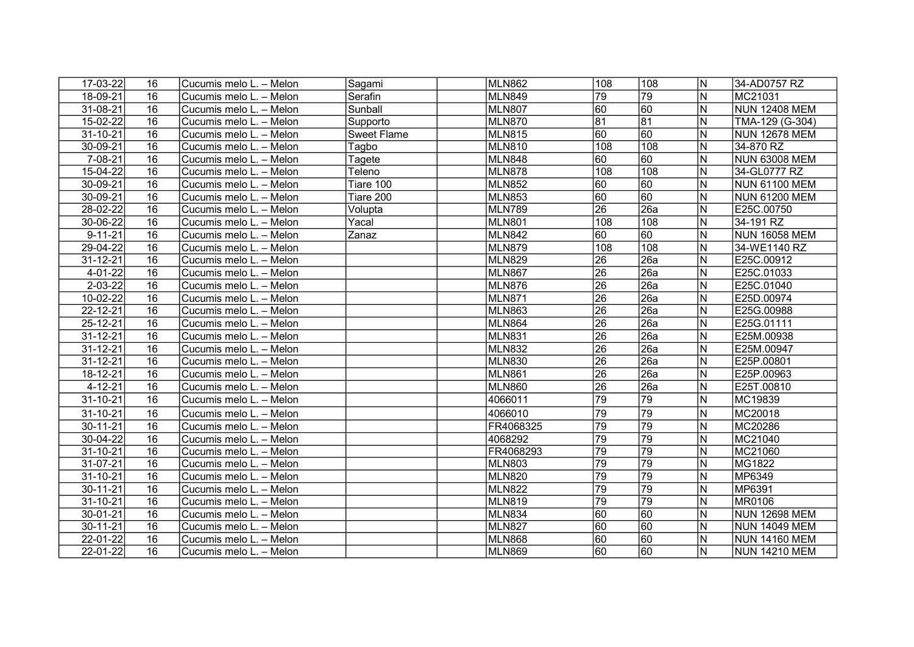| $17-03-22$     | 16 | Cucumis melo L. - Melon | Sagami             | <b>MLN862</b> | 108             | 108             | N                       | 34-AD0757 RZ         |
|----------------|----|-------------------------|--------------------|---------------|-----------------|-----------------|-------------------------|----------------------|
| 18-09-21       | 16 | Cucumis melo L. - Melon | Serafin            | <b>MLN849</b> | 79              | 79              | N                       | MC21031              |
| 31-08-21       | 16 | Cucumis melo L. - Melon | Sunball            | <b>MLN807</b> | 60              | $\overline{60}$ | $\overline{N}$          | <b>NUN 12408 MEM</b> |
| 15-02-22       | 16 | Cucumis melo L. - Melon | Supporto           | <b>MLN870</b> | 81              | 81              | N                       | TMA-129 (G-304)      |
| $31 - 10 - 21$ | 16 | Cucumis melo L. - Melon | <b>Sweet Flame</b> | <b>MLN815</b> | $\overline{60}$ | $\overline{60}$ | $\overline{\mathsf{N}}$ | <b>NUN 12678 MEM</b> |
| 30-09-21       | 16 | Cucumis melo L. - Melon | Tagbo              | <b>MLN810</b> | 108             | 108             | $\overline{\mathsf{N}}$ | 34-870 RZ            |
| 7-08-21        | 16 | Cucumis melo L. - Melon | Tagete             | <b>MLN848</b> | 60              | 60              | N                       | <b>NUN 63008 MEM</b> |
| 15-04-22       | 16 | Cucumis melo L. - Melon | Teleno             | <b>MLN878</b> | 108             | 108             | N                       | 34-GL0777 RZ         |
| 30-09-21       | 16 | Cucumis melo L. - Melon | Tiare 100          | <b>MLN852</b> | 60              | 60              | N                       | <b>NUN 61100 MEM</b> |
| 30-09-21       | 16 | Cucumis melo L. - Melon | Tiare 200          | MLN853        | 60              | 60              | N                       | <b>NUN 61200 MEM</b> |
| 28-02-22       | 16 | Cucumis melo L. - Melon | Volupta            | <b>MLN789</b> | 26              | 26a             | N                       | E25C.00750           |
| 30-06-22       | 16 | Cucumis melo L. - Melon | Yacal              | MLN801        | 108             | 108             | N                       | 34-191 RZ            |
| $9 - 11 - 21$  | 16 | Cucumis melo L. - Melon | Zanaz              | <b>MLN842</b> | 60              | 60              | N                       | NUN 16058 MEM        |
| 29-04-22       | 16 | Cucumis melo L. - Melon |                    | <b>MLN879</b> | 108             | 108             | N                       | 34-WE1140 RZ         |
| $31 - 12 - 21$ | 16 | Cucumis melo L. - Melon |                    | <b>MLN829</b> | 26              | 26a             | N                       | E25C.00912           |
| $4 - 01 - 22$  | 16 | Cucumis melo L. - Melon |                    | MLN867        | 26              | 26a             | N                       | E25C.01033           |
| $2 - 03 - 22$  | 16 | Cucumis melo L. - Melon |                    | <b>MLN876</b> | 26              | 26a             | N                       | E25C.01040           |
| 10-02-22       | 16 | Cucumis melo L. - Melon |                    | <b>MLN871</b> | 26              | 26a             | N                       | E25D.00974           |
| 22-12-21       | 16 | Cucumis melo L. - Melon |                    | <b>MLN863</b> | $\overline{26}$ | 26a             | ${\sf N}$               | E25G.00988           |
| 25-12-21       | 16 | Cucumis melo L. - Melon |                    | <b>MLN864</b> | $\overline{26}$ | 26a             | N                       | E25G.01111           |
| 31-12-21       | 16 | Cucumis melo L. - Melon |                    | <b>MLN831</b> | $\overline{26}$ | 26a             | $\mathsf{N}$            | E25M.00938           |
| 31-12-21       | 16 | Cucumis melo L. - Melon |                    | <b>MLN832</b> | $\overline{26}$ | 26a             | N                       | E25M.00947           |
| 31-12-21       | 16 | Cucumis melo L. - Melon |                    | <b>MLN830</b> | 26              | 26a             | N                       | E25P.00801           |
| 18-12-21       | 16 | Cucumis melo L. - Melon |                    | <b>MLN861</b> | $\overline{26}$ | 26a             | $\mathsf{N}$            | E25P.00963           |
| $4 - 12 - 21$  | 16 | Cucumis melo L. - Melon |                    | <b>MLN860</b> | $\overline{26}$ | 26a             | N                       | E25T.00810           |
| 31-10-21       | 16 | Cucumis melo L. - Melon |                    | 4066011       | 79              | 79              | N                       | MC19839              |
| 31-10-21       | 16 | Cucumis melo L. - Melon |                    | 4066010       | 79              | 79              | N                       | MC20018              |
| 30-11-21       | 16 | Cucumis melo L. - Melon |                    | FR4068325     | 79              | 79              | N                       | MC20286              |
| 30-04-22       | 16 | Cucumis melo L. - Melon |                    | 4068292       | 79              | 79              | N                       | MC21040              |
| 31-10-21       | 16 | Cucumis melo L. - Melon |                    | FR4068293     | $\overline{79}$ | 79              | $\overline{\mathsf{N}}$ | MC21060              |
| 31-07-21       | 16 | Cucumis melo L. - Melon |                    | <b>MLN803</b> | 79              | $\overline{79}$ | N                       | MG1822               |
| 31-10-21       | 16 | Cucumis melo L. - Melon |                    | <b>MLN820</b> | $\overline{79}$ | 79              | N                       | MP6349               |
| 30-11-21       | 16 | Cucumis melo L. - Melon |                    | <b>MLN822</b> | $\overline{79}$ | 79              | N                       | MP6391               |
| 31-10-21       | 16 | Cucumis melo L. - Melon |                    | <b>MLN819</b> | $\overline{79}$ | 79              | N                       | MR0106               |
| 30-01-21       | 16 | Cucumis melo L. - Melon |                    | <b>MLN834</b> | 60              | 60              | N                       | <b>NUN 12698 MEM</b> |
| 30-11-21       | 16 | Cucumis melo L. - Melon |                    | <b>MLN827</b> | 60              | 60              | $\overline{\mathsf{N}}$ | <b>NUN 14049 MEM</b> |
| 22-01-22       | 16 | Cucumis melo L. - Melon |                    | <b>MLN868</b> | 60              | 60              | N                       | <b>NUN 14160 MEM</b> |
| 22-01-22       | 16 | Cucumis melo L. - Melon |                    | MLN869        | 60              | 60              | N                       | <b>NUN 14210 MEM</b> |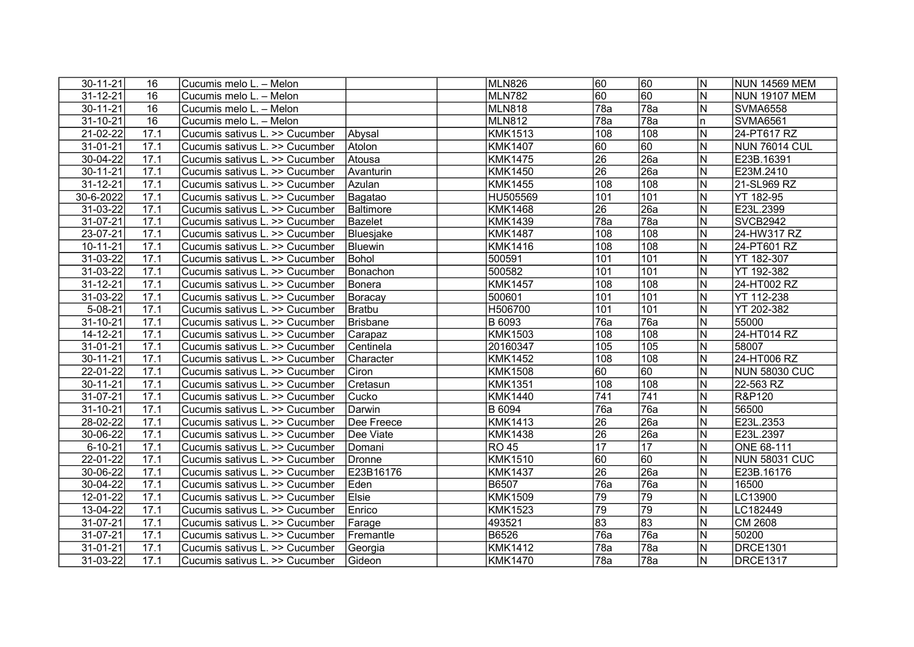| $30 - 11 - 21$ | 16   | Cucumis melo L. - Melon        |                 | <b>MLN826</b>  | 60               | 60               | IN.                     | <b>NUN 14569 MEM</b> |
|----------------|------|--------------------------------|-----------------|----------------|------------------|------------------|-------------------------|----------------------|
| 31-12-21       | 16   | Cucumis melo L. - Melon        |                 | <b>MLN782</b>  | 60               | 60               | N                       | NUN 19107 MEM        |
| 30-11-21       | 16   | Cucumis melo L. - Melon        |                 | <b>MLN818</b>  | 78a              | 78a              | N                       | SVMA6558             |
| 31-10-21       | 16   | Cucumis melo L. - Melon        |                 | <b>MLN812</b>  | 78a              | 78a              | n                       | SVMA6561             |
| 21-02-22       | 17.1 | Cucumis sativus L. >> Cucumber | Abysal          | <b>KMK1513</b> | 108              | 108              | N                       | 24-PT617 RZ          |
| 31-01-21       | 17.1 | Cucumis sativus L. >> Cucumber | Atolon          | <b>KMK1407</b> | 60               | 60               | N                       | <b>NUN 76014 CUL</b> |
| 30-04-22       | 17.1 | Cucumis sativus L. >> Cucumber | Atousa          | <b>KMK1475</b> | 26               | 26a              | N                       | E23B.16391           |
| 30-11-21       | 17.1 | Cucumis sativus L. >> Cucumber | Avanturin       | <b>KMK1450</b> | 26               | 26a              | $\overline{\mathsf{N}}$ | E23M.2410            |
| 31-12-21       | 17.1 | Cucumis sativus L. >> Cucumber | Azulan          | <b>KMK1455</b> | 108              | 108              | N                       | 21-SL969 RZ          |
| 30-6-2022      | 17.1 | Cucumis sativus L. >> Cucumber | Bagatao         | HU505569       | 101              | 101              | N                       | YT 182-95            |
| 31-03-22       | 17.1 | Cucumis sativus L. >> Cucumber | Baltimore       | <b>KMK1468</b> | $\overline{26}$  | 26a              | N                       | E23L.2399            |
| 31-07-21       | 17.1 | Cucumis sativus L. >> Cucumber | Bazelet         | <b>KMK1439</b> | $\overline{78a}$ | $\overline{78a}$ | N                       | <b>SVCB2942</b>      |
| 23-07-21       | 17.1 | Cucumis sativus L. >> Cucumber | Bluesjake       | <b>KMK1487</b> | 108              | 108              | N                       | 24-HW317 RZ          |
| 10-11-21       | 17.1 | Cucumis sativus L. >> Cucumber | <b>Bluewin</b>  | <b>KMK1416</b> | 108              | 108              | N                       | 24-PT601 RZ          |
| 31-03-22       | 17.1 | Cucumis sativus L. >> Cucumber | Bohol           | 500591         | 101              | 101              | N                       | YT 182-307           |
| 31-03-22       | 17.1 | Cucumis sativus L. >> Cucumber | Bonachon        | 500582         | 101              | 101              | N                       | YT 192-382           |
| 31-12-21       | 17.1 | Cucumis sativus L. >> Cucumber | Bonera          | <b>KMK1457</b> | 108              | 108              | N                       | 24-HT002 RZ          |
| 31-03-22       | 17.1 | Cucumis sativus L. >> Cucumber | Boracay         | 500601         | 101              | 101              | N                       | YT 112-238           |
| $5 - 08 - 21$  | 17.1 | Cucumis sativus L. >> Cucumber | Bratbu          | H506700        | 101              | 101              | N                       | YT 202-382           |
| 31-10-21       | 17.1 | Cucumis sativus L. >> Cucumber | <b>Brisbane</b> | B 6093         | 76a              | 76a              | $\overline{\mathsf{N}}$ | 55000                |
| $14 - 12 - 21$ | 17.1 | Cucumis sativus L. >> Cucumber | Carapaz         | <b>KMK1503</b> | 108              | 108              | N                       | 24-HT014 RZ          |
| 31-01-21       | 17.1 | Cucumis sativus L. >> Cucumber | Centinela       | 20160347       | 105              | 105              | N                       | 58007                |
| 30-11-21       | 17.1 | Cucumis sativus L. >> Cucumber | Character       | <b>KMK1452</b> | 108              | 108              | N                       | 24-HT006 RZ          |
| $22 - 01 - 22$ | 17.1 | Cucumis sativus L. >> Cucumber | Ciron           | <b>KMK1508</b> | 60               | 60               | N                       | <b>NUN 58030 CUC</b> |
| 30-11-21       | 17.1 | Cucumis sativus L. >> Cucumber | Cretasun        | <b>KMK1351</b> | 108              | 108              | N                       | 22-563 RZ            |
| 31-07-21       | 17.1 | Cucumis sativus L. >> Cucumber | Cucko           | <b>KMK1440</b> | 741              | $\overline{741}$ | N                       | R&P120               |
| $31 - 10 - 21$ | 17.1 | Cucumis sativus L. >> Cucumber | Darwin          | B 6094         | 76a              | 76a              | N                       | 56500                |
| 28-02-22       | 17.1 | Cucumis sativus L. >> Cucumber | Dee Freece      | <b>KMK1413</b> | $\overline{26}$  | 26a              | N                       | E23L.2353            |
| 30-06-22       | 17.1 | Cucumis sativus L. >> Cucumber | Dee Viate       | <b>KMK1438</b> | 26               | $\overline{26a}$ | $\overline{\mathsf{N}}$ | E23L.2397            |
| $6 - 10 - 21$  | 17.1 | Cucumis sativus L. >> Cucumber | lDomani         | <b>RO 45</b>   | $\overline{17}$  | $\overline{17}$  | $\overline{\mathsf{N}}$ | ONE 68-111           |
| 22-01-22       | 17.1 | Cucumis sativus L. >> Cucumber | Dronne          | <b>KMK1510</b> | 60               | 60               | N                       | NUN 58031 CUC        |
| 30-06-22       | 17.1 | Cucumis sativus L. >> Cucumber | E23B16176       | <b>KMK1437</b> | 26               | 26a              | N                       | E23B.16176           |
| 30-04-22       | 17.1 | Cucumis sativus L. >> Cucumber | Eden            | B6507          | 76a              | 76a              | N                       | 16500                |
| 12-01-22       | 17.1 | Cucumis sativus L. >> Cucumber | Elsie           | <b>KMK1509</b> | 79               | 79               | N                       | LC13900              |
| 13-04-22       | 17.1 | Cucumis sativus L. >> Cucumber | Enrico          | <b>KMK1523</b> | $\overline{79}$  | 79               | N                       | LC182449             |
| 31-07-21       | 17.1 | Cucumis sativus L. >> Cucumber | Farage          | 493521         | 83               | $\overline{83}$  | N                       | <b>CM 2608</b>       |
| 31-07-21       | 17.1 | Cucumis sativus L. >> Cucumber | Fremantle       | B6526          | Ī76a             | 76a              | N                       | 50200                |
| 31-01-21       | 17.1 | Cucumis sativus L. >> Cucumber | Georgia         | <b>KMK1412</b> | 78a              | 78a              | N                       | <b>DRCE1301</b>      |
| 31-03-22       | 17.1 | Cucumis sativus L. >> Cucumber | Gideon          | <b>KMK1470</b> | $\overline{78a}$ | 78a              | N                       | <b>DRCE1317</b>      |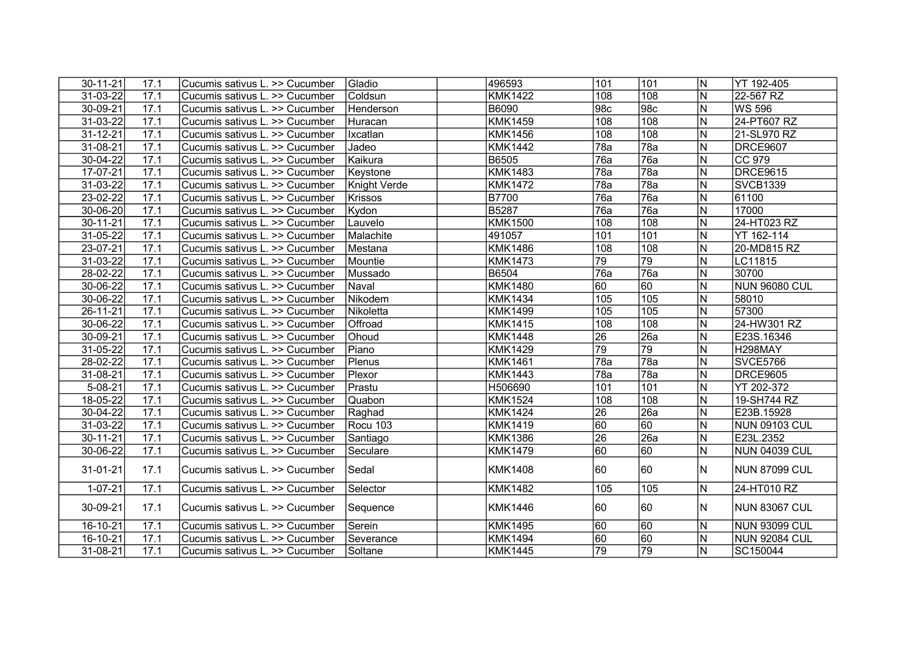| 30-11-21       | 17.1 | Cucumis sativus L. >> Cucumber | Gladio       | 496593         | 101             | 101              | IN.                     | YT 192-405           |
|----------------|------|--------------------------------|--------------|----------------|-----------------|------------------|-------------------------|----------------------|
| 31-03-22       | 17.1 | Cucumis sativus L. >> Cucumber | Coldsun      | <b>KMK1422</b> | 108             | 108              | $\overline{\mathsf{N}}$ | 22-567 RZ            |
| 30-09-21       | 17.1 | Cucumis sativus L. >> Cucumber | Henderson    | B6090          | 98c             | 98c              | N                       | WS 596               |
| 31-03-22       | 17.1 | Cucumis sativus L. >> Cucumber | Huracan      | <b>KMK1459</b> | 108             | 108              | N                       | 24-PT607 RZ          |
| $31 - 12 - 21$ | 17.1 | Cucumis sativus L. >> Cucumber | Ixcatlan     | <b>KMK1456</b> | 108             | 108              | N                       | 21-SL970 RZ          |
| 31-08-21       | 17.1 | Cucumis sativus L. >> Cucumber | Jadeo        | <b>KMK1442</b> | 78a             | $\overline{78a}$ | N                       | DRCE9607             |
| 30-04-22       | 17.1 | Cucumis sativus L. >> Cucumber | Kaikura      | B6505          | 76a             | 76a              | $\mathsf{N}$            | CC 979               |
| 17-07-21       | 17.1 | Cucumis sativus L. >> Cucumber | Keystone     | <b>KMK1483</b> | 78a             | 78a              | $\mathsf{N}$            | DRCE9615             |
| 31-03-22       | 17.1 | Cucumis sativus L. >> Cucumber | Knight Verde | <b>KMK1472</b> | 78a             | 78a              | $\mathsf{N}$            | SVCB1339             |
| 23-02-22       | 17.1 | Cucumis sativus L. >> Cucumber | Krissos      | B7700          | 76a             | 76a              | $\mathsf{N}$            | 61100                |
| 30-06-20       | 17.1 | Cucumis sativus L. >> Cucumber | Kydon        | B5287          | 76a             | 76a              | $\mathsf{N}$            | 17000                |
| 30-11-21       | 17.1 | Cucumis sativus L. >> Cucumber | Lauvelo      | <b>KMK1500</b> | 108             | 108              | $\mathsf{N}$            | 24-HT023 RZ          |
| 31-05-22       | 17.1 | Cucumis sativus L. >> Cucumber | Malachite    | 491057         | 101             | 101              | N                       | YT 162-114           |
| 23-07-21       | 17.1 | Cucumis sativus L. >> Cucumber | Mestana      | <b>KMK1486</b> | 108             | 108              | $\mathsf{N}$            | 20-MD815 RZ          |
| 31-03-22       | 17.1 | Cucumis sativus L. >> Cucumber | Mountie      | <b>KMK1473</b> | 79              | 79               | N                       | LC11815              |
| 28-02-22       | 17.1 | Cucumis sativus L. >> Cucumber | Mussado      | B6504          | 76a             | 76a              | $\mathsf{N}$            | 30700                |
| 30-06-22       | 17.1 | Cucumis sativus L. >> Cucumber | Naval        | <b>KMK1480</b> | 60              | 60               | N                       | NUN 96080 CUL        |
| 30-06-22       | 17.1 | Cucumis sativus L. >> Cucumber | Nikodem      | <b>KMK1434</b> | 105             | 105              | N                       | 58010                |
| 26-11-21       | 17.1 | Cucumis sativus L. >> Cucumber | Nikoletta    | <b>KMK1499</b> | 105             | 105              | $\mathsf{N}$            | 57300                |
| 30-06-22       | 17.1 | Cucumis sativus L. >> Cucumber | Offroad      | <b>KMK1415</b> | 108             | 108              | N                       | 24-HW301 RZ          |
| 30-09-21       | 17.1 | Cucumis sativus L. >> Cucumber | Ohoud        | <b>KMK1448</b> | 26              | 26a              | $\mathsf{N}$            | E23S.16346           |
| 31-05-22       | 17.1 | Cucumis sativus L. >> Cucumber | Piano        | <b>KMK1429</b> | 79              | 79               | ${\sf N}$               | H298MAY              |
| 28-02-22       | 17.1 | Cucumis sativus L. >> Cucumber | Plenus       | <b>KMK1461</b> | 78a             | 78a              | N                       | SVCE5766             |
| 31-08-21       | 17.1 | Cucumis sativus L. >> Cucumber | Plexor       | <b>KMK1443</b> | 78a             | 78a              | N                       | DRCE9605             |
| $5 - 08 - 21$  | 17.1 | Cucumis sativus L. >> Cucumber | Prastu       | H506690        | 101             | 101              | $\mathsf{N}$            | YT 202-372           |
| 18-05-22       | 17.1 | Cucumis sativus L. >> Cucumber | Quabon       | <b>KMK1524</b> | 108             | 108              | N                       | 19-SH744 RZ          |
| 30-04-22       | 17.1 | Cucumis sativus L. >> Cucumber | Raghad       | <b>KMK1424</b> | $\overline{26}$ | 26a              | N                       | E23B.15928           |
| 31-03-22       | 17.1 | Cucumis sativus L. >> Cucumber | Rocu 103     | KMK1419        | 60              | 60               | N                       | NUN 09103 CUL        |
| 30-11-21       | 17.1 | Cucumis sativus L. >> Cucumber | Santiago     | <b>KMK1386</b> | $\overline{26}$ | $\overline{26a}$ | N                       | E23L.2352            |
| 30-06-22       | 17.1 | Cucumis sativus L. >> Cucumber | Seculare     | <b>KMK1479</b> | 60              | 60               | $\mathsf{N}$            | NUN 04039 CUL        |
| 31-01-21       | 17.1 | Cucumis sativus L. >> Cucumber | Sedal        | <b>KMK1408</b> | 60              | 60               | IN.                     | INUN 87099 CUL       |
| $1 - 07 - 21$  | 17.1 | Cucumis sativus L. >> Cucumber | Selector     | <b>KMK1482</b> | 105             | 105              | N                       | 24-HT010 RZ          |
| 30-09-21       | 17.1 | Cucumis sativus L. >> Cucumber | Sequence     | <b>KMK1446</b> | 60              | 60               | IN.                     | <b>NUN 83067 CUL</b> |
| 16-10-21       | 17.1 | Cucumis sativus L. >> Cucumber | Serein       | <b>KMK1495</b> | $\overline{60}$ | 60               | N                       | NUN 93099 CUL        |
| 16-10-21       | 17.1 | Cucumis sativus L. >> Cucumber | Severance    | <b>KMK1494</b> | 60              | 60               | $\mathsf{N}$            | <b>NUN 92084 CUL</b> |
| 31-08-21       | 17.1 | Cucumis sativus L. >> Cucumber | Soltane      | <b>KMK1445</b> | 79              | 79               | N                       | SC150044             |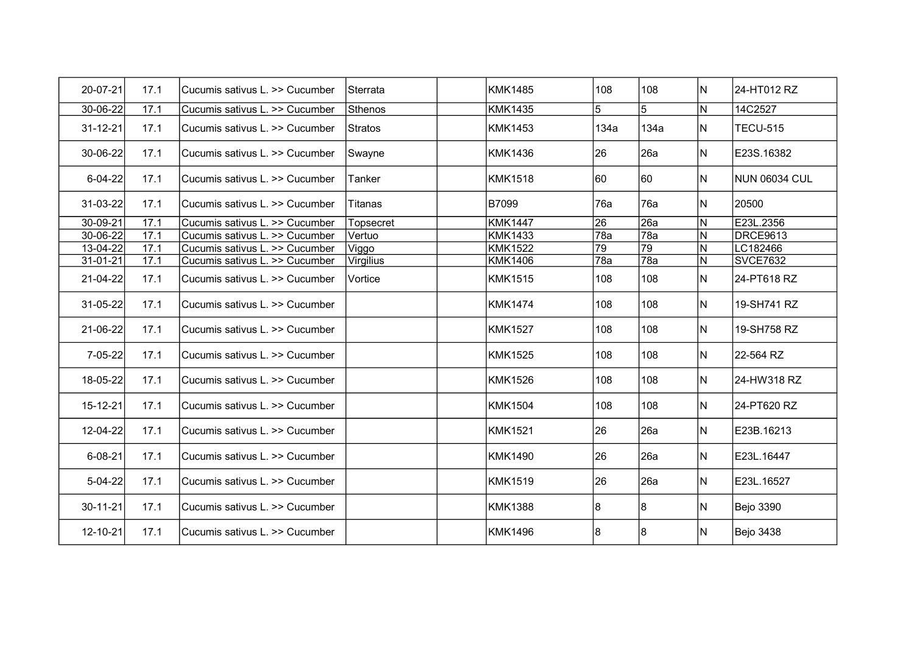| 20-07-21       | 17.1 | lCucumis sativus L. >> Cucumber | ISterrata | KMK1485        | 108  | 108            | IN.          | 124-HT012 RZ         |
|----------------|------|---------------------------------|-----------|----------------|------|----------------|--------------|----------------------|
| 30-06-22       | 17.1 | Cucumis sativus L. >> Cucumber  | Sthenos   | <b>KMK1435</b> | 5    | $\overline{5}$ | N            | 14C2527              |
| $31 - 12 - 21$ | 17.1 | Cucumis sativus L. >> Cucumber  | Stratos   | <b>KMK1453</b> | 134a | 134a           | IN.          | <b>TECU-515</b>      |
| 30-06-22       | 17.1 | Cucumis sativus L. >> Cucumber  | Swayne    | <b>KMK1436</b> | 26   | 26a            | IN.          | E23S.16382           |
| $6 - 04 - 22$  | 17.1 | Cucumis sativus L. >> Cucumber  | Tanker    | <b>KMK1518</b> | 160  | 160            | N            | <b>NUN 06034 CUL</b> |
| 31-03-22       | 17.1 | Cucumis sativus L. >> Cucumber  | Titanas   | <b>B7099</b>   | 76a  | 176a           | N            | 20500                |
| 30-09-21       | 17.1 | Cucumis sativus L. >> Cucumber  | Topsecret | <b>KMK1447</b> | 26   | 26a            | N            | E23L.2356            |
| 30-06-22       | 17.1 | Cucumis sativus L. >> Cucumber  | Vertuo    | <b>KMK1433</b> | 78a  | 78a            | N            | DRCE9613             |
| 13-04-22       | 17.1 | Cucumis sativus L. >> Cucumber  | Viggo     | <b>KMK1522</b> | 79   | 79             | $\mathsf{N}$ | LC182466             |
| 31-01-21       | 17.1 | Cucumis sativus L. >> Cucumber  | Virgilius | <b>KMK1406</b> | 78a  | 78a            | $\mathsf{N}$ | <b>SVCE7632</b>      |
| 21-04-22       | 17.1 | Cucumis sativus L. >> Cucumber  | Vortice   | <b>KMK1515</b> | 108  | 108            | N            | 24-PT618 RZ          |
| 31-05-22       | 17.1 | Cucumis sativus L. >> Cucumber  |           | <b>KMK1474</b> | 108  | 108            | N            | 19-SH741 RZ          |
| 21-06-22       | 17.1 | Cucumis sativus L. >> Cucumber  |           | <b>KMK1527</b> | 108  | 108            | N            | 19-SH758 RZ          |
| $7 - 05 - 22$  | 17.1 | Cucumis sativus L. >> Cucumber  |           | <b>KMK1525</b> | 108  | 108            | N            | 22-564 RZ            |
| 18-05-22       | 17.1 | Cucumis sativus L. >> Cucumber  |           | <b>KMK1526</b> | 108  | 108            | N            | 24-HW318 RZ          |
| 15-12-21       | 17.1 | Cucumis sativus L. >> Cucumber  |           | <b>KMK1504</b> | 108  | 108            | IN.          | 24-PT620 RZ          |
| 12-04-22       | 17.1 | Cucumis sativus L. >> Cucumber  |           | <b>KMK1521</b> | 26   | 26a            | N            | E23B.16213           |
| $6 - 08 - 21$  | 17.1 | Cucumis sativus L. >> Cucumber  |           | <b>KMK1490</b> | 26   | 26a            | N            | IE23L.16447          |
| $5 - 04 - 22$  | 17.1 | Cucumis sativus L. >> Cucumber  |           | <b>KMK1519</b> | 26   | 26a            | N            | E23L.16527           |
| 30-11-21       | 17.1 | lCucumis sativus L. >> Cucumber |           | <b>KMK1388</b> | 8    | 8              | N            | Bejo 3390            |
| 12-10-21       | 17.1 | Cucumis sativus L. >> Cucumber  |           | <b>KMK1496</b> | 8    | 8              | N            | Bejo 3438            |
|                |      |                                 |           |                |      |                |              |                      |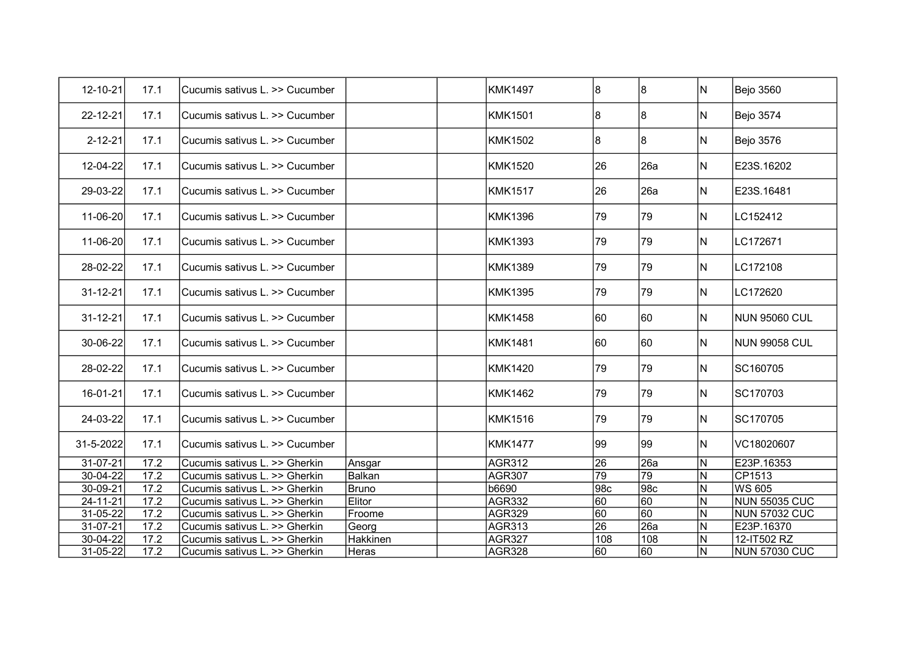| 17.1 | Cucumis sativus L. >> Cucumber                                                                                                                                                                                                                                                         |                               |       | <b>KMK1497</b> | 8   | $\overline{8}$ | N              | Bejo 3560            |
|------|----------------------------------------------------------------------------------------------------------------------------------------------------------------------------------------------------------------------------------------------------------------------------------------|-------------------------------|-------|----------------|-----|----------------|----------------|----------------------|
| 17.1 | Cucumis sativus L. >> Cucumber                                                                                                                                                                                                                                                         |                               |       | <b>KMK1501</b> | 8   | 8              | N              | Bejo 3574            |
| 17.1 | Cucumis sativus L. >> Cucumber                                                                                                                                                                                                                                                         |                               |       | <b>KMK1502</b> | 8   | 8              | N              | Bejo 3576            |
| 17.1 | Cucumis sativus L. >> Cucumber                                                                                                                                                                                                                                                         |                               |       | <b>KMK1520</b> | 26  | 26a            | N              | E23S.16202           |
| 17.1 | Cucumis sativus L. >> Cucumber                                                                                                                                                                                                                                                         |                               |       | <b>KMK1517</b> | 26  | 26a            | N              | E23S.16481           |
| 17.1 | Cucumis sativus L. >> Cucumber                                                                                                                                                                                                                                                         |                               |       | <b>KMK1396</b> | 79  | 79             | N              | LC152412             |
| 17.1 | Cucumis sativus L. >> Cucumber                                                                                                                                                                                                                                                         |                               |       | <b>KMK1393</b> | 79  | 79             | N              | LC172671             |
| 17.1 | Cucumis sativus L. >> Cucumber                                                                                                                                                                                                                                                         |                               |       | <b>KMK1389</b> | 79  | 79             | N              | LC172108             |
| 17.1 | Cucumis sativus L. >> Cucumber                                                                                                                                                                                                                                                         |                               |       | <b>KMK1395</b> | 79  | 79             | N              | LC172620             |
| 17.1 | Cucumis sativus L. >> Cucumber                                                                                                                                                                                                                                                         |                               |       | <b>KMK1458</b> | 60  | 60             | N              | <b>NUN 95060 CUL</b> |
| 17.1 | Cucumis sativus L. >> Cucumber                                                                                                                                                                                                                                                         |                               |       | <b>KMK1481</b> | 60  | 60             | N              | <b>NUN 99058 CUL</b> |
| 17.1 | Cucumis sativus L. >> Cucumber                                                                                                                                                                                                                                                         |                               |       | <b>KMK1420</b> | 79  | 79             | N              | SC160705             |
| 17.1 | Cucumis sativus L. >> Cucumber                                                                                                                                                                                                                                                         |                               |       | <b>KMK1462</b> | 79  | 79             | N              | SC170703             |
| 17.1 | Cucumis sativus L. >> Cucumber                                                                                                                                                                                                                                                         |                               |       | <b>KMK1516</b> | 79  | 79             | N              | SC170705             |
| 17.1 | Cucumis sativus L. >> Cucumber                                                                                                                                                                                                                                                         |                               |       | <b>KMK1477</b> | 99  | 99             | N              | VC18020607           |
| 17.2 | Cucumis sativus L. >> Gherkin                                                                                                                                                                                                                                                          | Ansgar                        |       | <b>AGR312</b>  | 26  | 26a            | N              | E23P.16353           |
| 17.2 | Cucumis sativus L. >> Gherkin                                                                                                                                                                                                                                                          | Balkan                        |       | <b>AGR307</b>  | 79  | 79             | N              | CF1513               |
| 17.2 |                                                                                                                                                                                                                                                                                        | Bruno                         |       | b6690          | 98c | 98c            | $\mathsf{N}$   | WS 605               |
| 17.2 | Cucumis sativus L. >> Gherkin                                                                                                                                                                                                                                                          | Elitor                        |       | <b>AGR332</b>  | 60  | 60             | N              | <b>NUN 55035 CUC</b> |
| 17.2 | Cucumis sativus L. >> Gherkin                                                                                                                                                                                                                                                          | Froome                        |       | <b>AGR329</b>  | 60  | 60             | N              | <b>NUN 57032 CUC</b> |
| 17.2 | Cucumis sativus L. >> Gherkin                                                                                                                                                                                                                                                          |                               |       | <b>AGR313</b>  | 26  | 26a            | N              | E23P.16370           |
| 17.2 | Cucumis sativus L. >> Gherkin                                                                                                                                                                                                                                                          | Hakkinen                      |       | <b>AGR327</b>  | 108 | 108            | $\overline{N}$ | 12-IT502 RZ          |
| 17.2 | Cucumis sativus L. >> Gherkin                                                                                                                                                                                                                                                          | Heras                         |       | <b>AGR328</b>  | 60  | 60             | $\mathsf{N}$   | <b>NUN 57030 CUC</b> |
|      | 12-10-21<br>22-12-21<br>$2 - 12 - 21$<br>12-04-22<br>29-03-22<br>11-06-20<br>11-06-20<br>28-02-22<br>31-12-21<br>31-12-21<br>30-06-22<br>28-02-22<br>16-01-21<br>24-03-22<br>31-5-2022<br>31-07-21<br>30-04-22<br>30-09-21<br>24-11-21<br>31-05-22<br>31-07-21<br>30-04-22<br>31-05-22 | Cucumis sativus L. >> Gherkin | Georg |                |     |                |                |                      |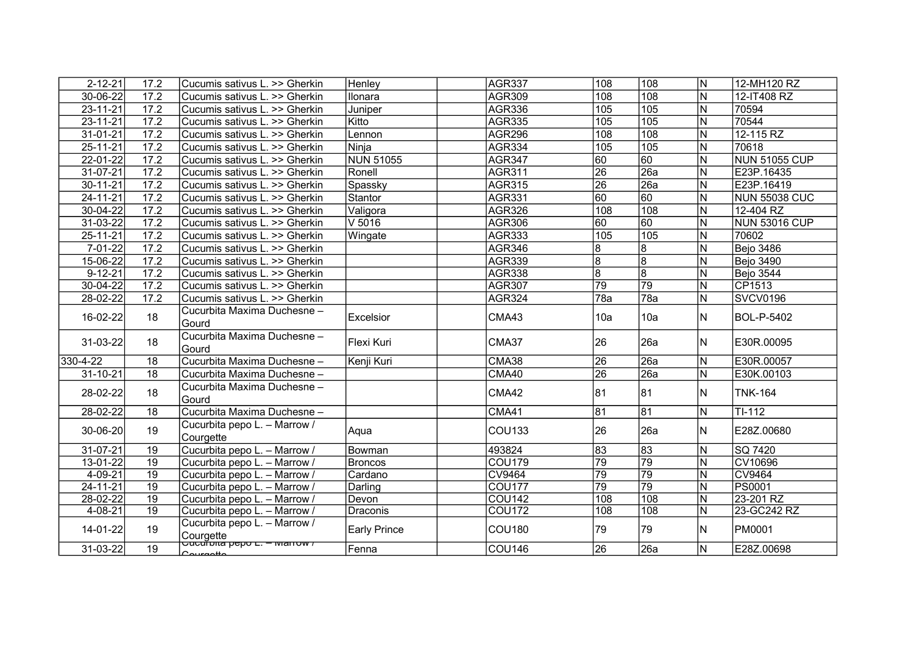| $2 - 12 - 21$  | 17.2              | Cucumis sativus L. >> Gherkin                                                | Henley              | <b>AGR337</b> | 108              | 108              | IN.                     | 12-MH120 RZ          |
|----------------|-------------------|------------------------------------------------------------------------------|---------------------|---------------|------------------|------------------|-------------------------|----------------------|
| 30-06-22       | 17.2              | Cucumis sativus L. >> Gherkin                                                | Ilonara             | AGR309        | 108              | $\overline{108}$ | $\overline{\mathsf{N}}$ | 12-IT408 RZ          |
| 23-11-21       | 17.2              | Cucumis sativus L. >> Gherkin                                                | Juniper             | <b>AGR336</b> | 105              | 105              | N                       | 70594                |
| $23 - 11 - 21$ | 17.2              | Cucumis sativus L. >> Gherkin                                                | Kitto               | <b>AGR335</b> | 105              | $\overline{105}$ | $\overline{\mathsf{N}}$ | 70544                |
| $31 - 01 - 21$ | 17.2              | Cucumis sativus L. >> Gherkin                                                | Lennon              | <b>AGR296</b> | 108              | $\overline{108}$ | $\overline{\mathsf{N}}$ | 12-115 RZ            |
| $25 - 11 - 21$ | 17.2              | Cucumis sativus L. >> Gherkin                                                | Ninja               | <b>AGR334</b> | 105              | 105              | N                       | 70618                |
| 22-01-22       | 17.2              | Cucumis sativus L. >> Gherkin                                                | <b>NUN 51055</b>    | <b>AGR347</b> | 60               | 60               | N                       | <b>NUN 51055 CUP</b> |
| 31-07-21       | 17.2              | Cucumis sativus L. >> Gherkin                                                | Ronell              | <b>AGR311</b> | 26               | $\overline{26a}$ | N                       | E23P.16435           |
| $30 - 11 - 21$ | 17.2              | Cucumis sativus L. >> Gherkin                                                | Spassky             | AGR315        | $\overline{26}$  | $\overline{26a}$ | N                       | E23P.16419           |
| $24 - 11 - 21$ | 17.2              | Cucumis sativus L. >> Gherkin                                                | Stantor             | AGR331        | 60               | 60               | N                       | <b>NUN 55038 CUC</b> |
| 30-04-22       | 17.2              | Cucumis sativus L. >> Gherkin                                                | Valigora            | AGR326        | 108              | 108              | N                       | 12-404 RZ            |
| 31-03-22       | 17.2              | Cucumis sativus L. >> Gherkin                                                | V 5016              | <b>AGR306</b> | 60               | 60               | N                       | <b>NUN 53016 CUP</b> |
| 25-11-21       | $\frac{17.2}{2}$  | Cucumis sativus L. >> Gherkin                                                | Wingate             | AGR333        | 105              | 105              | N                       | 70602                |
| $7 - 01 - 22$  | 17.2              | Cucumis sativus L. >> Gherkin                                                |                     | AGR346        | 8                | 8                | $\overline{\mathsf{N}}$ | Bejo 3486            |
| 15-06-22       | 17.2              | Cucumis sativus L. >> Gherkin                                                |                     | AGR339        | $\overline{8}$   | $\overline{8}$   | $\overline{\mathsf{N}}$ | Bejo 3490            |
| $9 - 12 - 21$  | $17.\overline{2}$ | Cucumis sativus L. >> Gherkin                                                |                     | <b>AGR338</b> | 8                | $\overline{8}$   | N                       | Bejo 3544            |
| 30-04-22       | 17.2              | Cucumis sativus L. >> Gherkin                                                |                     | <b>AGR307</b> | 79               | 79               | N                       | CF1513               |
| 28-02-22       | 17.2              | Cucumis sativus L. >> Gherkin                                                |                     | <b>AGR324</b> | $\overline{78a}$ | 78a              | $\overline{\mathsf{N}}$ | <b>SVCV0196</b>      |
| 16-02-22       | 18                | Cucurbita Maxima Duchesne -<br>Gourd                                         | Excelsior           | CMA43         | 10a              | 10a              | N                       | <b>BOL-P-5402</b>    |
| 31-03-22       | 18                | Cucurbita Maxima Duchesne -<br>Gourd                                         | Flexi Kuri          | CMA37         | 26               | 26a              | N                       | E30R.00095           |
| 330-4-22       | 18                | Cucurbita Maxima Duchesne -                                                  | Kenji Kuri          | CMA38         | 26               | $\overline{26a}$ | N                       | E30R.00057           |
| 31-10-21       | $\overline{18}$   | Cucurbita Maxima Duchesne -                                                  |                     | CMA40         | $\overline{26}$  | $\overline{26a}$ | $\overline{N}$          | E30K.00103           |
| 28-02-22       | 18                | Cucurbita Maxima Duchesne -<br>Gourd                                         |                     | CMA42         | 81               | 81               | N                       | TNK-164              |
| 28-02-22       | 18                | Cucurbita Maxima Duchesne -                                                  |                     | <b>CMA41</b>  | $\overline{81}$  | 81               | N                       | TI-112               |
| 30-06-20       | 19                | Cucurbita pepo L. - Marrow /<br>Courgette                                    | Aqua                | <b>COU133</b> | 26               | 26a              | IN.                     | E28Z.00680           |
| 31-07-21       | 19                | Cucurbita pepo L. - Marrow /                                                 | Bowman              | 493824        | 83               | 83               | N                       | SQ 7420              |
| 13-01-22       | 19                | Cucurbita pepo L. - Marrow /                                                 | <b>Broncos</b>      | <b>COU179</b> | 79               | 79               | ΙN                      | CV10696              |
| $4 - 09 - 21$  | $\overline{19}$   | Cucurbita pepo L. - Marrow /                                                 | Cardano             | <b>CV9464</b> | 79               | 79               | N                       | CV9464               |
| $24 - 11 - 21$ | $\overline{19}$   | Cucurbita pepo L. - Marrow /                                                 | Darling             | <b>COU177</b> | 79               | 79               | $\overline{\mathsf{N}}$ | <b>PS0001</b>        |
| 28-02-22       | 19                | Cucurbita pepo L. - Marrow /                                                 | Devon               | <b>COU142</b> | 108              | 108              | N                       | 23-201 RZ            |
| $4 - 08 - 21$  | $\overline{19}$   | Cucurbita pepo L. - Marrow /                                                 | Draconis            | <b>COU172</b> | 108              | $\overline{108}$ | $\overline{\mathsf{N}}$ | 23-GC242 RZ          |
| 14-01-22       | 19                | Cucurbita pepo L. - Marrow /<br>│Courgette<br>├Сuсurbita реро ∟. – iviamow / | <b>Early Prince</b> | <b>COU180</b> | 79               | 79               | IN.                     | PM0001               |
| 31-03-22       | 19                | Couraotto                                                                    | Fenna               | <b>COU146</b> | 26               | 26a              | N                       | E28Z.00698           |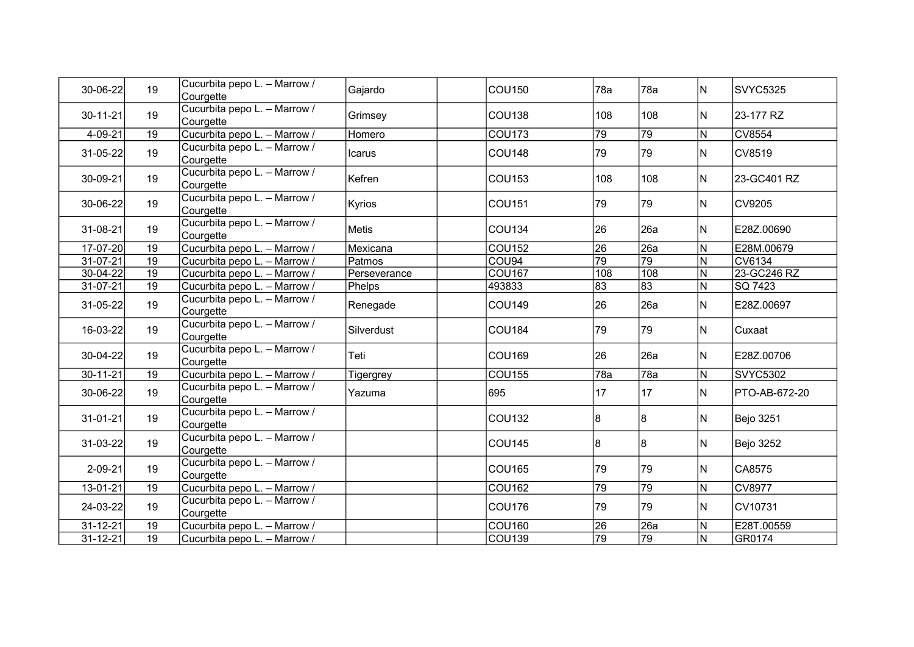| 30-06-22       | 19              | Cucurbita pepo L. - Marrow /<br>Courgette | Gajardo      | <b>COU150</b>     | 78a | 78a | IN.                     | SVYC5325             |
|----------------|-----------------|-------------------------------------------|--------------|-------------------|-----|-----|-------------------------|----------------------|
| $30 - 11 - 21$ | 19              | Cucurbita pepo L. - Marrow /<br>Courgette | Grimsey      | <b>COU138</b>     | 108 | 108 | N                       | 23-177 RZ            |
| 4-09-21        | 19              | Cucurbita pepo L. - Marrow /              | Homero       | <b>COU173</b>     | 79  | 79  | $\overline{\mathsf{N}}$ | <b>CV8554</b>        |
| 31-05-22       | 19              | Cucurbita pepo L. - Marrow /<br>Courgette | Icarus       | <b>COU148</b>     | 79  | 79  | N                       | CV8519               |
| 30-09-21       | 19              | Cucurbita pepo L. - Marrow /<br>Courgette | Kefren       | <b>COU153</b>     | 108 | 108 | N                       | 23-GC401 RZ          |
| 30-06-22       | 19              | Cucurbita pepo L. - Marrow /<br>Courgette | Kyrios       | <b>COU151</b>     | 79  | 79  | N                       | CV9205               |
| 31-08-21       | 19              | Cucurbita pepo L. - Marrow /<br>Courgette | Metis        | <b>COU134</b>     | 26  | 26a | N                       | E28Z.00690           |
| 17-07-20       | 19              | Cucurbita pepo L. - Marrow /              | Mexicana     | <b>COU152</b>     | 26  | 26a | N                       | E28M.00679           |
| 31-07-21       | 19              | Cucurbita pepo L. - Marrow /              | Patmos       | COU <sub>94</sub> | 79  | 79  | N                       | CV6134               |
| $30 - 04 - 22$ | 19              | Cucurbita pepo L. - Marrow /              | Perseverance | <b>COU167</b>     | 108 | 108 | $\mathsf{N}$            | 23-GC246 RZ          |
| 31-07-21       | 19              | Cucurbita pepo L. - Marrow /              | Phelps       | 493833            | 83  | 83  | N                       | SQ 7423              |
| $31 - 05 - 22$ | 19              | Cucurbita pepo L. - Marrow /<br>Courgette | Renegade     | <b>COU149</b>     | 26  | 26a | N                       | E28Z.00697           |
| 16-03-22       | 19              | Cucurbita pepo L. - Marrow /<br>Courgette | Silverdust   | <b>COU184</b>     | 79  | 79  | N                       | Cuxaat               |
| 30-04-22       | 19              | Cucurbita pepo L. - Marrow /<br>Courgette | Teti         | <b>COU169</b>     | 26  | 26a | N                       | E28Z.00706           |
| $30 - 11 - 21$ | $\overline{19}$ | Cucurbita pepo L. - Marrow /              | Tigergrey    | <b>COU155</b>     | 78a | 78a | $\overline{\mathsf{N}}$ | <b>SVYC5302</b>      |
| 30-06-22       | 19              | Cucurbita pepo L. - Marrow /<br>Courgette | Yazuma       | 695               | 17  | 17  | N                       | <b>PTO-AB-672-20</b> |
| $31 - 01 - 21$ | 19              | Cucurbita pepo L. - Marrow /<br>Courgette |              | <b>COU132</b>     | 8   | 8   | N                       | Bejo 3251            |
| $31-03-22$     | 19              | Cucurbita pepo L. - Marrow /<br>Courgette |              | <b>COU145</b>     | 8   | 8   | N                       | Bejo 3252            |
| $2 - 09 - 21$  | 19              | Cucurbita pepo L. - Marrow /<br>Courgette |              | <b>COU165</b>     | 79  | 79  | N                       | CA8575               |
| 13-01-21       | 19              | Cucurbita pepo L. - Marrow /              |              | <b>COU162</b>     | 79  | 79  | N                       | CV8977               |
| 24-03-22       | 19              | Cucurbita pepo L. - Marrow /<br>Courgette |              | <b>COU176</b>     | 79  | 79  | N                       | CV10731              |
| $31 - 12 - 21$ | 19              | Cucurbita pepo L. - Marrow /              |              | <b>COU160</b>     | 26  | 26a | ${\sf N}$               | E28T.00559           |
| $31 - 12 - 21$ | 19              | Cucurbita pepo L. - Marrow /              |              | <b>COU139</b>     | 79  | 79  | $\overline{\mathsf{N}}$ | GR0174               |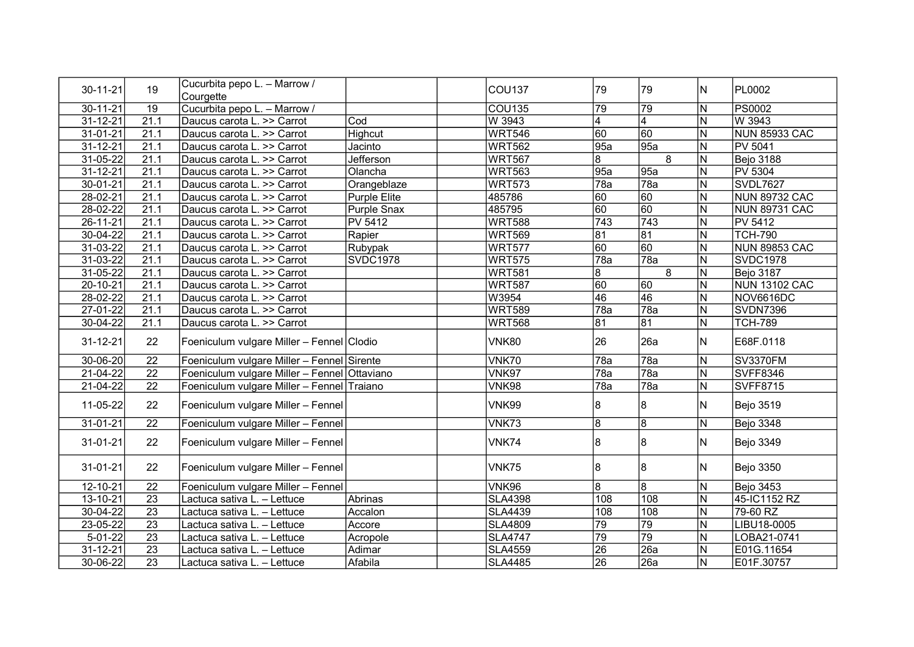| 30-11-21       | 19              | Cucurbita pepo L. - Marrow /<br>Courgette    |                         | <b>COU137</b>  | 79              | 79               | N                       | PL0002               |
|----------------|-----------------|----------------------------------------------|-------------------------|----------------|-----------------|------------------|-------------------------|----------------------|
| $30 - 11 - 21$ | $\overline{19}$ | Cucurbita pepo L. - Marrow /                 |                         | <b>COU135</b>  | $\overline{79}$ | 79               | $\overline{\mathsf{N}}$ | <b>PS0002</b>        |
| $31 - 12 - 21$ | 21.1            | Daucus carota L. >> Carrot                   | $\overline{\text{Cod}}$ | W 3943         | 4               | $\overline{4}$   | $\overline{\mathsf{z}}$ | W 3943               |
| 31-01-21       | 21.1            | Daucus carota L. >> Carrot                   | Highcut                 | <b>WRT546</b>  | 60              | 60               | N                       | <b>NUN 85933 CAC</b> |
| 31-12-21       | 21.1            | Daucus carota L. >> Carrot                   | Jacinto                 | <b>WRT562</b>  | 95a             | 95a              | N                       | PV 5041              |
| 31-05-22       | 21.1            | Daucus carota L. >> Carrot                   | <b>Jefferson</b>        | <b>WRT567</b>  | 8               | $\overline{8}$   | N                       | <b>Bejo 3188</b>     |
| 31-12-21       | 21.1            | Daucus carota L. >> Carrot                   | Olancha                 | <b>WRT563</b>  | 95a             | 95a              | N                       | PV 5304              |
| 30-01-21       | 21.1            | Daucus carota L. >> Carrot                   | Orangeblaze             | <b>WRT573</b>  | 78a             | 78a              | N                       | <b>SVDL7627</b>      |
| 28-02-21       | 21.1            | Daucus carota L. >> Carrot                   | Purple Elite            | 485786         | 60              | 60               | N                       | <b>NUN 89732 CAC</b> |
| 28-02-22       | 21.1            | Daucus carota L. >> Carrot                   | <b>Purple Snax</b>      | 485795         | 60              | 60               | N                       | <b>NUN 89731 CAC</b> |
| 26-11-21       | 21.1            | Daucus carota L. >> Carrot                   | <b>PV 5412</b>          | <b>WRT588</b>  | 743             | $\overline{743}$ | N                       | PV 5412              |
| 30-04-22       | 21.1            | Daucus carota L. >> Carrot                   | Rapier                  | <b>WRT569</b>  | 81              | 81               | N                       | <b>TCH-790</b>       |
| 31-03-22       | 21.1            | Daucus carota L. >> Carrot                   | Rubypak                 | <b>WRT577</b>  | 60              | 60               | N                       | <b>NUN 89853 CAC</b> |
| 31-03-22       | 21.1            | Daucus carota L. >> Carrot                   | <b>SVDC1978</b>         | <b>WRT575</b>  | 78a             | $\overline{78a}$ | $\overline{\mathsf{N}}$ | <b>SVDC1978</b>      |
| $31 - 05 - 22$ | 21.1            | Daucus carota L. >> Carrot                   |                         | <b>WRT581</b>  | $\overline{8}$  | $\overline{8}$   | $\overline{\mathsf{N}}$ | <b>Bejo 3187</b>     |
| 20-10-21       | 21.1            | Daucus carota L. >> Carrot                   |                         | <b>WRT587</b>  | 60              | 60               | N                       | <b>NUN 13102 CAC</b> |
| 28-02-22       | 21.1            | Daucus carota L. >> Carrot                   |                         | W3954          | 46              | 46               | N                       | NOV6616DC            |
| 27-01-22       | 21.1            | Daucus carota L. >> Carrot                   |                         | <b>WRT589</b>  | 78a             | 78a              | N                       | <b>SVDN7396</b>      |
| 30-04-22       | 21.1            | Daucus carota L. >> Carrot                   |                         | <b>WRT568</b>  | 81              | $\overline{81}$  | N                       | <b>TCH-789</b>       |
| 31-12-21       | 22              | Foeniculum vulgare Miller - Fennel Clodio    |                         | <b>VNK80</b>   | 26              | 26a              | N                       | E68F.0118            |
| 30-06-20       | 22              | Foeniculum vulgare Miller - Fennel Sirente   |                         | <b>VNK70</b>   | 78a             | 78a              | N                       | <b>SV3370FM</b>      |
| 21-04-22       | $\overline{22}$ | Foeniculum vulgare Miller - Fennel Ottaviano |                         | VNK97          | 78a             | 78a              | $\overline{\mathsf{N}}$ | <b>SVFF8346</b>      |
| 21-04-22       | $\overline{22}$ | Foeniculum vulgare Miller - Fennel Traiano   |                         | <b>VNK98</b>   | 78a             | $\overline{78a}$ | N                       | <b>SVFF8715</b>      |
| 11-05-22       | 22              | Foeniculum vulgare Miller - Fennel           |                         | <b>VNK99</b>   | 8               | 8                | N                       | <b>Bejo 3519</b>     |
| $31 - 01 - 21$ | $\overline{22}$ | Foeniculum vulgare Miller - Fennel           |                         | VNK73          | $\overline{8}$  | $\overline{8}$   | $\overline{\mathsf{N}}$ | <b>Bejo 3348</b>     |
| 31-01-21       | 22              | Foeniculum vulgare Miller - Fennel           |                         | VNK74          | 8               | 8                | N                       | <b>Bejo 3349</b>     |
| 31-01-21       | 22              | Foeniculum vulgare Miller - Fennel           |                         | <b>VNK75</b>   | 8               | 8                | N                       | <b>Bejo 3350</b>     |
| 12-10-21       | 22              | Foeniculum vulgare Miller - Fennel           |                         | <b>VNK96</b>   | 8               | $\overline{8}$   | N                       | <b>Bejo 3453</b>     |
| 13-10-21       | $\overline{23}$ | Lactuca sativa L. - Lettuce                  | Abrinas                 | <b>SLA4398</b> | 108             | 108              | N                       | 45-IC1152 RZ         |
| 30-04-22       | 23              | Lactuca sativa L. - Lettuce                  | Accalon                 | <b>SLA4439</b> | 108             | 108              | N                       | 79-60 RZ             |
| 23-05-22       | 23              | Lactuca sativa L. - Lettuce                  | Accore                  | <b>SLA4809</b> | $\overline{79}$ | 79               | $\overline{N}$          | LIBU18-0005          |
| $5 - 01 - 22$  | $\overline{23}$ | Lactuca sativa L. - Lettuce                  | Acropole                | <b>SLA4747</b> | $\overline{79}$ | $\overline{79}$  | N                       | LOBA21-0741          |
| 31-12-21       | 23              | Lactuca sativa L. - Lettuce                  | Adimar                  | <b>SLA4559</b> | 26              | $\overline{26a}$ | N                       | E01G.11654           |
| 30-06-22       | $\overline{23}$ | Lactuca sativa L. - Lettuce                  | Afabila                 | <b>SLA4485</b> | 26              | 26a              | N                       | E01F.30757           |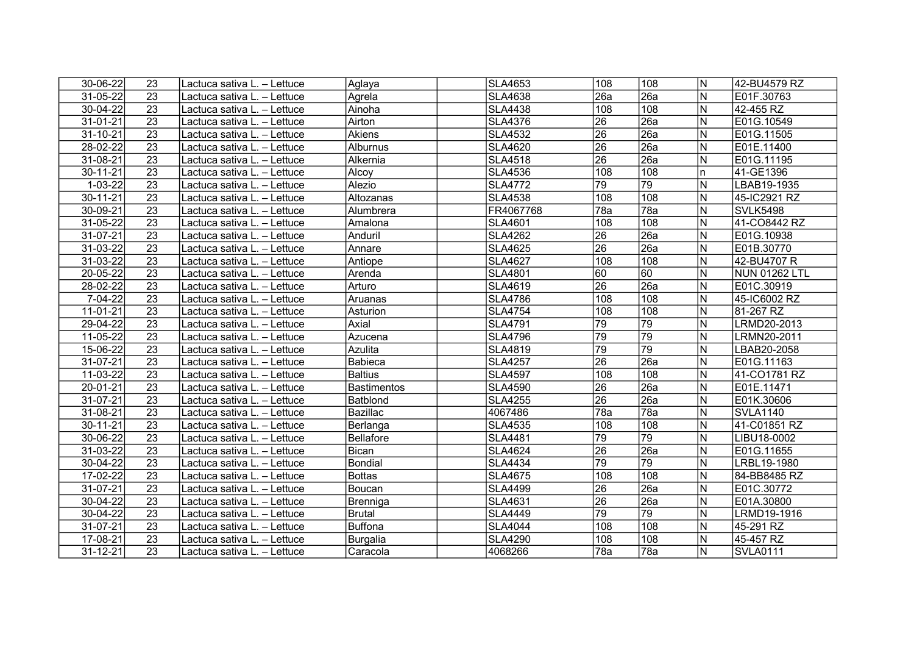| 30-06-22       | 23              | Lactuca sativa L. – Lettuce  | Aglaya             | <b>SLA4653</b> | 108             | 108              | N                       | 42-BU4579 RZ    |
|----------------|-----------------|------------------------------|--------------------|----------------|-----------------|------------------|-------------------------|-----------------|
| 31-05-22       | 23              | Lactuca sativa L. - Lettuce  | Agrela             | <b>SLA4638</b> | 26a             | 26a              | ${\sf N}$               | E01F.30763      |
| 30-04-22       | 23              | Lactuca sativa L. - Lettuce  | Ainoha             | <b>SLA4438</b> | 108             | 108              | $\overline{\mathsf{N}}$ | 42-455 RZ       |
| 31-01-21       | 23              | Lactuca sativa L. - Lettuce  | Airton             | <b>SLA4376</b> | 26              | 26a              | N                       | E01G.10549      |
| 31-10-21       | 23              | Lactuca sativa L. - Lettuce  | Akiens             | <b>SLA4532</b> | 26              | 26a              | N                       | E01G.11505      |
| 28-02-22       | 23              | Lactuca sativa L. - Lettuce  | Alburnus           | <b>SLA4620</b> | $\overline{26}$ | 26a              | N                       | E01E.11400      |
| 31-08-21       | 23              | Lactuca sativa L. – Lettuce  | Alkernia           | <b>SLA4518</b> | 26              | 26a              | N                       | E01G.11195      |
| 30-11-21       | $\overline{23}$ | Lactuca sativa L. - Lettuce  | Alcoy              | <b>SLA4536</b> | 108             | $\overline{108}$ | n                       | 41-GE1396       |
| $1 - 03 - 22$  | 23              | Lactuca sativa L. - Lettuce  | Alezio             | <b>SLA4772</b> | 79              | 79               | N                       | LBAB19-1935     |
| 30-11-21       | 23              | Lactuca sativa L. - Lettuce  | Altozanas          | <b>SLA4538</b> | 108             | 108              | N                       | 45-IC2921 RZ    |
| 30-09-21       | 23              | Lactuca sativa L. - Lettuce  | Alumbrera          | FR4067768      | 78a             | 78a              | N                       | <b>SVLK5498</b> |
| 31-05-22       | 23              | Lactuca sativa L. - Lettuce  | Amalona            | <b>SLA4601</b> | 108             | 108              | N                       | 41-CO8442 RZ    |
| 31-07-21       | 23              | Lactuca sativa L. - Lettuce  | Anduril            | <b>SLA4262</b> | 26              | 26a              | N                       | E01G.10938      |
| 31-03-22       | 23              | Lactuca sativa L. - Lettuce  | Annare             | <b>SLA4625</b> | 26              | 26a              | ${\sf N}$               | E01B.30770      |
| 31-03-22       | 23              | ILactuca sativa L. – Lettuce | Antiope            | <b>SLA4627</b> | 108             | 108              | ${\sf N}$               | 42-BU4707 R     |
| 20-05-22       | 23              | Lactuca sativa L. - Lettuce  | Arenda             | <b>SLA4801</b> | 60              | 60               | ${\sf N}$               | NUN 01262 LTL   |
| 28-02-22       | 23              | Lactuca sativa L. - Lettuce  | Arturo             | <b>SLA4619</b> | 26              | 26a              | ${\sf N}$               | E01C.30919      |
| 7-04-22        | 23              | Lactuca sativa L. - Lettuce  | Aruanas            | <b>SLA4786</b> | 108             | 108              | N                       | 45-IC6002 RZ    |
| 11-01-21       | 23              | Lactuca sativa L. - Lettuce  | Asturion           | <b>SLA4754</b> | 108             | 108              | ${\sf N}$               | 81-267 RZ       |
| 29-04-22       | 23              | Lactuca sativa L. - Lettuce  | Axial              | <b>SLA4791</b> | 79              | 79               | N                       | LRMD20-2013     |
| 11-05-22       | 23              | Lactuca sativa L. - Lettuce  | Azucena            | <b>SLA4796</b> | 79              | 79               | ${\sf N}$               | LRMN20-2011     |
| 15-06-22       | 23              | Lactuca sativa L. - Lettuce  | Azulita            | <b>SLA4819</b> | 79              | 79               | ${\sf N}$               | LBAB20-2058     |
| 31-07-21       | 23              | Lactuca sativa L. - Lettuce  | Babieca            | <b>SLA4257</b> | 26              | 26a              | ${\sf N}$               | E01G.11163      |
| 11-03-22       | 23              | Lactuca sativa L. - Lettuce  | <b>Baltius</b>     | <b>SLA4597</b> | 108             | 108              | N                       | 141-CO1781 RZ   |
| 20-01-21       | 23              | Lactuca sativa L. - Lettuce  | <b>Bastimentos</b> | <b>SLA4590</b> | 26              | 26a              | ${\sf N}$               | E01E.11471      |
| 31-07-21       | 23              | Lactuca sativa L. – Lettuce  | <b>Batblond</b>    | <b>SLA4255</b> | $\overline{26}$ | 26a              | N                       | E01K.30606      |
| 31-08-21       | $\overline{23}$ | Lactuca sativa L. – Lettuce  | Bazillac           | 4067486        | 78a             | 78a              | N                       | <b>SVLA1140</b> |
| 30-11-21       | 23              | Lactuca sativa L. - Lettuce  | Berlanga           | <b>SLA4535</b> | 108             | $\overline{108}$ | N                       | 41-C01851 RZ    |
| 30-06-22       | 23              | Lactuca sativa L. – Lettuce  | Bellafore          | <b>SLA4481</b> | $\overline{79}$ | 79               | ${\sf N}$               | LIBU18-0002     |
| 31-03-22       | 23              | Lactuca sativa L. – Lettuce  | <b>Bican</b>       | <b>SLA4624</b> | $\overline{26}$ | 26a              | N                       | E01G.11655      |
| 30-04-22       | 23              | Lactuca sativa L. – Lettuce  | <b>Bondial</b>     | <b>SLA4434</b> | $\overline{79}$ | 79               | N                       | LRBL19-1980     |
| 17-02-22       | 23              | Lactuca sativa L. – Lettuce  | <b>Bottas</b>      | <b>SLA4675</b> | 108             | 108              | ${\sf N}$               | 84-BB8485 RZ    |
| 31-07-21       | 23              | Lactuca sativa L. - Lettuce  | Boucan             | <b>SLA4499</b> | $\overline{26}$ | 26a              | ${\sf N}$               | E01C.30772      |
| 30-04-22       | 23              | Lactuca sativa L. - Lettuce  | Brenniga           | <b>SLA4631</b> | $\overline{26}$ | 26a              | N                       | E01A.30800      |
| 30-04-22       | 23              | Lactuca sativa L. - Lettuce  | <b>Brutal</b>      | <b>SLA4449</b> | $\overline{79}$ | 79               | N                       | LRMD19-1916     |
| 31-07-21       | 23              | Lactuca sativa L. - Lettuce  | <b>Buffona</b>     | <b>SLA4044</b> | 108             | 108              | N                       | 45-291 RZ       |
| 17-08-21       | 23              | Lactuca sativa L. - Lettuce  | <b>Burgalia</b>    | <b>SLA4290</b> | 108             | 108              | N                       | 45-457 RZ       |
| $31 - 12 - 21$ | 23              | Lactuca sativa L. - Lettuce  | Caracola           | 4068266        | 78a             | 78a              | N                       | SVLA0111        |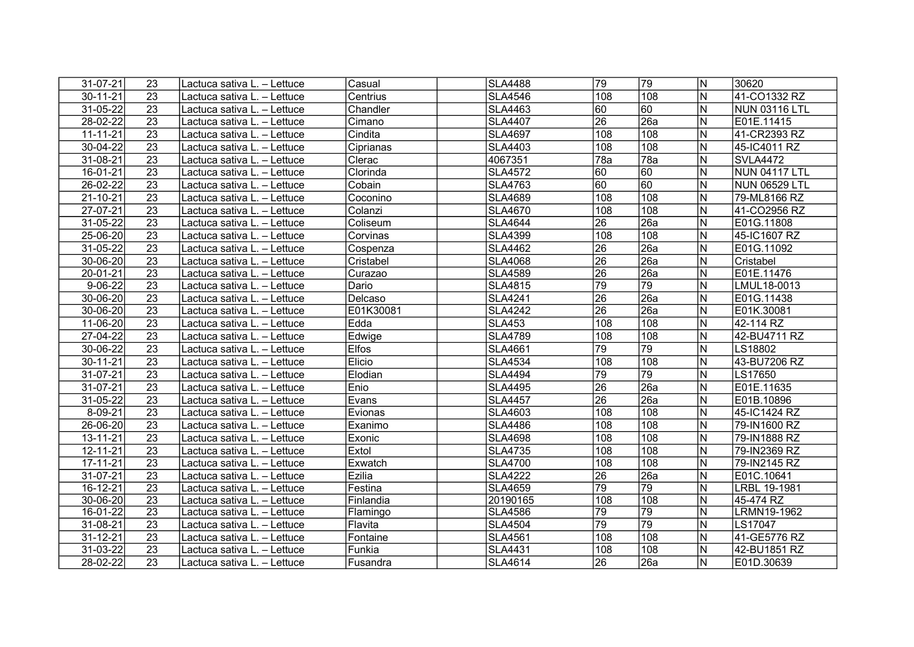| 31-07-21       | 23              | Lactuca sativa L. - Lettuce | Casual       | <b>SLA4488</b> | 79              | 79               | N                       | 30620                |
|----------------|-----------------|-----------------------------|--------------|----------------|-----------------|------------------|-------------------------|----------------------|
| 30-11-21       | 23              | Lactuca sativa L. - Lettuce | Centrius     | <b>SLA4546</b> | 108             | 108              | N                       | 41-CO1332 RZ         |
| 31-05-22       | 23              | Lactuca sativa L. - Lettuce | Chandler     | <b>SLA4463</b> | 60              | $\overline{60}$  | $\overline{\mathsf{N}}$ | <b>NUN 03116 LTL</b> |
| 28-02-22       | 23              | Lactuca sativa L. - Lettuce | Cimano       | <b>SLA4407</b> | 26              | 26a              | $\overline{\mathsf{N}}$ | E01E.11415           |
| $11 - 11 - 21$ | $\overline{23}$ | Lactuca sativa L. - Lettuce | Cindita      | <b>SLA4697</b> | 108             | 108              | $\overline{\mathsf{N}}$ | 41-CR2393 RZ         |
| 30-04-22       | 23              | Lactuca sativa L. - Lettuce | Ciprianas    | <b>SLA4403</b> | 108             | 108              | N                       | 45-IC4011 RZ         |
| 31-08-21       | 23              | Lactuca sativa L. - Lettuce | Clerac       | 4067351        | 78a             | 78a              | N                       | <b>SVLA4472</b>      |
| 16-01-21       | $\overline{23}$ | Lactuca sativa L. - Lettuce | Clorinda     | <b>SLA4572</b> | 60              | 60               | N                       | <b>NUN 04117 LTL</b> |
| 26-02-22       | 23              | Lactuca sativa L. - Lettuce | Cobain       | <b>SLA4763</b> | 60              | 60               | N                       | <b>NUN 06529 LTL</b> |
| 21-10-21       | 23              | Lactuca sativa L. - Lettuce | Coconino     | <b>SLA4689</b> | 108             | 108              | $\mathsf{N}$            | 79-ML8166 RZ         |
| 27-07-21       | 23              | Lactuca sativa L. - Lettuce | Colanzi      | <b>SLA4670</b> | 108             | 108              | $\mathsf{N}$            | 41-CO2956 RZ         |
| 31-05-22       | 23              | Lactuca sativa L. - Lettuce | Coliseum     | <b>SLA4644</b> | $\overline{26}$ | 26a              | N                       | E01G.11808           |
| 25-06-20       | 23              | Lactuca sativa L. - Lettuce | Corvinas     | <b>SLA4399</b> | 108             | 108              | N                       | 45-IC1607 RZ         |
| 31-05-22       | 23              | Lactuca sativa L. - Lettuce | Cospenza     | <b>SLA4462</b> | 26              | 26a              | $\mathsf{N}$            | E01G.11092           |
| 30-06-20       | 23              | Lactuca sativa L. - Lettuce | Cristabel    | <b>SLA4068</b> | $\overline{26}$ | 26a              | N                       | Cristabel            |
| 20-01-21       | 23              | Lactuca sativa L. - Lettuce | Curazao      | <b>SLA4589</b> | $\overline{26}$ | 26a              | N                       | E01E.11476           |
| $9 - 06 - 22$  | 23              | Lactuca sativa L. - Lettuce | Dario        | <b>SLA4815</b> | $\overline{79}$ | 79               | $\overline{\mathsf{N}}$ | LMUL18-0013          |
| 30-06-20       | 23              | Lactuca sativa L. - Lettuce | Delcaso      | <b>SLA4241</b> | 26              | 26a              | $\overline{\mathsf{N}}$ | E01G.11438           |
| 30-06-20       | 23              | Lactuca sativa L. - Lettuce | E01K30081    | <b>SLA4242</b> | 26              | 26a              | N                       | E01K.30081           |
| 11-06-20       | 23              | Lactuca sativa L. - Lettuce | Edda         | <b>SLA453</b>  | 108             | 108              | N                       | 42-114 RZ            |
| 27-04-22       | 23              | Lactuca sativa L. - Lettuce | Edwige       | <b>SLA4789</b> | 108             | 108              | N                       | 42-BU4711 RZ         |
| 30-06-22       | 23              | Lactuca sativa L. - Lettuce | <b>Elfos</b> | <b>SLA4661</b> | 79              | 79               | N                       | LS18802              |
| 30-11-21       | 23              | Lactuca sativa L. - Lettuce | Elicio       | <b>SLA4534</b> | 108             | 108              | $\mathsf{N}$            | 43-BU7206 RZ         |
| 31-07-21       | 23              | Lactuca sativa L. - Lettuce | Elodian      | <b>SLA4494</b> | 79              | 79               | $\mathsf{N}$            | LS17650              |
| 31-07-21       | 23              | Lactuca sativa L. - Lettuce | Enio         | <b>SLA4495</b> | $\overline{26}$ | $\overline{26a}$ | N                       | E01E.11635           |
| 31-05-22       | 23              | Lactuca sativa L. - Lettuce | Evans        | <b>SLA4457</b> | $\overline{26}$ | 26a              | $\overline{\mathsf{N}}$ | E01B.10896           |
| 8-09-21        | 23              | Lactuca sativa L. - Lettuce | Evionas      | <b>SLA4603</b> | 108             | 108              | $\mathsf{N}$            | 45-IC1424 RZ         |
| 26-06-20       | 23              | Lactuca sativa L. - Lettuce | Exanimo      | <b>SLA4486</b> | 108             | 108              | $\mathsf{N}$            | 79-IN1600 RZ         |
| 13-11-21       | $\overline{23}$ | Lactuca sativa L. - Lettuce | Exonic       | <b>SLA4698</b> | 108             | 108              | $\overline{N}$          | 79-IN1888 RZ         |
| 12-11-21       | 23              | Lactuca sativa L. - Lettuce | Extol        | <b>SLA4735</b> | 108             | 108              | N                       | 79-IN2369 RZ         |
| $17 - 11 - 21$ | 23              | Lactuca sativa L. - Lettuce | Exwatch      | <b>SLA4700</b> | 108             | 108              | N                       | 79-IN2145 RZ         |
| 31-07-21       | 23              | Lactuca sativa L. - Lettuce | Ezilia       | <b>SLA4222</b> | $\overline{26}$ | 26a              | N                       | E01C.10641           |
| 16-12-21       | $\overline{23}$ | Lactuca sativa L. - Lettuce | Festina      | <b>SLA4659</b> | $\overline{79}$ | 79               | N                       | LRBL 19-1981         |
| 30-06-20       | 23              | Lactuca sativa L. - Lettuce | Finlandia    | 20190165       | 108             | 108              | $\overline{\mathsf{N}}$ | 45-474 RZ            |
| 16-01-22       | 23              | Lactuca sativa L. - Lettuce | Flamingo     | <b>SLA4586</b> | $\overline{79}$ | 79               | N                       | RMN19-1962           |
| 31-08-21       | 23              | Lactuca sativa L. – Lettuce | Flavita      | <b>SLA4504</b> | 79              | 79               | $\mathsf{N}$            | LS17047              |
| 31-12-21       | 23              | Lactuca sativa L. - Lettuce | Fontaine     | <b>SLA4561</b> | 108             | 108              | N                       | 41-GE5776 RZ         |
| 31-03-22       | 23              | Lactuca sativa L. - Lettuce | Funkia       | <b>SLA4431</b> | 108             | 108              | N                       | 42-BU1851 RZ         |
| 28-02-22       | 23              | Lactuca sativa L. - Lettuce | Fusandra     | <b>SLA4614</b> | 26              | 26a              | N                       | E01D.30639           |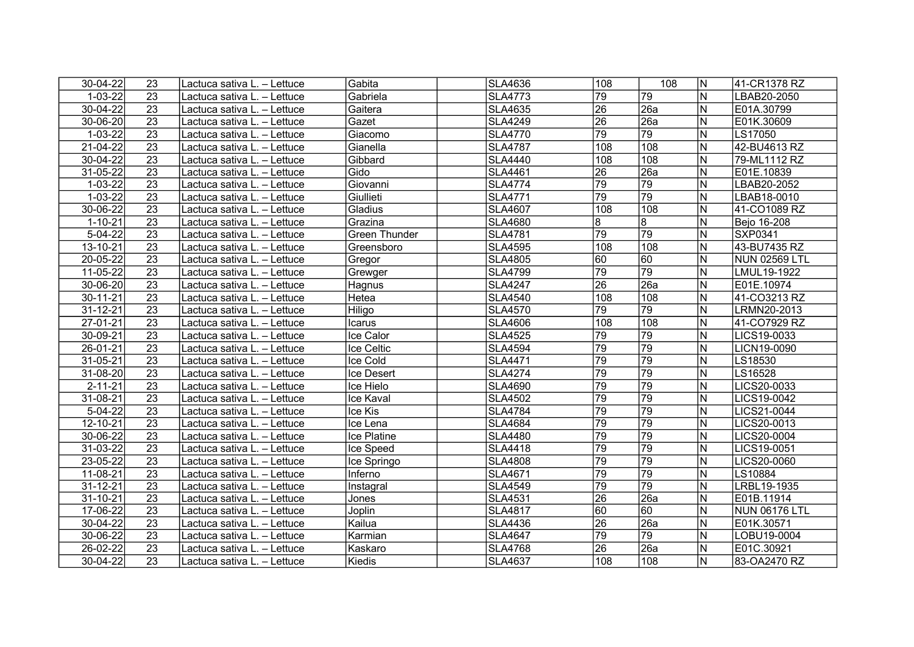| 30-04-22       | 23              | Lactuca sativa L. - Lettuce | Gabita               | <b>SLA4636</b> | 108             | 108              | IN.                     | 41-CR1378 RZ         |
|----------------|-----------------|-----------------------------|----------------------|----------------|-----------------|------------------|-------------------------|----------------------|
| $1 - 03 - 22$  | 23              | Lactuca sativa L. - Lettuce | Gabriela             | <b>SLA4773</b> | 79              | 79               | N                       | LBAB20-2050          |
| 30-04-22       | 23              | Lactuca sativa L. - Lettuce | Gaitera              | <b>SLA4635</b> | 26              | 26a              | N                       | E01A.30799           |
| 30-06-20       | 23              | Lactuca sativa L. - Lettuce | Gazet                | <b>SLA4249</b> | 26              | 26a              | N                       | E01K.30609           |
| $1 - 03 - 22$  | 23              | Lactuca sativa L. - Lettuce | Giacomo              | <b>SLA4770</b> | 79              | 79               | $\overline{\mathsf{N}}$ | LS17050              |
| 21-04-22       | 23              | Lactuca sativa L. - Lettuce | Gianella             | <b>SLA4787</b> | 108             | 108              | $\overline{\mathsf{N}}$ | 42-BU4613 RZ         |
| 30-04-22       | $\overline{23}$ | Lactuca sativa L. - Lettuce | Gibbard              | <b>SLA4440</b> | 108             | 108              | N                       | 79-ML1112 RZ         |
| 31-05-22       | $\overline{23}$ | Lactuca sativa L. - Lettuce | Gido                 | <b>SLA4461</b> | 26              | 26a              | N                       | E01E.10839           |
| $1 - 03 - 22$  | 23              | Lactuca sativa L. - Lettuce | Giovanni             | <b>SLA4774</b> | 79              | 79               | N                       | LBAB20-2052          |
| $1 - 03 - 22$  | 23              | Lactuca sativa L. - Lettuce | Giullieti            | <b>SLA4771</b> | 79              | 79               | N                       | LBAB18-0010          |
| 30-06-22       | 23              | Lactuca sativa L. - Lettuce | Gladius              | <b>SLA4607</b> | 108             | 108              | N                       | 41-CO1089 RZ         |
| $1 - 10 - 21$  | $\overline{23}$ | Lactuca sativa L. - Lettuce | Grazina              | <b>SLA4680</b> | 8               | 8                | N                       | Bejo 16-208          |
| $5 - 04 - 22$  | 23              | Lactuca sativa L. - Lettuce | <b>Green Thunder</b> | <b>SLA4781</b> | $\overline{79}$ | $\overline{79}$  | N                       | <b>SXP0341</b>       |
| 13-10-21       | 23              | Lactuca sativa L. - Lettuce | Greensboro           | <b>SLA4595</b> | 108             | 108              | N                       | 43-BU7435 RZ         |
| 20-05-22       | 23              | Lactuca sativa L. - Lettuce | Gregor               | <b>SLA4805</b> | 60              | 60               | N                       | <b>NUN 02569 LTL</b> |
| 11-05-22       | 23              | Lactuca sativa L. - Lettuce | Grewger              | <b>SLA4799</b> | 79              | 79               | N                       | LMUL19-1922          |
| 30-06-20       | 23              | Lactuca sativa L. - Lettuce | Hagnus               | <b>SLA4247</b> | 26              | 26a              | N                       | E01E.10974           |
| 30-11-21       | 23              | Lactuca sativa L. - Lettuce | Hetea                | <b>SLA4540</b> | 108             | 108              | N                       | 41-CO3213 RZ         |
| 31-12-21       | 23              | Lactuca sativa L. - Lettuce | Hiligo               | <b>SLA4570</b> | 79              | 79               | IN.                     | LRMN20-2013          |
| 27-01-21       | 23              | Lactuca sativa L. - Lettuce | Icarus               | <b>SLA4606</b> | 108             | 108              | N                       | 41-CO7929 RZ         |
| 30-09-21       | 23              | Lactuca sativa L. - Lettuce | Ice Calor            | <b>SLA4525</b> | 79              | 79               | N                       | LICS19-0033          |
| 26-01-21       | 23              | Lactuca sativa L. - Lettuce | Ice Celtic           | <b>SLA4594</b> | 79              | 79               | N                       | LICN19-0090          |
| 31-05-21       | 23              | Lactuca sativa L. - Lettuce | Ice Cold             | <b>SLA4471</b> | 79              | 79               | ΙN                      | LS18530              |
| 31-08-20       | 23              | Lactuca sativa L. - Lettuce | Ice Desert           | <b>SLA4274</b> | $\overline{79}$ | 79               | N                       | LS16528              |
| $2 - 11 - 21$  | 23              | Lactuca sativa L. - Lettuce | Ice Hielo            | <b>SLA4690</b> | $\overline{79}$ | 79               | N                       | LICS20-0033          |
| 31-08-21       | $\overline{23}$ | Lactuca sativa L. - Lettuce | Ice Kaval            | <b>SLA4502</b> | $\overline{79}$ | 79               | $\overline{\mathsf{N}}$ | LICS19-0042          |
| $5 - 04 - 22$  | 23              | Lactuca sativa L. - Lettuce | Ice Kis              | <b>SLA4784</b> | $\overline{79}$ | 79               | N                       | LICS21-0044          |
| 12-10-21       | 23              | Lactuca sativa L. - Lettuce | Ice Lena             | <b>SLA4684</b> | $\overline{79}$ | $\overline{79}$  | N                       | LICS20-0013          |
| 30-06-22       | 23              | Lactuca sativa L. - Lettuce | Ice Platine          | <b>SLA4480</b> | 79              | 79               | N                       | LICS20-0004          |
| 31-03-22       | 23              | Lactuca sativa L. - Lettuce | Ice Speed            | <b>SLA4418</b> | 79              | 79               | N                       | LICS19-0051          |
| 23-05-22       | 23              | Lactuca sativa L. - Lettuce | Ice Springo          | <b>SLA4808</b> | $\overline{79}$ | 79               | N                       | LICS20-0060          |
| 11-08-21       | 23              | Lactuca sativa L. - Lettuce | Inferno              | <b>SLA4671</b> | 79              | 79               | IN.                     | LS10884              |
| $31 - 12 - 21$ | 23              | Lactuca sativa L. - Lettuce | Instagral            | <b>SLA4549</b> | 79              | 79               | N                       | LRBL19-1935          |
| 31-10-21       | 23              | Lactuca sativa L. - Lettuce | Jones                | <b>SLA4531</b> | $\overline{26}$ | 26a              | N                       | E01B.11914           |
| 17-06-22       | 23              | Lactuca sativa L. - Lettuce | Joplin               | <b>SLA4817</b> | 60              | 60               | N                       | <b>NUN 06176 LTL</b> |
| 30-04-22       | 23              | Lactuca sativa L. - Lettuce | Kailua               | <b>SLA4436</b> | 26              | 26a              | N                       | E01K.30571           |
| 30-06-22       | 23              | Lactuca sativa L. - Lettuce | Karmian              | <b>SLA4647</b> | 79              | $\overline{79}$  | IN.                     | LOBU19-0004          |
| 26-02-22       | 23              | Lactuca sativa L. - Lettuce | Kaskaro              | <b>SLA4768</b> | 26              | $\overline{26a}$ | N                       | E01C.30921           |
| 30-04-22       | 23              | Lactuca sativa L. - Lettuce | Kiedis               | <b>SLA4637</b> | 108             | 108              | ΙN                      | 83-OA2470 RZ         |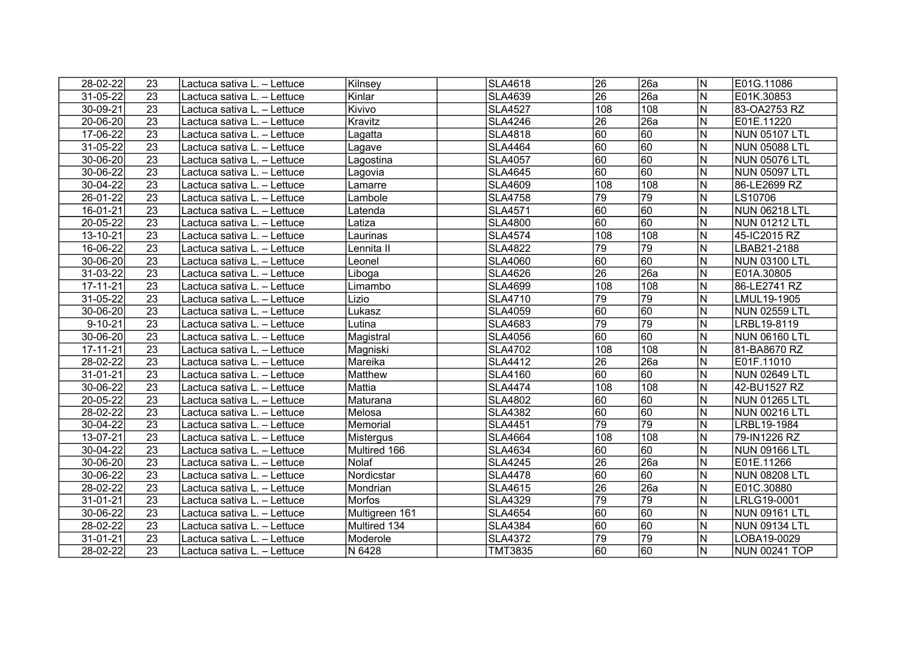| 28-02-22      | 23              | Lactuca sativa L. - Lettuce | Kilnsey        | <b>SLA4618</b> | 26  | 26a              | N                       | E01G.11086           |
|---------------|-----------------|-----------------------------|----------------|----------------|-----|------------------|-------------------------|----------------------|
| 31-05-22      | 23              | Lactuca sativa L. - Lettuce | Kinlar         | <b>SLA4639</b> | 26  | 26a              | ${\sf N}$               | E01K.30853           |
| 30-09-21      | 23              | Lactuca sativa L. - Lettuce | Kivivo         | <b>SLA4527</b> | 108 | 108              | $\overline{\mathsf{N}}$ | 83-OA2753 RZ         |
| 20-06-20      | 23              | Lactuca sativa L. - Lettuce | Kravitz        | <b>SLA4246</b> | 26  | $\overline{26a}$ | N                       | E01E.11220           |
| 17-06-22      | 23              | Lactuca sativa L. - Lettuce | Lagatta        | <b>SLA4818</b> | 60  | $\overline{60}$  | N                       | <b>NUN 05107 LTL</b> |
| 31-05-22      | 23              | Lactuca sativa L. - Lettuce | Lagave         | <b>SLA4464</b> | 60  | $\overline{60}$  | N                       | <b>NUN 05088 LTL</b> |
| 30-06-20      | $\overline{23}$ | Lactuca sativa L. - Lettuce | Lagostina      | <b>SLA4057</b> | 60  | 60               | N                       | <b>NUN 05076 LTL</b> |
| 30-06-22      | $\overline{23}$ | Lactuca sativa L. - Lettuce | Lagovia        | <b>SLA4645</b> | 60  | 60               | N                       | <b>NUN 05097 LTL</b> |
| 30-04-22      | 23              | Lactuca sativa L. - Lettuce | Lamarre        | <b>SLA4609</b> | 108 | 108              | N                       | 86-LE2699 RZ         |
| 26-01-22      | 23              | Lactuca sativa L. - Lettuce | Lambole        | <b>SLA4758</b> | 79  | 79               | N                       | LS10706              |
| 16-01-21      | 23              | Lactuca sativa L. - Lettuce | Latenda        | <b>SLA4571</b> | 60  | 60               | ${\sf N}$               | <b>NUN 06218 LTL</b> |
| 20-05-22      | 23              | Lactuca sativa L. - Lettuce | Latiza         | <b>SLA4800</b> | 60  | 60               | N                       | <b>NUN 01212 LTL</b> |
| 13-10-21      | 23              | Lactuca sativa L. - Lettuce | Laurinas       | <b>SLA4574</b> | 108 | 108              | ${\sf N}$               | 45-IC2015 RZ         |
| 16-06-22      | 23              | Lactuca sativa L. - Lettuce | Lennita II     | <b>SLA4822</b> | 79  | 79               | N                       | LBAB21-2188          |
| 30-06-20      | 23              | Lactuca sativa L. - Lettuce | Leonel         | <b>SLA4060</b> | 60  | 60               | N                       | <b>NUN 03100 LTL</b> |
| 31-03-22      | 23              | Lactuca sativa L. - Lettuce | Liboga         | <b>SLA4626</b> | 26  | 26a              | N                       | E01A.30805           |
| 17-11-21      | 23              | Lactuca sativa L. - Lettuce | Limambo        | <b>SLA4699</b> | 108 | 108              | ${\sf N}$               | 86-LE2741 RZ         |
| 31-05-22      | 23              | Lactuca sativa L. - Lettuce | Lizio          | <b>SLA4710</b> | 79  | 79               | N                       | LMUL19-1905          |
| 30-06-20      | 23              | Lactuca sativa L. - Lettuce | Lukasz         | <b>SLA4059</b> | 60  | 60               | N                       | <b>NUN 02559 LTL</b> |
| $9 - 10 - 21$ | 23              | Lactuca sativa L. - Lettuce | Lutina         | <b>SLA4683</b> | 79  | 79               | N                       | LRBL19-8119          |
| 30-06-20      | 23              | Lactuca sativa L. - Lettuce | Magistral      | <b>SLA4056</b> | 60  | 60               | N                       | NUN 06160 LTL        |
| 17-11-21      | 23              | Lactuca sativa L. - Lettuce | Magniski       | <b>SLA4702</b> | 108 | 108              | N                       | 81-BA8670 RZ         |
| 28-02-22      | 23              | Lactuca sativa L. - Lettuce | Mareika        | <b>SLA4412</b> | 26  | 26a              | N                       | E01F.11010           |
| 31-01-21      | 23              | Lactuca sativa L. - Lettuce | Matthew        | <b>SLA4160</b> | 60  | 60               | N                       | <b>NUN 02649 LTL</b> |
| 30-06-22      | 23              | Lactuca sativa L. - Lettuce | Mattia         | <b>SLA4474</b> | 108 | 108              | N                       | 42-BU1527 RZ         |
| 20-05-22      | 23              | Lactuca sativa L. - Lettuce | Maturana       | <b>SLA4802</b> | 60  | 60               | N                       | <b>NUN 01265 LTL</b> |
| 28-02-22      | 23              | Lactuca sativa L. - Lettuce | Melosa         | <b>SLA4382</b> | 60  | 60               | N                       | <b>NUN 00216 LTL</b> |
| 30-04-22      | $\overline{23}$ | Lactuca sativa L. - Lettuce | Memorial       | <b>SLA4451</b> | 79  | 79               | N                       | LRBL19-1984          |
| 13-07-21      | 23              | Lactuca sativa L. – Lettuce | Mistergus      | <b>SLA4664</b> | 108 | 108              | N                       | 79-IN1226 RZ         |
| 30-04-22      | 23              | Lactuca sativa L. – Lettuce | Multired 166   | <b>SLA4634</b> | 60  | 60               | N                       | <b>NUN 09166 LTL</b> |
| 30-06-20      | 23              | Lactuca sativa L. - Lettuce | Nolaf          | <b>SLA4245</b> | 26  | 26a              | N                       | E01E.11266           |
| 30-06-22      | 23              | Lactuca sativa L. - Lettuce | Nordicstar     | <b>SLA4478</b> | 60  | $\overline{60}$  | ${\sf N}$               | <b>NUN 08208 LTL</b> |
| 28-02-22      | 23              | Lactuca sativa L. - Lettuce | Mondrian       | <b>SLA4615</b> | 26  | 26a              | N                       | E01C.30880           |
| 31-01-21      | 23              | Lactuca sativa L. - Lettuce | Morfos         | <b>SLA4329</b> | 79  | 79               | N                       | LRLG19-0001          |
| 30-06-22      | 23              | Lactuca sativa L. - Lettuce | Multigreen 161 | <b>SLA4654</b> | 60  | 60               | N                       | <b>NUN 09161 LTL</b> |
| 28-02-22      | 23              | Lactuca sativa L. - Lettuce | Multired 134   | <b>SLA4384</b> | 60  | 60               | ${\sf N}$               | <b>NUN 09134 LTL</b> |
| 31-01-21      | 23              | Lactuca sativa L. - Lettuce | Moderole       | <b>SLA4372</b> | 79  | 79               | N                       | LOBA19-0029          |
| 28-02-22      | 23              | Lactuca sativa L. - Lettuce | N 6428         | <b>TMT3835</b> | 60  | 60               | N                       | NUN 00241 TOP        |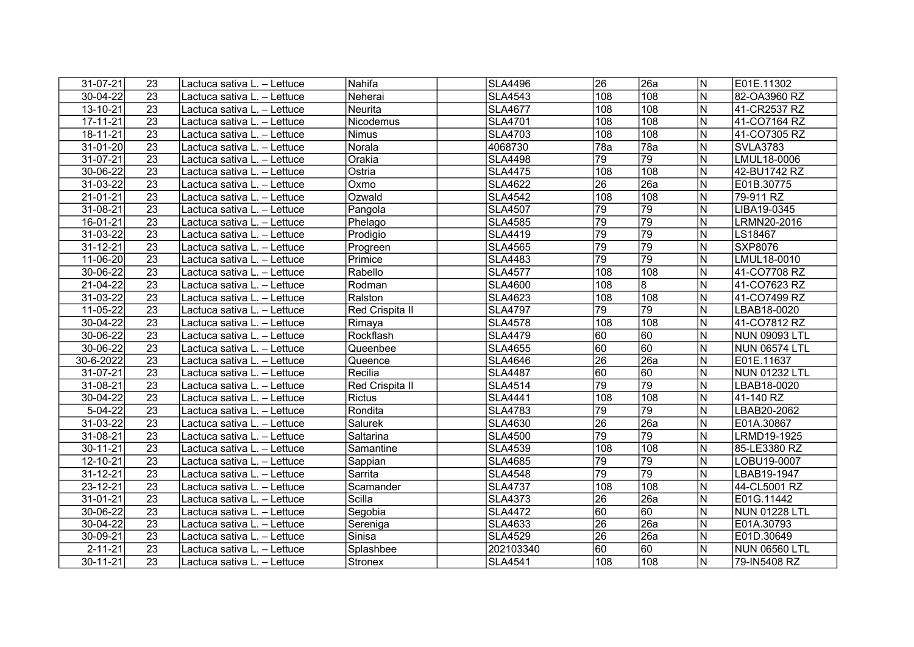| 31-07-21       | 23              | Lactuca sativa L. - Lettuce | Nahifa          | <b>SLA4496</b> | 26              | 26a              | $\mathsf{N}$            | E01E.11302           |
|----------------|-----------------|-----------------------------|-----------------|----------------|-----------------|------------------|-------------------------|----------------------|
| 30-04-22       | 23              | Lactuca sativa L. - Lettuce | Neherai         | <b>SLA4543</b> | 108             | 108              | N                       | 82-OA3960 RZ         |
| 13-10-21       | 23              | Lactuca sativa L. - Lettuce | Neurita         | <b>SLA4677</b> | 108             | 108              | N                       | 41-CR2537 RZ         |
| $17 - 11 - 21$ | 23              | Lactuca sativa L. - Lettuce | Nicodemus       | <b>SLA4701</b> | 108             | 108              | $\overline{N}$          | 41-CO7164 RZ         |
| 18-11-21       | 23              | Lactuca sativa L. - Lettuce | <b>Nimus</b>    | <b>SLA4703</b> | 108             | 108              | $\overline{N}$          | 41-CO7305 RZ         |
| $31-01-20$     | $\overline{23}$ | Lactuca sativa L. - Lettuce | Norala          | 4068730        | 78a             | 78a              | $\overline{\mathsf{N}}$ | <b>SVLA3783</b>      |
| 31-07-21       | $\overline{23}$ | Lactuca sativa L. - Lettuce | Orakia          | <b>SLA4498</b> | 79              | 79               | $\overline{\mathsf{N}}$ | LMUL18-0006          |
| 30-06-22       | 23              | Lactuca sativa L. - Lettuce | Ostria          | <b>SLA4475</b> | 108             | 108              | $\mathsf{N}$            | 42-BU1742 RZ         |
| 31-03-22       | 23              | Lactuca sativa L. - Lettuce | Oxmo            | <b>SLA4622</b> | 26              | 26a              | N                       | E01B.30775           |
| 21-01-21       | $\overline{23}$ | Lactuca sativa L. - Lettuce | Ozwald          | <b>SLA4542</b> | 108             | 108              | N                       | 79-911 RZ            |
| 31-08-21       | 23              | Lactuca sativa L. - Lettuce | Pangola         | <b>SLA4507</b> | $\overline{79}$ | 79               | N                       | LIBA19-0345          |
| $16 - 01 - 21$ | $\overline{23}$ | Lactuca sativa L. - Lettuce | Phelago         | <b>SLA4585</b> | $\overline{79}$ | 79               | $\overline{N}$          | LRMN20-2016          |
| 31-03-22       | 23              | Lactuca sativa L. - Lettuce | Prodigio        | <b>SLA4419</b> | $\overline{79}$ | $\overline{79}$  | $\mathsf{N}$            | LS18467              |
| 31-12-21       | 23              | Lactuca sativa L. - Lettuce | Progreen        | <b>SLA4565</b> | $\overline{79}$ | $\overline{79}$  | N                       | SXP8076              |
| 11-06-20       | 23              | Lactuca sativa L. - Lettuce | Primice         | <b>SLA4483</b> | $\overline{79}$ | 79               | N                       | LMUL18-0010          |
| 30-06-22       | $\overline{23}$ | Lactuca sativa L. - Lettuce | Rabello         | <b>SLA4577</b> | 108             | 108              | N                       | 41-CO7708 RZ         |
| 21-04-22       | 23              | Lactuca sativa L. - Lettuce | Rodman          | <b>SLA4600</b> | 108             | $\overline{8}$   | N                       | 41-CO7623 RZ         |
| 31-03-22       | 23              | Lactuca sativa L. - Lettuce | Ralston         | <b>SLA4623</b> | 108             | 108              | N                       | 41-CO7499 RZ         |
| 11-05-22       | 23              | Lactuca sativa L. - Lettuce | Red Crispita II | <b>SLA4797</b> | 79              | 79               | N                       | LBAB18-0020          |
| 30-04-22       | 23              | Lactuca sativa L. - Lettuce | Rimaya          | <b>SLA4578</b> | 108             | 108              | N                       | 41-CO7812 RZ         |
| 30-06-22       | 23              | Lactuca sativa L. - Lettuce | Rockflash       | <b>SLA4479</b> | 60              | 60               | N                       | <b>NUN 09093 LTL</b> |
| $30 - 06 - 22$ | 23              | Lactuca sativa L. - Lettuce | Queenbee        | <b>SLA4655</b> | $\overline{60}$ | 60               | N                       | <b>NUN 06574 LTL</b> |
| 30-6-2022      | $\overline{23}$ | Lactuca sativa L. - Lettuce | Queence         | <b>SLA4646</b> | 26              | $\overline{26a}$ | $\overline{N}$          | E01E.11637           |
| 31-07-21       | 23              | Lactuca sativa L. - Lettuce | Recilia         | <b>SLA4487</b> | 60              | $\overline{60}$  | N                       | <b>NUN 01232 LTL</b> |
| 31-08-21       | $\overline{23}$ | Lactuca sativa L. - Lettuce | Red Crispita II | <b>SLA4514</b> | $\overline{79}$ | $\overline{79}$  | $\overline{\mathsf{N}}$ | LBAB18-0020          |
| 30-04-22       | 23              | Lactuca sativa L. - Lettuce | <b>Rictus</b>   | <b>SLA4441</b> | 108             | 108              | N                       | 41-140 RZ            |
| $5 - 04 - 22$  | 23              | Lactuca sativa L. - Lettuce | Rondita         | <b>SLA4783</b> | $\overline{79}$ | 79               | N                       | LBAB20-2062          |
| 31-03-22       | $\overline{23}$ | Lactuca sativa L. - Lettuce | Salurek         | <b>SLA4630</b> | $\overline{26}$ | 26a              | N                       | E01A.30867           |
| 31-08-21       | 23              | Lactuca sativa L. - Lettuce | Saltarina       | <b>SLA4500</b> | 79              | 79               | N                       | LRMD19-1925          |
| 30-11-21       | 23              | Lactuca sativa L. - Lettuce | Samantine       | <b>SLA4539</b> | 108             | 108              | N                       | 85-LE3380 RZ         |
| 12-10-21       | 23              | Lactuca sativa L. - Lettuce | Sappian         | <b>SLA4685</b> | 79              | 79               | N                       | LOBU19-0007          |
| $31 - 12 - 21$ | 23              | Lactuca sativa L. - Lettuce | Sarrita         | <b>SLA4548</b> | 79              | 79               | N                       | LBAB19-1947          |
| 23-12-21       | 23              | Lactuca sativa L. - Lettuce | Scamander       | <b>SLA4737</b> | 108             | 108              | N                       | 44-CL5001 RZ         |
| 31-01-21       | 23              | Lactuca sativa L. - Lettuce | Scilla          | <b>SLA4373</b> | $\overline{26}$ | 26a              | N                       | E01G.11442           |
| 30-06-22       | 23              | Lactuca sativa L. - Lettuce | Segobia         | <b>SLA4472</b> | 60              | $\overline{60}$  | $\mathsf{N}$            | <b>NUN 01228 LTL</b> |
| 30-04-22       | $\overline{23}$ | Lactuca sativa L. – Lettuce | Sereniga        | <b>SLA4633</b> | $\overline{26}$ | 26a              | $\mathsf{N}$            | E01A.30793           |
| 30-09-21       | $\overline{23}$ | Lactuca sativa L. - Lettuce | Sinisa          | <b>SLA4529</b> | $\overline{26}$ | 26a              | N                       | E01D.30649           |
| $2 - 11 - 21$  | 23              | Lactuca sativa L. - Lettuce | Splashbee       | 202103340      | 60              | 60               | N                       | <b>NUN 06560 LTL</b> |
| 30-11-21       | 23              | Lactuca sativa L. - Lettuce | <b>Stronex</b>  | <b>SLA4541</b> | 108             | 108              | N                       | 79-IN5408 RZ         |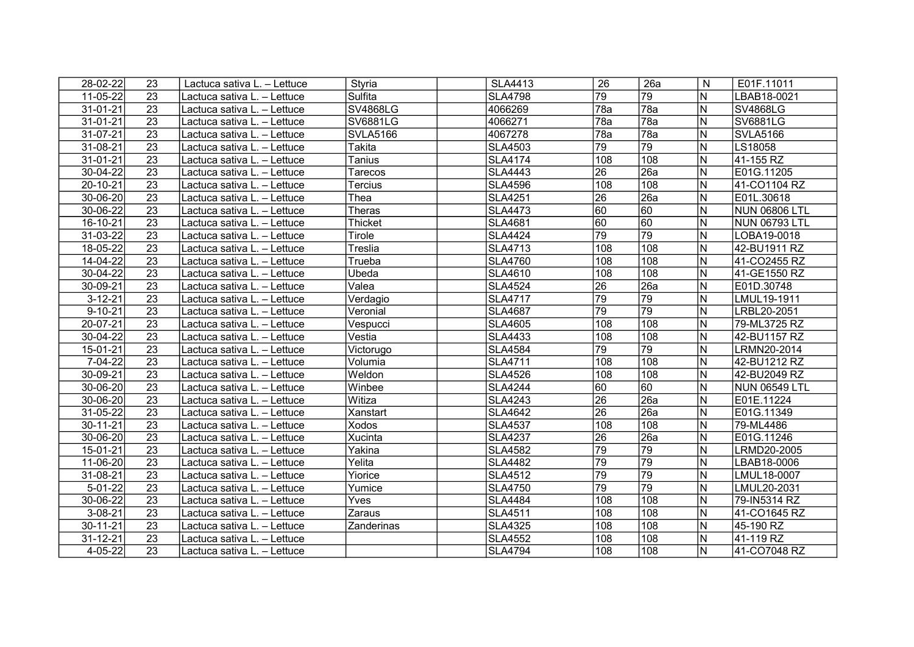| 28-02-22      | 23              | Lactuca sativa L. - Lettuce | Styria          | <b>SLA4413</b> | 26              | 26a             | N            | E01F.11011      |
|---------------|-----------------|-----------------------------|-----------------|----------------|-----------------|-----------------|--------------|-----------------|
| 11-05-22      | 23              | Lactuca sativa L. - Lettuce | Sulfita         | <b>SLA4798</b> | 79              | 79              | N            | LBAB18-0021     |
| 31-01-21      | 23              | Lactuca sativa L. - Lettuce | <b>SV4868LG</b> | 4066269        | 78a             | 78a             | N            | <b>SV4868LG</b> |
| 31-01-21      | 23              | Lactuca sativa L. - Lettuce | SV6881LG        | 4066271        | 78a             | 78a             | N            | <b>SV6881LG</b> |
| 31-07-21      | 23              | Lactuca sativa L. - Lettuce | <b>SVLA5166</b> | 4067278        | 78a             | 78a             | N            | <b>SVLA5166</b> |
| 31-08-21      | 23              | Lactuca sativa L. - Lettuce | Takita          | <b>SLA4503</b> | $\overline{79}$ | 79              | N            | LS18058         |
| 31-01-21      | $\overline{23}$ | Lactuca sativa L. - Lettuce | Tanius          | <b>SLA4174</b> | 108             | 108             | N            | 41-155 RZ       |
| 30-04-22      | 23              | Lactuca sativa L. - Lettuce | Tarecos         | <b>SLA4443</b> | $\overline{26}$ | 26a             | N            | E01G.11205      |
| 20-10-21      | 23              | Lactuca sativa L. - Lettuce | Tercius         | <b>SLA4596</b> | 108             | 108             | N            | 41-CO1104 RZ    |
| 30-06-20      | 23              | Lactuca sativa L. – Lettuce | Thea            | <b>SLA4251</b> | 26              | 26a             | N            | E01L.30618      |
| 30-06-22      | 23              | Lactuca sativa L. - Lettuce | Theras          | <b>SLA4473</b> | 60              | 60              | N            | NUN 06806 LTL   |
| 16-10-21      | 23              | Lactuca sativa L. - Lettuce | <b>Thicket</b>  | <b>SLA4681</b> | 60              | 60              | N            | NUN 06793 LTL   |
| 31-03-22      | 23              | Lactuca sativa L. - Lettuce | Tirole          | <b>SLA4424</b> | 79              | 79              | N            | LOBA19-0018     |
| 18-05-22      | 23              | Lactuca sativa L. – Lettuce | Treslia         | <b>SLA4713</b> | 108             | 108             | ${\sf N}$    | 42-BU1911 RZ    |
| 14-04-22      | 23              | Lactuca sativa L. - Lettuce | Trueba          | <b>SLA4760</b> | 108             | 108             | ${\sf N}$    | 41-CO2455 RZ    |
| 30-04-22      | 23              | Lactuca sativa L. - Lettuce | Ubeda           | <b>SLA4610</b> | 108             | 108             | N            | 41-GE1550 RZ    |
| 30-09-21      | 23              | Lactuca sativa L. - Lettuce | Valea           | <b>SLA4524</b> | 26              | 26a             | ${\sf N}$    | E01D.30748      |
| $3 - 12 - 21$ | 23              | Lactuca sativa L. - Lettuce | Verdagio        | <b>SLA4717</b> | 79              | 79              | N            | LMUL19-1911     |
| $9 - 10 - 21$ | 23              | Lactuca sativa L. - Lettuce | Veronial        | <b>SLA4687</b> | 79              | 79              | ${\sf N}$    | LRBL20-2051     |
| 20-07-21      | 23              | Lactuca sativa L. - Lettuce | Vespucci        | <b>SLA4605</b> | 108             | 108             | N            | 79-ML3725 RZ    |
| 30-04-22      | 23              | Lactuca sativa L. – Lettuce | Vestia          | <b>SLA4433</b> | 108             | 108             | $\mathsf{N}$ | 42-BU1157 RZ    |
| 15-01-21      | 23              | Lactuca sativa L. - Lettuce | Victorugo       | <b>SLA4584</b> | 79              | 79              | ${\sf N}$    | LRMN20-2014     |
| 7-04-22       | 23              | Lactuca sativa L. – Lettuce | Volumia         | <b>SLA4711</b> | 108             | 108             | N            | 42-BU1212 RZ    |
| 30-09-21      | 23              | Lactuca sativa L. - Lettuce | Weldon          | <b>SLA4526</b> | 108             | 108             | ${\sf N}$    | 42-BU2049 RZ    |
| 30-06-20      | 23              | Lactuca sativa L. – Lettuce | Winbee          | <b>SLA4244</b> | 60              | 60              | N            | NUN 06549 LTL   |
| 30-06-20      | 23              | Lactuca sativa L. - Lettuce | Witiza          | <b>SLA4243</b> | $\overline{26}$ | 26a             | ${\sf N}$    | E01E.11224      |
| 31-05-22      | 23              | Lactuca sativa L. – Lettuce | Xanstart        | <b>SLA4642</b> | $\overline{26}$ | 26a             | N            | E01G.11349      |
| 30-11-21      | $\overline{23}$ | Lactuca sativa L. - Lettuce | Xodos           | <b>SLA4537</b> | 108             | 108             | N            | 79-ML4486       |
| 30-06-20      | 23              | Lactuca sativa L. – Lettuce | Xucinta         | <b>SLA4237</b> | $\overline{26}$ | 26a             | N            | E01G.11246      |
| 15-01-21      | 23              | Lactuca sativa L. – Lettuce | Yakina          | <b>SLA4582</b> | $\overline{79}$ | 79              | N            | LRMD20-2005     |
| 11-06-20      | 23              | Lactuca sativa L. – Lettuce | Yelita          | <b>SLA4482</b> | $\overline{79}$ | 79              | N            | LBAB18-0006     |
| 31-08-21      | 23              | Lactuca sativa L. - Lettuce | Yiorice         | <b>SLA4512</b> | $\overline{79}$ | 79              | N            | LMUL18-0007     |
| $5 - 01 - 22$ | 23              | Lactuca sativa L. - Lettuce | Yumice          | <b>SLA4750</b> | 79              | $\overline{79}$ | N            | LMUL20-2031     |
| 30-06-22      | 23              | Lactuca sativa L. - Lettuce | Yves            | <b>SLA4484</b> | 108             | 108             | N            | 79-IN5314 RZ    |
| 3-08-21       | 23              | Lactuca sativa L. - Lettuce | Zaraus          | <b>SLA4511</b> | 108             | 108             | N            | 41-CO1645 RZ    |
| 30-11-21      | 23              | Lactuca sativa L. - Lettuce | Zanderinas      | <b>SLA4325</b> | 108             | 108             | N            | 45-190 RZ       |
| 31-12-21      | 23              | Lactuca sativa L. - Lettuce |                 | <b>SLA4552</b> | 108             | 108             | N            | 41-119 RZ       |
| 4-05-22       | 23              | Lactuca sativa L. - Lettuce |                 | <b>SLA4794</b> | 108             | 108             | N            | 41-CO7048 RZ    |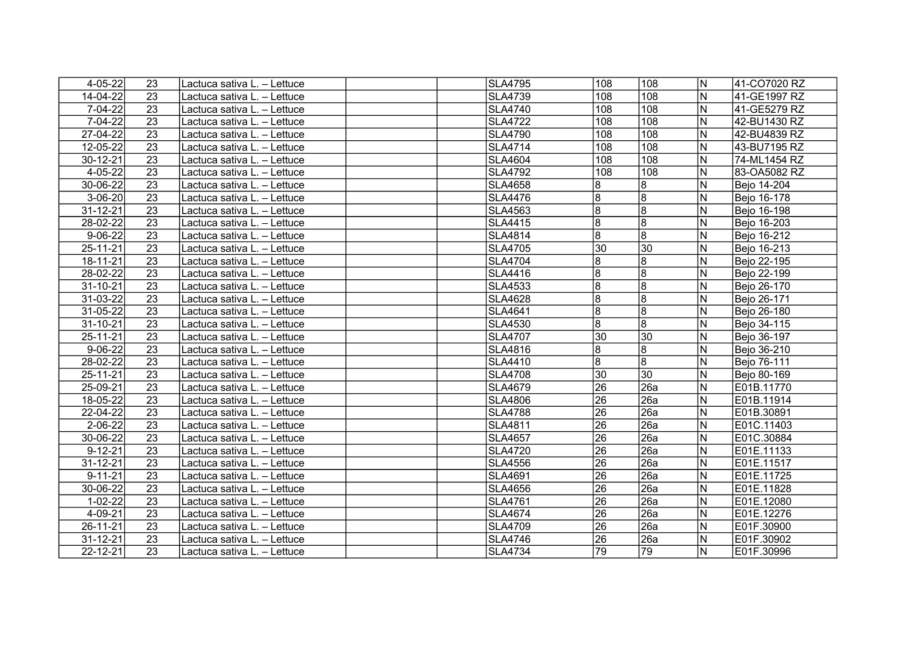| $4 - 05 - 22$  | 23              | Lactuca sativa L. – Lettuce  | <b>SLA4795</b> | 108             | 108              | IN.                     | 41-CO7020 RZ |
|----------------|-----------------|------------------------------|----------------|-----------------|------------------|-------------------------|--------------|
| 14-04-22       | 23              | Lactuca sativa L. - Lettuce  | <b>SLA4739</b> | 108             | 108              | N                       | 41-GE1997 RZ |
| 7-04-22        | 23              | Lactuca sativa L. - Lettuce  | <b>SLA4740</b> | 108             | $\overline{108}$ | $\overline{N}$          | 41-GE5279 RZ |
| $7 - 04 - 22$  | 23              | Lactuca sativa L. - Lettuce  | <b>SLA4722</b> | 108             | 108              | N                       | 42-BU1430 RZ |
| 27-04-22       | 23              | Lactuca sativa L. - Lettuce  | <b>SLA4790</b> | 108             | 108              | N                       | 42-BU4839 RZ |
| 12-05-22       | 23              | Lactuca sativa L. - Lettuce  | <b>SLA4714</b> | 108             | 108              | $\mathsf{N}$            | 43-BU7195 RZ |
| 30-12-21       | 23              | Lactuca sativa L. - Lettuce  | <b>SLA4604</b> | 108             | 108              | N                       | 74-ML1454 RZ |
| 4-05-22        | 23              | Lactuca sativa L. – Lettuce  | <b>SLA4792</b> | 108             | 108              | N                       | 83-0A5082 RZ |
| 30-06-22       | 23              | Lactuca sativa L. - Lettuce  | <b>SLA4658</b> | 8               | 8                | N                       | Bejo 14-204  |
| $3-06-20$      | 23              | Lactuca sativa L. - Lettuce  | <b>SLA4476</b> | 8               | 8                | N                       | Bejo 16-178  |
| 31-12-21       | 23              | Lactuca sativa L. - Lettuce  | <b>SLA4563</b> | $\overline{8}$  | $\overline{8}$   | N                       | Bejo 16-198  |
| 28-02-22       | 23              | Lactuca sativa L. – Lettuce  | <b>SLA4415</b> | $\overline{8}$  | 8                | N                       | Bejo 16-203  |
| $9 - 06 - 22$  | 23              | Lactuca sativa L. - Lettuce  | <b>SLA4814</b> | 8               | 8                | N                       | Bejo 16-212  |
| 25-11-21       | 23              | Lactuca sativa L. – Lettuce  | <b>SLA4705</b> | 30              | 30               | N                       | Bejo 16-213  |
| 18-11-21       | 23              | ⊺Lactuca sativa L. – Lettuce | <b>SLA4704</b> | 8               | 8                | $\overline{\mathsf{N}}$ | Bejo 22-195  |
| 28-02-22       | 23              | Lactuca sativa L. – Lettuce  | <b>SLA4416</b> | 8               | $\overline{8}$   | N                       | Bejo 22-199  |
| $31 - 10 - 21$ | 23              | Lactuca sativa L. – Lettuce  | <b>SLA4533</b> | 8               | 8                | N                       | Bejo 26-170  |
| 31-03-22       | 23              | Lactuca sativa L. – Lettuce  | <b>SLA4628</b> | 8               | $\overline{8}$   | N                       | Bejo 26-171  |
| 31-05-22       | 23              | Lactuca sativa L. – Lettuce  | <b>SLA4641</b> | 8               | $\overline{8}$   | N                       | Bejo 26-180  |
| 31-10-21       | 23              | Lactuca sativa L. - Lettuce  | <b>SLA4530</b> | 8               | $\overline{8}$   | N                       | Bejo 34-115  |
| 25-11-21       | 23              | Lactuca sativa L. - Lettuce  | <b>SLA4707</b> | $ 30\rangle$    | 30               | N                       | Bejo 36-197  |
| $9 - 06 - 22$  | 23              | Lactuca sativa L. – Lettuce  | <b>SLA4816</b> | 8               | $\overline{8}$   | N                       | Bejo 36-210  |
| 28-02-22       | 23              | Lactuca sativa L. - Lettuce  | <b>SLA4410</b> | 8               | $\overline{8}$   | N                       | Bejo 76-111  |
| 25-11-21       | 23              | Lactuca sativa L. – Lettuce  | <b>SLA4708</b> | 30              | 30               | $\mathsf{N}$            | Bejo 80-169  |
| 25-09-21       | 23              | Lactuca sativa L. - Lettuce  | <b>SLA4679</b> | $\overline{26}$ | 26a              | $\mathsf{N}$            | E01B.11770   |
| 18-05-22       | 23              | Lactuca sativa L. – Lettuce  | <b>SLA4806</b> | 26              | 26a              | ${\sf N}$               | E01B.11914   |
| 22-04-22       | 23              | Lactuca sativa L. - Lettuce  | <b>SLA4788</b> | 26              | 26a              | N                       | E01B.30891   |
| 2-06-22        | 23              | Lactuca sativa L. - Lettuce  | <b>SLA4811</b> | 26              | 26a              | ${\sf N}$               | E01C.11403   |
| 30-06-22       | $\overline{23}$ | Lactuca sativa L. - Lettuce  | <b>SLA4657</b> | 26              | $\overline{26a}$ | ${\sf N}$               | E01C.30884   |
| $9 - 12 - 21$  | 23              | Lactuca sativa L. - Lettuce  | <b>SLA4720</b> | 26              | 26a              | ${\sf N}$               | E01E.11133   |
| 31-12-21       | 23              | Lactuca sativa L. - Lettuce  | <b>SLA4556</b> | 26              | $\overline{26a}$ | N                       | E01E.11517   |
| $9 - 11 - 21$  | 23              | Lactuca sativa L. - Lettuce  | <b>SLA4691</b> | 26              | 26a              | ${\sf N}$               | E01E.11725   |
| 30-06-22       | 23              | Lactuca sativa L. - Lettuce  | <b>SLA4656</b> | 26              | 26a              | N                       | E01E.11828   |
| $1 - 02 - 22$  | 23              | Lactuca sativa L. - Lettuce  | <b>SLA4761</b> | 26              | 26a              | N                       | E01E.12080   |
| 4-09-21        | 23              | Lactuca sativa L. - Lettuce  | <b>SLA4674</b> | 26              | $\overline{26a}$ | N                       | E01E.12276   |
| 26-11-21       | 23              | Lactuca sativa L. - Lettuce  | <b>SLA4709</b> | 26              | 26a              | N                       | E01F.30900   |
| 31-12-21       | 23              | Lactuca sativa L. - Lettuce  | <b>SLA4746</b> | $\overline{26}$ | 26a              | N                       | E01F.30902   |
| 22-12-21       | 23              | Lactuca sativa L. – Lettuce  | <b>SLA4734</b> | 79              | 79               | IN.                     | E01F.30996   |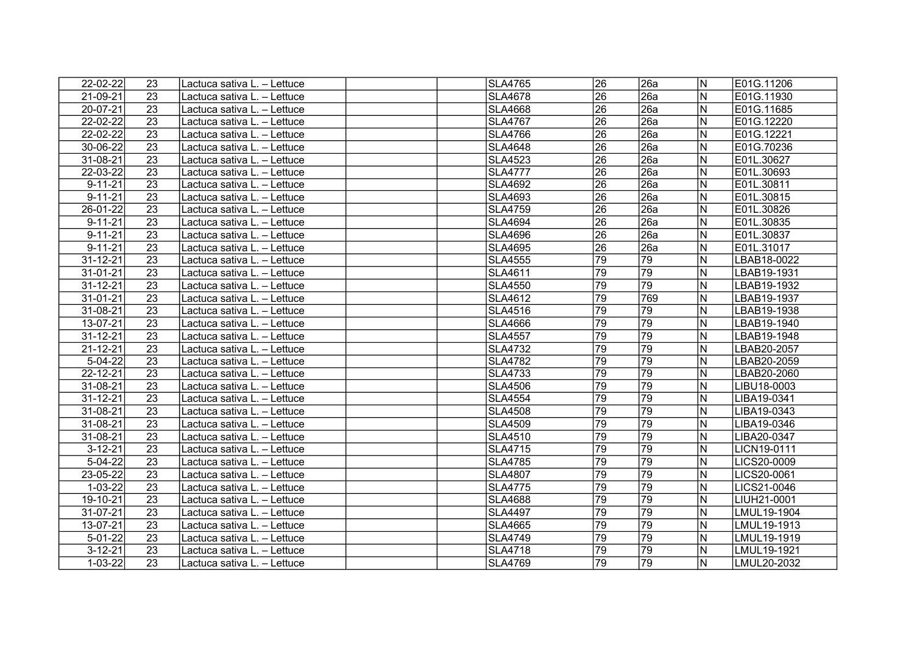| 22-02-22       | 23 | Lactuca sativa L. – Lettuce  | <b>SLA4765</b> | 26              | 26a             | ΙN             | E01G.11206  |
|----------------|----|------------------------------|----------------|-----------------|-----------------|----------------|-------------|
| 21-09-21       | 23 | Lactuca sativa L. - Lettuce  | <b>SLA4678</b> | 26              | 26a             | N              | E01G.11930  |
| 20-07-21       | 23 | Lactuca sativa L. - Lettuce  | <b>SLA4668</b> | $\overline{26}$ | 26a             | N              | E01G.11685  |
| 22-02-22       | 23 | Lactuca sativa L. - Lettuce  | <b>SLA4767</b> | 26              | 26a             | N              | E01G.12220  |
| 22-02-22       | 23 | Lactuca sativa L. – Lettuce  | <b>SLA4766</b> | 26              | 26a             | N              | E01G.12221  |
| 30-06-22       | 23 | Lactuca sativa L. - Lettuce  | <b>SLA4648</b> | 26              | 26a             | N              | E01G.70236  |
| 31-08-21       | 23 | ILactuca sativa L. – Lettuce | <b>SLA4523</b> | 26              | 26a             | N              | E01L.30627  |
| 22-03-22       | 23 | Lactuca sativa L. – Lettuce  | <b>SLA4777</b> | 26              | 26a             | $\mathsf{N}$   | E01L.30693  |
| $9 - 11 - 21$  | 23 | Lactuca sativa L. - Lettuce  | <b>SLA4692</b> | 26              | 26a             | $\mathsf{N}$   | E01L.30811  |
| $9 - 11 - 21$  | 23 | Lactuca sativa L. - Lettuce  | <b>SLA4693</b> | 26              | 26a             | N              | E01L.30815  |
| 26-01-22       | 23 | Lactuca sativa L. - Lettuce  | <b>SLA4759</b> | 26              | 26a             | ${\sf N}$      | E01L.30826  |
| $9 - 11 - 21$  | 23 | Lactuca sativa L. - Lettuce  | <b>SLA4694</b> | 26              | 26a             | $\mathsf{N}$   | E01L.30835  |
| $9 - 11 - 21$  | 23 | Lactuca sativa L. - Lettuce  | <b>SLA4696</b> | 26              | 26a             | N              | E01L.30837  |
| $9 - 11 - 21$  | 23 | Lactuca sativa L. - Lettuce  | <b>SLA4695</b> | 26              | 26a             | N              | E01L.31017  |
| 31-12-21       | 23 | Lactuca sativa L. – Lettuce  | <b>SLA4555</b> | $\overline{79}$ | 79              | N              | LBAB18-0022 |
| 31-01-21       | 23 | Lactuca sativa L. – Lettuce  | <b>SLA4611</b> | 79              | 79              | N              | LBAB19-1931 |
| $31 - 12 - 21$ | 23 | Lactuca sativa L. – Lettuce  | <b>SLA4550</b> | 79              | 79              | N              | LBAB19-1932 |
| 31-01-21       | 23 | Lactuca sativa L. - Lettuce  | <b>SLA4612</b> | 79              | 769             | N              | LBAB19-1937 |
| 31-08-21       | 23 | Lactuca sativa L. – Lettuce  | <b>SLA4516</b> | 79              | 79              | N              | LBAB19-1938 |
| 13-07-21       | 23 | Lactuca sativa L. – Lettuce  | <b>SLA4666</b> | 79              | 79              | N              | LBAB19-1940 |
| 31-12-21       | 23 | Lactuca sativa L. - Lettuce  | <b>SLA4557</b> | 79              | 79              | N              | LBAB19-1948 |
| 21-12-21       | 23 | Lactuca sativa L. - Lettuce  | <b>SLA4732</b> | 79              | 79              | ${\sf N}$      | LBAB20-2057 |
| $5 - 04 - 22$  | 23 | Lactuca sativa L. - Lettuce  | <b>SLA4782</b> | 79              | 79              | N              | LBAB20-2059 |
| 22-12-21       | 23 | Lactuca sativa L. - Lettuce  | <b>SLA4733</b> | $\overline{79}$ | $\overline{79}$ | N              | LBAB20-2060 |
| 31-08-21       | 23 | Lactuca sativa L. - Lettuce  | <b>SLA4506</b> | 79              | 79              | N              | LIBU18-0003 |
| 31-12-21       | 23 | Lactuca sativa L. - Lettuce  | <b>SLA4554</b> | 79              | 79              | N              | LIBA19-0341 |
| 31-08-21       | 23 | Lactuca sativa L. - Lettuce  | <b>SLA4508</b> | 79              | 79              | N              | LIBA19-0343 |
| 31-08-21       | 23 | Lactuca sativa L. - Lettuce  | <b>SLA4509</b> | 79              | 79              | N              | LIBA19-0346 |
| 31-08-21       | 23 | Lactuca sativa L. – Lettuce  | <b>SLA4510</b> | 79              | $\overline{79}$ | $\overline{N}$ | LIBA20-0347 |
| $3 - 12 - 21$  | 23 | Lactuca sativa L. – Lettuce  | <b>SLA4715</b> | 79              | 79              | N              | LICN19-0111 |
| 5-04-22        | 23 | Lactuca sativa L. - Lettuce  | <b>SLA4785</b> | 79              | 79              | N              | LICS20-0009 |
| 23-05-22       | 23 | Lactuca sativa L. - Lettuce  | <b>SLA4807</b> | 79              | 79              | N              | LICS20-0061 |
| $1 - 03 - 22$  | 23 | Lactuca sativa L. - Lettuce  | <b>SLA4775</b> | 79              | 79              | $\mathsf{N}$   | LICS21-0046 |
| 19-10-21       | 23 | Lactuca sativa L. - Lettuce  | <b>SLA4688</b> | 79              | 79              | ${\sf N}$      | LIUH21-0001 |
| 31-07-21       | 23 | Lactuca sativa L. - Lettuce  | <b>SLA4497</b> | $\overline{79}$ | 79              | N              | LMUL19-1904 |
| 13-07-21       | 23 | Lactuca sativa L. - Lettuce  | <b>SLA4665</b> | $\overline{79}$ | $\overline{79}$ | ${\sf N}$      | LMUL19-1913 |
| $5 - 01 - 22$  | 23 | Lactuca sativa L. - Lettuce  | <b>SLA4749</b> | 79              | 79              | N              | LMUL19-1919 |
| $3 - 12 - 21$  | 23 | Lactuca sativa L. - Lettuce  | <b>SLA4718</b> | 79              | 79              | N              | LMUL19-1921 |
| $1 - 03 - 22$  | 23 | Lactuca sativa L. - Lettuce  | <b>SLA4769</b> | 79              | 79              | N              | LMUL20-2032 |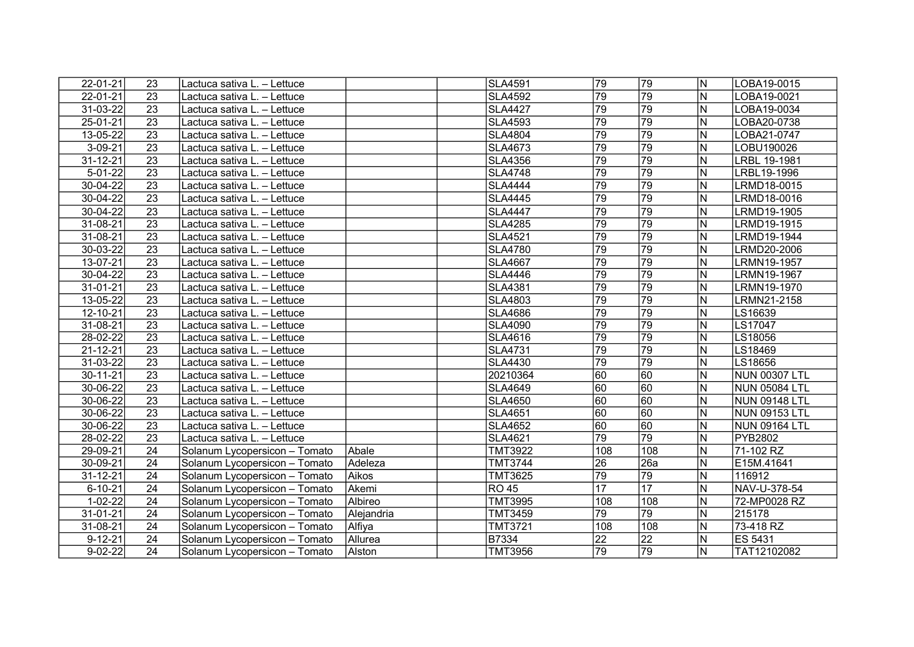| 22-01-21      | 23              | Lactuca sativa L. – Lettuce   |            | <b>SLA4591</b> | 79              | 79              | IN.                     | LOBA19-0015          |
|---------------|-----------------|-------------------------------|------------|----------------|-----------------|-----------------|-------------------------|----------------------|
| 22-01-21      | 23              | Lactuca sativa L. - Lettuce   |            | <b>SLA4592</b> | 79              | 79              | N                       | LOBA19-0021          |
| 31-03-22      | 23              | Lactuca sativa L. - Lettuce   |            | <b>SLA4427</b> | 79              | 79              | IN.                     | LOBA19-0034          |
| 25-01-21      | 23              | Lactuca sativa L. - Lettuce   |            | <b>SLA4593</b> | $\overline{79}$ | 79              | N                       | LOBA20-0738          |
| 13-05-22      | 23              | Lactuca sativa L. - Lettuce   |            | <b>SLA4804</b> | $\overline{79}$ | 79              | ΙN                      | LOBA21-0747          |
| $3 - 09 - 21$ | 23              | Lactuca sativa L. - Lettuce   |            | <b>SLA4673</b> | $\overline{79}$ | 79              | lN.                     | LOBU190026           |
| 31-12-21      | 23              | Lactuca sativa L. - Lettuce   |            | <b>SLA4356</b> | 79              | 79              | ΙN                      | LRBL 19-1981         |
| $5 - 01 - 22$ | 23              | Lactuca sativa L. - Lettuce   |            | <b>SLA4748</b> | $\overline{79}$ | 79              | N                       | LRBL19-1996          |
| 30-04-22      | 23              | Lactuca sativa L. - Lettuce   |            | <b>SLA4444</b> | 79              | 79              | N                       | LRMD18-0015          |
| 30-04-22      | 23              | Lactuca sativa L. - Lettuce   |            | <b>SLA4445</b> | 79              | 79              | lN.                     | LRMD18-0016          |
| 30-04-22      | 23              | Lactuca sativa L. - Lettuce   |            | <b>SLA4447</b> | $\overline{79}$ | 79              | N                       | LRMD19-1905          |
| 31-08-21      | 23              | Lactuca sativa L. - Lettuce   |            | <b>SLA4285</b> | $\overline{79}$ | 79              | N                       | LRMD19-1915          |
| 31-08-21      | 23              | Lactuca sativa L. - Lettuce   |            | <b>SLA4521</b> | 79              | 79              | N                       | LRMD19-1944          |
| 30-03-22      | 23              | Lactuca sativa L. - Lettuce   |            | <b>SLA4780</b> | 79              | 79              | N                       | LRMD20-2006          |
| 13-07-21      | 23              | Lactuca sativa L. - Lettuce   |            | <b>SLA4667</b> | 79              | 79              | N                       | LRMN19-1957          |
| 30-04-22      | 23              | Lactuca sativa L. - Lettuce   |            | <b>SLA4446</b> | 79              | 79              | N                       | LRMN19-1967          |
| 31-01-21      | $\overline{23}$ | Lactuca sativa L. - Lettuce   |            | <b>SLA4381</b> | 79              | 79              | N                       | LRMN19-1970          |
| 13-05-22      | 23              | Lactuca sativa L. – Lettuce   |            | <b>SLA4803</b> | 79              | 79              | N                       | LRMN21-2158          |
| 12-10-21      | 23              | Lactuca sativa L. - Lettuce   |            | <b>SLA4686</b> | $\overline{79}$ | 79              | N                       | LS16639              |
| 31-08-21      | 23              | Lactuca sativa L. - Lettuce   |            | <b>SLA4090</b> | 79              | 79              | N                       | LS17047              |
| 28-02-22      | $\overline{23}$ | Lactuca sativa L. - Lettuce   |            | <b>SLA4616</b> | 79              | 79              | $\overline{\mathsf{N}}$ | LS18056              |
| 21-12-21      | 23              | Lactuca sativa L. - Lettuce   |            | <b>SLA4731</b> | 79              | 79              | N                       | LS18469              |
| 31-03-22      | 23              | Lactuca sativa L. - Lettuce   |            | <b>SLA4430</b> | 79              | 79              | N                       | LS18656              |
| 30-11-21      | 23              | Lactuca sativa L. - Lettuce   |            | 20210364       | 60              | 60              | N                       | <b>NUN 00307 LTL</b> |
| 30-06-22      | 23              | Lactuca sativa L. - Lettuce   |            | <b>SLA4649</b> | 60              | 60              | N                       | <b>NUN 05084 LTL</b> |
| 30-06-22      | 23              | Lactuca sativa L. - Lettuce   |            | <b>SLA4650</b> | 60              | 60              | N                       | <b>NUN 09148 LTL</b> |
| 30-06-22      | 23              | Lactuca sativa L. - Lettuce   |            | <b>SLA4651</b> | 60              | $\overline{60}$ | N                       | NUN 09153 LTL        |
| 30-06-22      | $\overline{23}$ | Lactuca sativa L. - Lettuce   |            | <b>SLA4652</b> | 60              | 60              | N                       | <b>NUN 09164 LTL</b> |
| 28-02-22      | 23              | Lactuca sativa L. - Lettuce   |            | <b>SLA4621</b> | $\overline{79}$ | 79              | N                       | <b>PYB2802</b>       |
| 29-09-21      | 24              | Solanum Lycopersicon - Tomato | Abale      | <b>TMT3922</b> | 108             | 108             | N                       | 71-102 RZ            |
| 30-09-21      | 24              | Solanum Lycopersicon - Tomato | Adeleza    | TMT3744        | 26              | 26a             | N                       | E15M.41641           |
| 31-12-21      | 24              | Solanum Lycopersicon - Tomato | Aikos      | <b>TMT3625</b> | 79              | 79              | N                       | 116912               |
| $6 - 10 - 21$ | 24              | Solanum Lycopersicon - Tomato | Akemi      | <b>RO 45</b>   | $\overline{17}$ | $\overline{17}$ | N                       | NAV-U-378-54         |
| $1-02-22$     | 24              | Solanum Lycopersicon - Tomato | Albireo    | <b>TMT3995</b> | 108             | 108             | N                       | 72-MP0028 RZ         |
| 31-01-21      | 24              | Solanum Lycopersicon - Tomato | Alejandria | <b>TMT3459</b> | 79              | $\overline{79}$ | N                       | 215178               |
| 31-08-21      | 24              | Solanum Lycopersicon - Tomato | Alfiya     | <b>TMT3721</b> | 108             | 108             | ΙN                      | 73-418 RZ            |
| $9 - 12 - 21$ | 24              | Solanum Lycopersicon - Tomato | Allurea    | B7334          | 22              | $\overline{22}$ | N                       | ES 5431              |
| $9-02-22$     | 24              | Solanum Lycopersicon - Tomato | Alston     | <b>TMT3956</b> | 79              | 79              | N                       | TAT12102082          |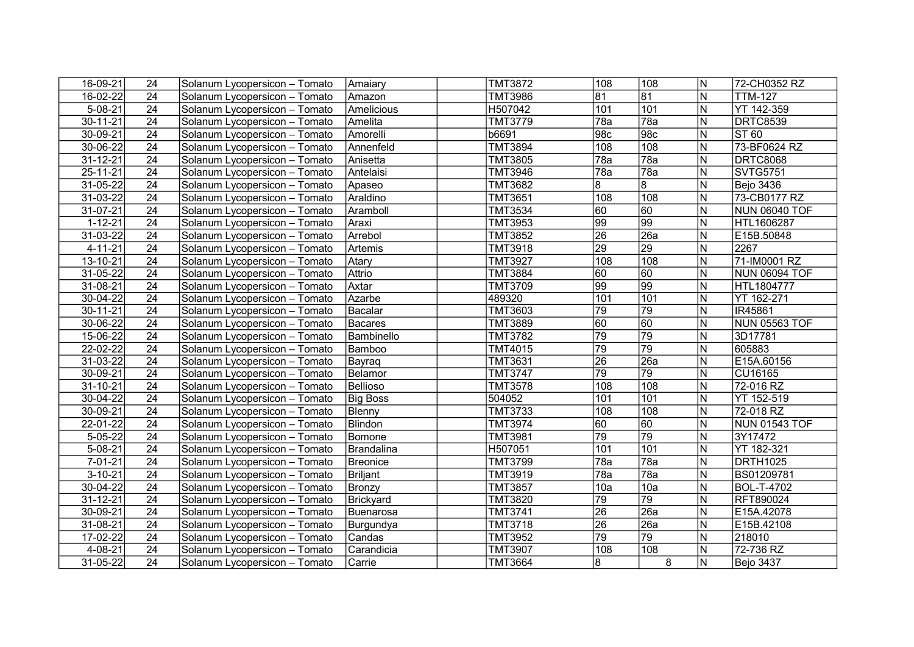| 16-09-21       | 24              | Solanum Lycopersicon - Tomato | Amaiary           | <b>TMT3872</b> | 108             | 108             | N                       | 72-CH0352 RZ         |
|----------------|-----------------|-------------------------------|-------------------|----------------|-----------------|-----------------|-------------------------|----------------------|
| 16-02-22       | 24              | Solanum Lycopersicon - Tomato | Amazon            | <b>TMT3986</b> | 81              | 81              | ${\sf N}$               | <b>TTM-127</b>       |
| $5 - 08 - 21$  | 24              | Solanum Lycopersicon - Tomato | Amelicious        | H507042        | 101             | 101             | N                       | YT 142-359           |
| $30 - 11 - 21$ | 24              | Solanum Lycopersicon - Tomato | Amelita           | <b>TMT3779</b> | 78a             | 78a             | $\overline{\mathsf{N}}$ | <b>DRTC8539</b>      |
| 30-09-21       | 24              | Solanum Lycopersicon - Tomato | Amorelli          | b6691          | 98c             | 98c             | N                       | ST 60                |
| 30-06-22       | 24              | Solanum Lycopersicon - Tomato | Annenfeld         | <b>TMT3894</b> | 108             | 108             | $\overline{N}$          | 73-BF0624 RZ         |
| 31-12-21       | $\overline{24}$ | Solanum Lycopersicon - Tomato | Anisetta          | <b>TMT3805</b> | 78a             | 78a             | $\overline{N}$          | <b>DRTC8068</b>      |
| 25-11-21       | $\overline{24}$ | Solanum Lycopersicon - Tomato | Antelaisi         | <b>TMT3946</b> | 78a             | 78a             | $\overline{\mathsf{N}}$ | <b>SVTG5751</b>      |
| 31-05-22       | 24              | Solanum Lycopersicon - Tomato | Apaseo            | <b>TMT3682</b> | 8               | 8               | ${\sf N}$               | <b>Bejo 3436</b>     |
| 31-03-22       | 24              | Solanum Lycopersicon - Tomato | Araldino          | <b>TMT3651</b> | 108             | 108             | ${\sf N}$               | 73-CB0177 RZ         |
| 31-07-21       | 24              | Solanum Lycopersicon - Tomato | Aramboll          | <b>TMT3534</b> | 60              | 60              | ${\sf N}$               | NUN 06040 TOF        |
| $1 - 12 - 21$  | 24              | Solanum Lycopersicon - Tomato | Araxi             | TMT3953        | $\overline{99}$ | $\overline{99}$ | ${\sf N}$               | HTL1606287           |
| 31-03-22       | 24              | Solanum Lycopersicon - Tomato | Arrebol           | <b>TMT3852</b> | $\overline{26}$ | 26a             | N                       | E15B.50848           |
| $4 - 11 - 21$  | 24              | Solanum Lycopersicon - Tomato | Artemis           | <b>TMT3918</b> | 29              | $\overline{29}$ | ${\sf N}$               | 2267                 |
| 13-10-21       | $\overline{24}$ | Solanum Lycopersicon - Tomato | Atary             | <b>TMT3927</b> | 108             | 108             | N                       | 71-IM0001 RZ         |
| 31-05-22       | 24              | Solanum Lycopersicon - Tomato | Attrio            | <b>TMT3884</b> | 60              | 60              | N                       | NUN 06094 TOF        |
| 31-08-21       | 24              | Solanum Lycopersicon - Tomato | Axtar             | TMT3709        | 99              | $\overline{99}$ | N                       | HTL1804777           |
| 30-04-22       | $\overline{24}$ | Solanum Lycopersicon - Tomato | Azarbe            | 489320         | 101             | 101             | $\overline{\mathsf{N}}$ | YT 162-271           |
| 30-11-21       | $\overline{24}$ | Solanum Lycopersicon - Tomato | Bacalar           | TMT3603        | 79              | 79              | N                       | IR45861              |
| 30-06-22       | $\overline{24}$ | Solanum Lycopersicon - Tomato | Bacares           | <b>TMT3889</b> | 60              | 60              | $\overline{N}$          | <b>NUN 05563 TOF</b> |
| 15-06-22       | 24              | Solanum Lycopersicon - Tomato | Bambinello        | <b>TMT3782</b> | 79              | 79              | $\mathsf{N}$            | 3D17781              |
| 22-02-22       | 24              | Solanum Lycopersicon - Tomato | Bamboo            | <b>TMT4015</b> | 79              | 79              | ${\sf N}$               | 605883               |
| $31 - 03 - 22$ | 24              | Solanum Lycopersicon - Tomato | Bayraq            | TMT3631        | $\overline{26}$ | 26a             | N                       | E15A.60156           |
| 30-09-21       | $\overline{24}$ | Solanum Lycopersicon - Tomato | Belamor           | <b>TMT3747</b> | $\overline{79}$ | 79              | $\overline{N}$          | CU16165              |
| 31-10-21       | 24              | Solanum Lycopersicon - Tomato | Bellioso          | <b>TMT3578</b> | 108             | 108             | N                       | 72-016 RZ            |
| 30-04-22       | 24              | Solanum Lycopersicon - Tomato | Big Boss          | 504052         | 101             | 101             | ${\sf N}$               | YT 152-519           |
| 30-09-21       | 24              | Solanum Lycopersicon - Tomato | Blenny            | <b>TMT3733</b> | 108             | 108             | N                       | 72-018 RZ            |
| 22-01-22       | 24              | Solanum Lycopersicon - Tomato | Blindon           | <b>TMT3974</b> | 60              | 60              | $\overline{\mathsf{N}}$ | <b>NUN 01543 TOF</b> |
| $5 - 05 - 22$  | 24              | Solanum Lycopersicon - Tomato | Bomone            | <b>TMT3981</b> | 79              | 79              | $\overline{\mathsf{N}}$ | 3Y17472              |
| $5 - 08 - 21$  | 24              | Solanum Lycopersicon - Tomato | <b>Brandalina</b> | H507051        | 101             | 101             | $\overline{N}$          | YT 182-321           |
| $7 - 01 - 21$  | 24              | Solanum Lycopersicon - Tomato | <b>Breonice</b>   | <b>TMT3799</b> | 78a             | 78a             | $\overline{\mathsf{N}}$ | <b>DRTH1025</b>      |
| $3 - 10 - 21$  | $\overline{24}$ | Solanum Lycopersicon - Tomato | <b>Briljant</b>   | <b>TMT3919</b> | 78a             | 78a             | $\overline{N}$          | BS01209781           |
| 30-04-22       | 24              | Solanum Lycopersicon - Tomato | <b>Bronzy</b>     | <b>TMT3857</b> | 10a             | 10a             | ${\sf N}$               | BOL-T-4702           |
| 31-12-21       | 24              | Solanum Lycopersicon - Tomato | Brickyard         | <b>TMT3820</b> | $\overline{79}$ | 79              | N                       | RFT890024            |
| 30-09-21       | 24              | Solanum Lycopersicon - Tomato | <b>Buenarosa</b>  | TMT3741        | $\overline{26}$ | 26a             | $\mathsf{N}$            | E15A.42078           |
| 31-08-21       | 24              | Solanum Lycopersicon - Tomato | Burgundya         | <b>TMT3718</b> | $\overline{26}$ | 26a             | N                       | E15B.42108           |
| 17-02-22       | 24              | Solanum Lycopersicon - Tomato | Candas            | <b>TMT3952</b> | 79              | 79              | ${\sf N}$               | 218010               |
| 4-08-21        | 24              | Solanum Lycopersicon - Tomato | Carandicia        | <b>TMT3907</b> | 108             | 108             | N                       | 72-736 RZ            |
| 31-05-22       | 24              | Solanum Lycopersicon - Tomato | Carrie            | <b>TMT3664</b> | 8               | $\overline{8}$  | N                       | <b>Bejo 3437</b>     |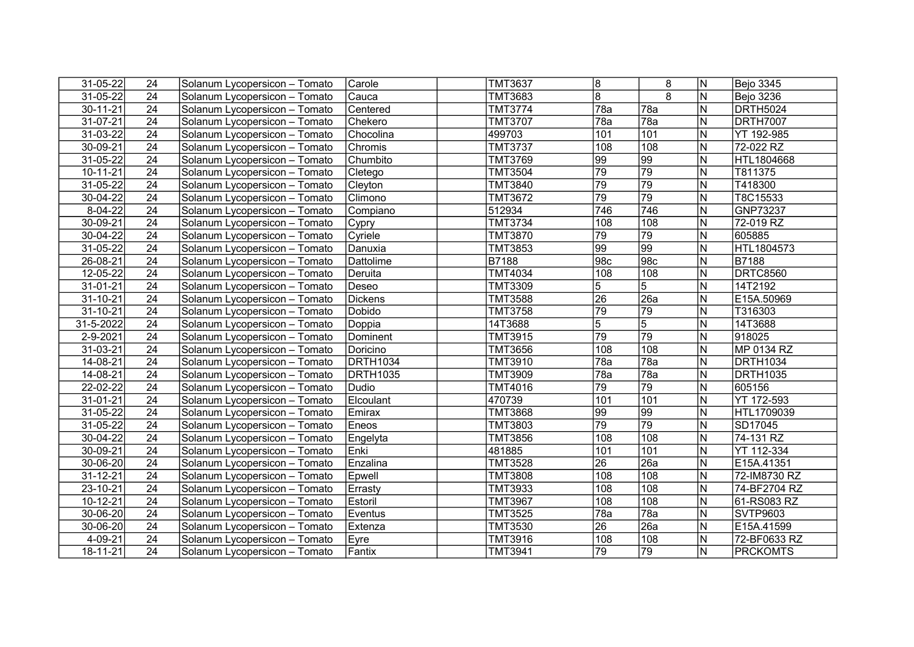| 31-05-22       | 24              | Solanum Lycopersicon - Tomato | Carole          | <b>TMT3637</b> | 8               | 8               | N                       | <b>Bejo 3345</b> |
|----------------|-----------------|-------------------------------|-----------------|----------------|-----------------|-----------------|-------------------------|------------------|
| 31-05-22       | 24              | Solanum Lycopersicon - Tomato | Cauca           | <b>TMT3683</b> | 8               | $\overline{8}$  | $\overline{\mathsf{N}}$ | Bejo 3236        |
| 30-11-21       | 24              | Solanum Lycopersicon - Tomato | Centered        | <b>TMT3774</b> | 78a             | 78a             | $\overline{N}$          | DRTH5024         |
| 31-07-21       | $\overline{24}$ | Solanum Lycopersicon - Tomato | Chekero         | <b>TMT3707</b> | 78a             | 78a             | $\overline{N}$          | <b>DRTH7007</b>  |
| 31-03-22       | 24              | Solanum Lycopersicon - Tomato | Chocolina       | 499703         | 101             | 101             | N                       | YT 192-985       |
| 30-09-21       | 24              | Solanum Lycopersicon - Tomato | Chromis         | <b>TMT3737</b> | 108             | 108             | N                       | 72-022 RZ        |
| 31-05-22       | $\overline{24}$ | Solanum Lycopersicon - Tomato | Chumbito        | <b>TMT3769</b> | $\overline{99}$ | $\overline{99}$ | N                       | HTL1804668       |
| $10 - 11 - 21$ | $\overline{24}$ | Solanum Lycopersicon - Tomato | Cletego         | <b>TMT3504</b> | $\overline{79}$ | 79              | $\overline{\mathsf{N}}$ | T811375          |
| 31-05-22       | 24              | Solanum Lycopersicon - Tomato | Cleyton         | <b>TMT3840</b> | 79              | 79              | N                       | T418300          |
| 30-04-22       | 24              | Solanum Lycopersicon - Tomato | Climono         | TMT3672        | $\overline{79}$ | 79              | N                       | T8C15533         |
| 8-04-22        | 24              | Solanum Lycopersicon - Tomato | Compiano        | 512934         | 746             | 746             | N                       | GNP73237         |
| 30-09-21       | 24              | Solanum Lycopersicon - Tomato | Cypry           | TMT3734        | 108             | 108             | N                       | 72-019 RZ        |
| 30-04-22       | 24              | Solanum Lycopersicon - Tomato | Cyriele         | <b>TMT3870</b> | $\overline{79}$ | 79              | N                       | 605885           |
| 31-05-22       | 24              | Solanum Lycopersicon - Tomato | Danuxia         | <b>TMT3853</b> | 99              | $\overline{99}$ | N                       | HTL1804573       |
| 26-08-21       | 24              | Solanum Lycopersicon - Tomato | Dattolime       | <b>B7188</b>   | 98c             | 98c             | ${\sf N}$               | B7188            |
| 12-05-22       | 24              | Solanum Lycopersicon - Tomato | Deruita         | <b>TMT4034</b> | 108             | 108             | $\mathsf{N}$            | <b>DRTC8560</b>  |
| 31-01-21       | 24              | Solanum Lycopersicon - Tomato | Deseo           | <b>TMT3309</b> | 5               | 5               | N                       | 14T2192          |
| 31-10-21       | 24              | Solanum Lycopersicon - Tomato | <b>Dickens</b>  | <b>TMT3588</b> | 26              | 26a             | N                       | E15A.50969       |
| 31-10-21       | 24              | Solanum Lycopersicon - Tomato | Dobido          | <b>TMT3758</b> | 79              | 79              | N                       | T316303          |
| 31-5-2022      | 24              | Solanum Lycopersicon - Tomato | Doppia          | 14T3688        | $\overline{5}$  | $\overline{5}$  | $\mathsf{N}$            | 14T3688          |
| 2-9-2021       | 24              | Solanum Lycopersicon - Tomato | Dominent        | <b>TMT3915</b> | 79              | 79              | ${\sf N}$               | 918025           |
| 31-03-21       | 24              | Solanum Lycopersicon - Tomato | Doricino        | <b>TMT3656</b> | 108             | 108             | ${\sf N}$               | MP 0134 RZ       |
| 14-08-21       | 24              | Solanum Lycopersicon - Tomato | <b>DRTH1034</b> | TMT3910        | 78a             | 78a             | ${\sf N}$               | DRTH1034         |
| 14-08-21       | 24              | Solanum Lycopersicon - Tomato | <b>DRTH1035</b> | <b>TMT3909</b> | 78a             | 78a             | ${\sf N}$               | <b>DRTH1035</b>  |
| 22-02-22       | 24              | Solanum Lycopersicon - Tomato | Dudio           | TMT4016        | 79              | 79              | $\mathsf{N}$            | 605156           |
| 31-01-21       | 24              | Solanum Lycopersicon - Tomato | Elcoulant       | 470739         | 101             | 101             | $\overline{N}$          | YT 172-593       |
| 31-05-22       | 24              | Solanum Lycopersicon - Tomato | Emirax          | <b>TMT3868</b> | 99              | $\overline{99}$ | N                       | HTL1709039       |
| 31-05-22       | 24              | Solanum Lycopersicon - Tomato | Eneos           | <b>TMT3803</b> | $\overline{79}$ | 79              | N                       | SD17045          |
| 30-04-22       | 24              | Solanum Lycopersicon - Tomato | Engelyta        | <b>TMT3856</b> | 108             | 108             | N                       | 74-131 RZ        |
| 30-09-21       | 24              | Solanum Lycopersicon - Tomato | Enki            | 481885         | 101             | 101             | N                       | YT 112-334       |
| 30-06-20       | 24              | Solanum Lycopersicon - Tomato | Enzalina        | <b>TMT3528</b> | $\overline{26}$ | 26a             | ${\sf N}$               | E15A.41351       |
| 31-12-21       | 24              | Solanum Lycopersicon - Tomato | Epwell          | <b>TMT3808</b> | 108             | 108             | N                       | 72-IM8730 RZ     |
| 23-10-21       | 24              | Solanum Lycopersicon - Tomato | Errasty         | TMT3933        | 108             | 108             | N                       | 74-BF2704 RZ     |
| 10-12-21       | 24              | Solanum Lycopersicon - Tomato | Estoril         | <b>TMT3967</b> | 108             | 108             | N                       | 61-RS083 RZ      |
| 30-06-20       | 24              | Solanum Lycopersicon - Tomato | Eventus         | <b>TMT3525</b> | 78a             | 78a             | N                       | <b>SVTP9603</b>  |
| 30-06-20       | 24              | Solanum Lycopersicon - Tomato | Extenza         | <b>TMT3530</b> | 26              | 26a             | N                       | E15A.41599       |
| 4-09-21        | 24              | Solanum Lycopersicon - Tomato | Eyre            | TMT3916        | 108             | 108             | N                       | 72-BF0633 RZ     |
| 18-11-21       | 24              | Solanum Lycopersicon - Tomato | Fantix          | <b>TMT3941</b> | $\overline{79}$ | 79              | N                       | <b>PRCKOMTS</b>  |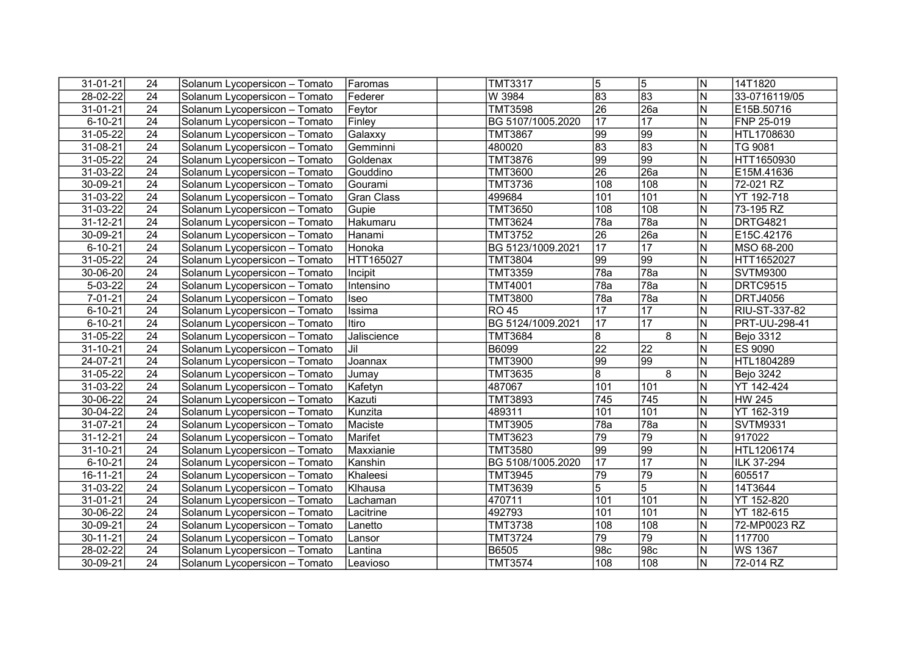| 31-01-21       | 24              | Solanum Lycopersicon - Tomato | Faromas           | <b>TMT3317</b>    | 5                | 5                | N. | 14T1820              |
|----------------|-----------------|-------------------------------|-------------------|-------------------|------------------|------------------|----|----------------------|
| 28-02-22       | 24              | Solanum Lycopersicon - Tomato | Federer           | W 3984            | 83               | 83               | N  | 33-0716119/05        |
| 31-01-21       | 24              | Solanum Lycopersicon - Tomato | Feytor            | <b>TMT3598</b>    | 26               | 26a              | N  | E15B.50716           |
| $6 - 10 - 21$  | 24              | Solanum Lycopersicon - Tomato | Finley            | BG 5107/1005.2020 | $\overline{17}$  | $\overline{17}$  | N  | FNP 25-019           |
| 31-05-22       | 24              | Solanum Lycopersicon - Tomato | Galaxxy           | <b>TMT3867</b>    | $\overline{99}$  | $\overline{99}$  | N  | HTL1708630           |
| 31-08-21       | 24              | Solanum Lycopersicon - Tomato | Gemminni          | 480020            | 83               | 83               | N  | TG 9081              |
| 31-05-22       | $\overline{24}$ | Solanum Lycopersicon - Tomato | Goldenax          | <b>TMT3876</b>    | 99               | $\overline{99}$  | N  | HTT1650930           |
| 31-03-22       | 24              | Solanum Lycopersicon - Tomato | Gouddino          | <b>TMT3600</b>    | $\overline{26}$  | $\overline{26a}$ | Z  | E15M.41636           |
| 30-09-21       | 24              | Solanum Lycopersicon - Tomato | Gourami           | TMT3736           | 108              | 108              | N  | 72-021 RZ            |
| $31 - 03 - 22$ | 24              | Solanum Lycopersicon - Tomato | <b>Gran Class</b> | 499684            | 101              | 101              | N  | YT 192-718           |
| 31-03-22       | 24              | Solanum Lycopersicon - Tomato | Gupie             | <b>TMT3650</b>    | 108              | 108              | N  | 73-195 RZ            |
| 31-12-21       | 24              | Solanum Lycopersicon - Tomato | Hakumaru          | <b>TMT3624</b>    | 78a              | 78a              | N  | <b>DRTG4821</b>      |
| 30-09-21       | 24              | Solanum Lycopersicon - Tomato | Hanami            | TMT3752           | 26               | 26a              | N  | E15C.42176           |
| $6 - 10 - 21$  | 24              | Solanum Lycopersicon - Tomato | Honoka            | BG 5123/1009.2021 | $\overline{17}$  | $\overline{17}$  | N  | MSO 68-200           |
| 31-05-22       | $\overline{24}$ | Solanum Lycopersicon - Tomato | HTT165027         | <b>TMT3804</b>    | 99               | $\overline{99}$  | N  | HTT1652027           |
| 30-06-20       | 24              | Solanum Lycopersicon - Tomato | Incipit           | TMT3359           | 78a              | 78a              | N  | SVTM9300             |
| 5-03-22        | 24              | Solanum Lycopersicon - Tomato | Intensino         | <b>TMT4001</b>    | $\overline{78a}$ | 78a              | N  | <b>DRTC9515</b>      |
| $7 - 01 - 21$  | 24              | Solanum Lycopersicon - Tomato | Iseo              | <b>TMT3800</b>    | 78a              | 78a              | N  | DRTJ4056             |
| $6 - 10 - 21$  | 24              | Solanum Lycopersicon - Tomato | Issima            | <b>RO 45</b>      | 17               | 17               | N  | RIU-ST-337-82        |
| $6 - 10 - 21$  | 24              | Solanum Lycopersicon - Tomato | <b>Itiro</b>      | BG 5124/1009.2021 | 17               | $\overline{17}$  | N  | <b>PRT-UU-298-41</b> |
| 31-05-22       | 24              | Solanum Lycopersicon - Tomato | Jaliscience       | <b>TMT3684</b>    | $\overline{8}$   | 8                | N  | Bejo 3312            |
| 31-10-21       | 24              | Solanum Lycopersicon - Tomato | Jil               | B6099             | $\overline{22}$  | $\overline{22}$  | N  | ES 9090              |
| 24-07-21       | 24              | Solanum Lycopersicon - Tomato | Joannax           | <b>TMT3900</b>    | $\overline{99}$  | $\overline{99}$  | N  | HTL1804289           |
| 31-05-22       | 24              | Solanum Lycopersicon - Tomato | Jumay             | TMT3635           | 8                | $\,8\,$          | N  | Bejo 3242            |
| 31-03-22       | $\overline{24}$ | Solanum Lycopersicon - Tomato | Kafetyn           | 487067            | 101              | 101              | N  | YT 142-424           |
| 30-06-22       | 24              | Solanum Lycopersicon - Tomato | Kazuti            | TMT3893           | 745              | 745              | N  | HW 245               |
| 30-04-22       | 24              | Solanum Lycopersicon - Tomato | Kunzita           | 489311            | 101              | 101              | N  | YT 162-319           |
| 31-07-21       | 24              | Solanum Lycopersicon - Tomato | Maciste           | <b>TMT3905</b>    | 78a              | 78a              | N  | SVTM9331             |
| 31-12-21       | $\overline{24}$ | Solanum Lycopersicon - Tomato | Marifet           | TMT3623           | $\overline{79}$  | 79               | N  | 917022               |
| 31-10-21       | 24              | Solanum Lycopersicon - Tomato | Maxxianie         | <b>TMT3580</b>    | 99               | 99               | N  | HTL1206174           |
| $6 - 10 - 21$  | 24              | Solanum Lycopersicon - Tomato | Kanshin           | BG 5108/1005.2020 | $\overline{17}$  | $\overline{17}$  | N  | ILK 37-294           |
| 16-11-21       | 24              | Solanum Lycopersicon - Tomato | Khaleesi          | <b>TMT3945</b>    | 79               | 79               | N  | 605517               |
| 31-03-22       | 24              | Solanum Lycopersicon - Tomato | Klhausa           | TMT3639           | 5                | $\overline{5}$   | N  | 14T3644              |
| 31-01-21       | 24              | Solanum Lycopersicon - Tomato | Lachaman          | 470711            | 101              | 101              | N  | YT 152-820           |
| 30-06-22       | 24              | Solanum Lycopersicon - Tomato | Lacitrine         | 492793            | 101              | 101              | N  | YT 182-615           |
| 30-09-21       | 24              | Solanum Lycopersicon - Tomato | Lanetto           | <b>TMT3738</b>    | 108              | 108              | N  | 72-MP0023 RZ         |
| 30-11-21       | 24              | Solanum Lycopersicon - Tomato | Lansor            | <b>TMT3724</b>    | 79               | 79               | N  | 117700               |
| 28-02-22       | 24              | Solanum Lycopersicon - Tomato | Lantina           | B6505             | 98c              | $\overline{98c}$ | N  | WS 1367              |
| 30-09-21       | 24              | Solanum Lycopersicon - Tomato | Leavioso          | <b>TMT3574</b>    | 108              | $\overline{108}$ | N  | 72-014 RZ            |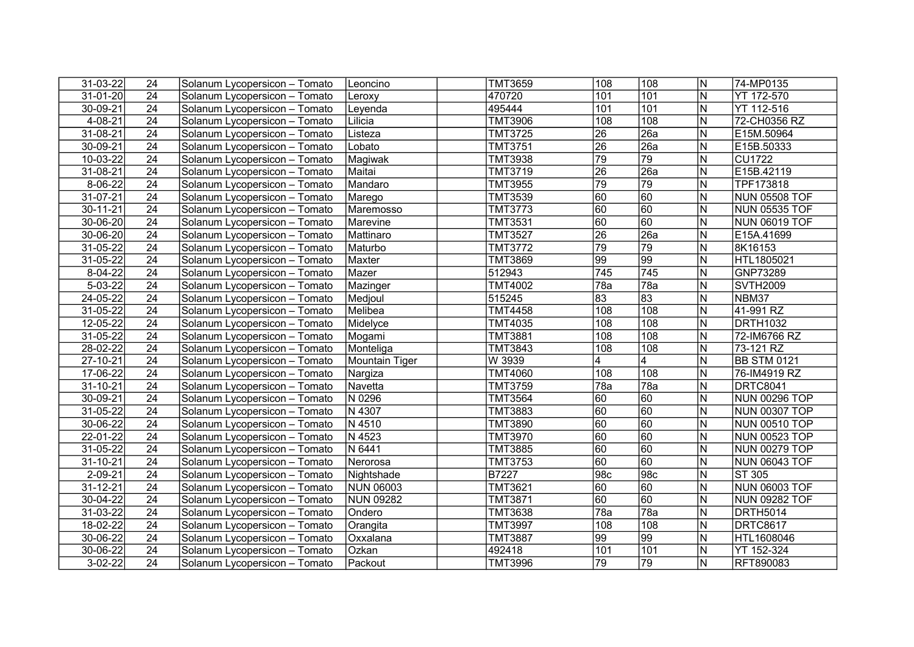| 31-03-22      | 24              | Solanum Lycopersicon - Tomato | Leoncino         | TMT3659        | 108             | 108                | N                       | 74-MP0135            |
|---------------|-----------------|-------------------------------|------------------|----------------|-----------------|--------------------|-------------------------|----------------------|
| 31-01-20      | 24              | Solanum Lycopersicon - Tomato | Leroxy           | 470720         | 101             | 101                | $\mathsf{N}$            | YT 172-570           |
| 30-09-21      | 24              | Solanum Lycopersicon - Tomato | Leyenda          | 495444         | 101             | 101                | N                       | YT 112-516           |
| 4-08-21       | 24              | Solanum Lycopersicon - Tomato | Lilicia          | <b>TMT3906</b> | 108             | 108                | N                       | 72-CH0356 RZ         |
| 31-08-21      | 24              | Solanum Lycopersicon - Tomato | Listeza          | <b>TMT3725</b> | 26              | 26a                | ${\sf N}$               | E15M.50964           |
| 30-09-21      | 24              | Solanum Lycopersicon - Tomato | Lobato           | <b>TMT3751</b> | 26              | 26a                | N                       | E15B.50333           |
| 10-03-22      | 24              | Solanum Lycopersicon - Tomato | Magiwak          | <b>TMT3938</b> | $\overline{79}$ | 79                 | ${\sf N}$               | <b>CU1722</b>        |
| 31-08-21      | 24              | Solanum Lycopersicon - Tomato | Maitai           | TMT3719        | 26              | 26a                | N                       | E15B.42119           |
| 8-06-22       | 24              | Solanum Lycopersicon - Tomato | Mandaro          | TMT3955        | 79              | 79                 | ${\sf N}$               | TPF173818            |
| 31-07-21      | 24              | Solanum Lycopersicon - Tomato | Marego           | TMT3539        | 60              | 60                 | N                       | <b>NUN 05508 TOF</b> |
| 30-11-21      | 24              | Solanum Lycopersicon - Tomato | Maremosso        | <b>TMT3773</b> | 60              | 60                 | N                       | <b>NUN 05535 TOF</b> |
| 30-06-20      | 24              | Solanum Lycopersicon - Tomato | Marevine         | TMT3531        | 60              | 60                 | N                       | <b>NUN 06019 TOF</b> |
| 30-06-20      | 24              | Solanum Lycopersicon - Tomato | Mattinaro        | <b>TMT3527</b> | $\overline{26}$ | 26a                | N                       | E15A.41699           |
| 31-05-22      | 24              | Solanum Lycopersicon - Tomato | Maturbo          | <b>TMT3772</b> | $\overline{79}$ | 79                 | N                       | 8K16153              |
| 31-05-22      | 24              | Solanum Lycopersicon - Tomato | Maxter           | <b>TMT3869</b> | $\overline{99}$ | $\overline{99}$    | N                       | HTL1805021           |
| 8-04-22       | 24              | Solanum Lycopersicon - Tomato | Mazer            | 512943         | 745             | 745                | N                       | GNP73289             |
| 5-03-22       | 24              | Solanum Lycopersicon - Tomato | Mazinger         | <b>TMT4002</b> | 78a             | 78a                | N                       | <b>SVTH2009</b>      |
| 24-05-22      | 24              | Solanum Lycopersicon - Tomato | Medjoul          | 515245         | 83              | 83                 | $\overline{N}$          | NBM37                |
| 31-05-22      | 24              | Solanum Lycopersicon - Tomato | Melibea          | <b>TMT4458</b> | 108             | 108                | N                       | 41-991 RZ            |
| 12-05-22      | 24              | Solanum Lycopersicon - Tomato | Midelyce         | <b>TMT4035</b> | 108             | 108                | ${\sf N}$               | <b>DRTH1032</b>      |
| 31-05-22      | 24              | Solanum Lycopersicon - Tomato | Mogami           | <b>TMT3881</b> | 108             | 108                | N                       | 72-IM6766 RZ         |
| 28-02-22      | $\overline{24}$ | Solanum Lycopersicon - Tomato | Monteliga        | <b>TMT3843</b> | 108             | 108                | N                       | 73-121 RZ            |
| 27-10-21      | 24              | Solanum Lycopersicon - Tomato | Mountain Tiger   | W 3939         | 4               | 4                  | N                       | <b>BB STM 0121</b>   |
| 17-06-22      | 24              | Solanum Lycopersicon - Tomato | Nargiza          | <b>TMT4060</b> | 108             | 108                | N                       | 76-IM4919 RZ         |
| 31-10-21      | 24              | Solanum Lycopersicon - Tomato | Navetta          | <b>TMT3759</b> | 78a             | 78a                | N                       | <b>DRTC8041</b>      |
| 30-09-21      | 24              | Solanum Lycopersicon - Tomato | N 0296           | <b>TMT3564</b> | 60              | 60                 | N                       | NUN 00296 TOP        |
| 31-05-22      | 24              | Solanum Lycopersicon - Tomato | N 4307           | <b>TMT3883</b> | 60              | 60                 | N                       | NUN 00307 TOP        |
| 30-06-22      | 24              | Solanum Lycopersicon - Tomato | N 4510           | <b>TMT3890</b> | 60              | 60                 | $\overline{\mathsf{N}}$ | NUN 00510 TOP        |
| 22-01-22      | 24              | Solanum Lycopersicon - Tomato | N 4523           | <b>TMT3970</b> | 60              | 60                 | $\overline{N}$          | <b>NUN 00523 TOP</b> |
| 31-05-22      | 24              | Solanum Lycopersicon - Tomato | N 6441           | <b>TMT3885</b> | 60              | 60                 | ${\sf N}$               | NUN 00279 TOP        |
| 31-10-21      | 24              | Solanum Lycopersicon - Tomato | Nerorosa         | <b>TMT3753</b> | 60              | 60                 | ${\sf N}$               | NUN 06043 TOF        |
| $2 - 09 - 21$ | 24              | Solanum Lycopersicon - Tomato | Nightshade       | B7227          | 98c             | $\overline{ 98c }$ | ${\sf N}$               | <b>ST 305</b>        |
| 31-12-21      | 24              | Solanum Lycopersicon - Tomato | <b>NUN 06003</b> | TMT3621        | 60              | 60                 | N                       | NUN 06003 TOF        |
| 30-04-22      | 24              | Solanum Lycopersicon - Tomato | <b>NUN 09282</b> | TMT3871        | 60              | 60                 | N                       | NUN 09282 TOF        |
| 31-03-22      | 24              | Solanum Lycopersicon - Tomato | Ondero           | <b>TMT3638</b> | 78a             | 78a                | N                       | <b>DRTH5014</b>      |
| 18-02-22      | 24              | Solanum Lycopersicon - Tomato | Orangita         | <b>TMT3997</b> | 108             | 108                | N                       | <b>DRTC8617</b>      |
| 30-06-22      | 24              | Solanum Lycopersicon - Tomato | Oxxalana         | <b>TMT3887</b> | 99              | 99                 | N                       | HTL1608046           |
| 30-06-22      | 24              | Solanum Lycopersicon - Tomato | Ozkan            | 492418         | 101             | 101                | N                       | YT 152-324           |
| $3-02-22$     | 24              | Solanum Lycopersicon - Tomato | Packout          | <b>TMT3996</b> | $\overline{79}$ | 79                 | N                       | RFT890083            |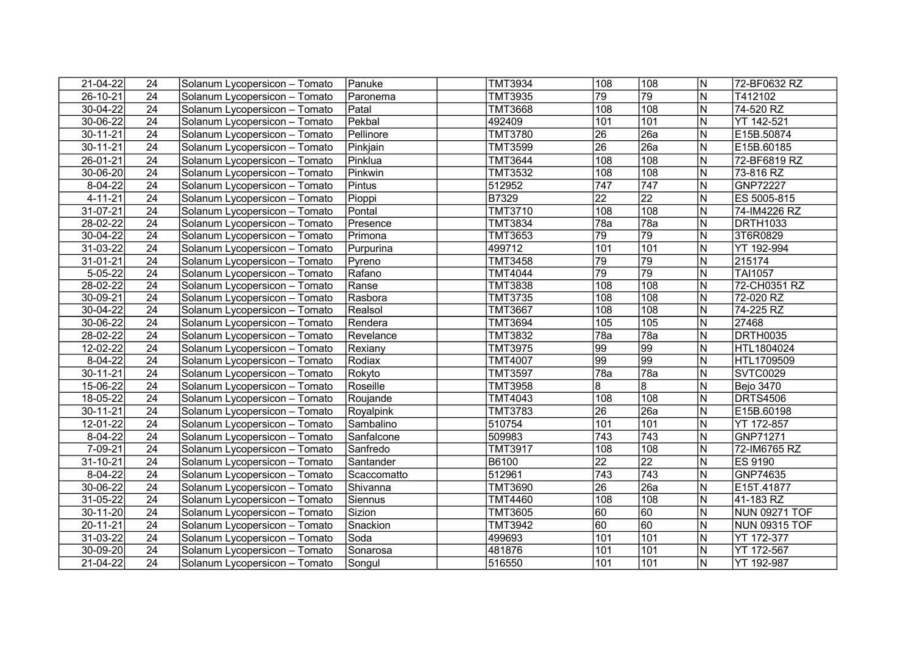| 21-04-22      | 24              | Solanum Lycopersicon - Tomato | Panuke      | <b>TMT3934</b> | 108              | 108              | N                       | 72-BF0632 RZ    |
|---------------|-----------------|-------------------------------|-------------|----------------|------------------|------------------|-------------------------|-----------------|
| 26-10-21      | 24              | Solanum Lycopersicon - Tomato | Paronema    | <b>TMT3935</b> | 79               | $\overline{79}$  | N                       | T412102         |
| 30-04-22      | 24              | Solanum Lycopersicon - Tomato | Patal       | <b>TMT3668</b> | 108              | 108              | N                       | 74-520 RZ       |
| 30-06-22      | $\overline{24}$ | Solanum Lycopersicon - Tomato | Pekbal      | 492409         | 101              | 101              | N                       | YT 142-521      |
| 30-11-21      | 24              | Solanum Lycopersicon - Tomato | Pellinore   | <b>TMT3780</b> | 26               | 26a              | N                       | E15B.50874      |
| 30-11-21      | 24              | Solanum Lycopersicon - Tomato | Pinkjain    | <b>TMT3599</b> | 26               | 26a              | N                       | E15B.60185      |
| 26-01-21      | 24              | Solanum Lycopersicon - Tomato | Pinklua     | <b>TMT3644</b> | 108              | 108              | N                       | 72-BF6819 RZ    |
| 30-06-20      | 24              | Solanum Lycopersicon - Tomato | Pinkwin     | <b>TMT3532</b> | 108              | 108              | N                       | 73-816 RZ       |
| 8-04-22       | 24              | Solanum Lycopersicon - Tomato | Pintus      | 512952         | 747              | 747              | N                       | GNP72227        |
| $4 - 11 - 21$ | 24              | Solanum Lycopersicon - Tomato | Pioppi      | B7329          | 22               | $\overline{22}$  | N                       | ES 5005-815     |
| 31-07-21      | 24              | Solanum Lycopersicon - Tomato | Pontal      | TMT3710        | 108              | 108              | N                       | 74-IM4226 RZ    |
| 28-02-22      | 24              | Solanum Lycopersicon - Tomato | Presence    | <b>TMT3834</b> | 78a              | 78a              | N                       | DRTH1033        |
| 30-04-22      | $\overline{24}$ | Solanum Lycopersicon - Tomato | Primona     | <b>TMT3653</b> | 79               | 79               | $\overline{\mathsf{N}}$ | 3T6R0829        |
| 31-03-22      | 24              | Solanum Lycopersicon - Tomato | Purpurina   | 499712         | 101              | 101              | N                       | YT 192-994      |
| 31-01-21      | 24              | Solanum Lycopersicon - Tomato | Pyreno      | <b>TMT3458</b> | 79               | $\overline{79}$  | N                       | 215174          |
| $5 - 05 - 22$ | 24              | Solanum Lycopersicon - Tomato | Rafano      | <b>TMT4044</b> | 79               | $\overline{79}$  | N                       | TAI1057         |
| 28-02-22      | $\overline{24}$ | Solanum Lycopersicon - Tomato | Ranse       | <b>TMT3838</b> | 108              | 108              | $\overline{\mathsf{N}}$ | 72-CH0351 RZ    |
| 30-09-21      | 24              | Solanum Lycopersicon - Tomato | Rasbora     | <b>TMT3735</b> | 108              | 108              | N                       | 72-020 RZ       |
| 30-04-22      | 24              | Solanum Lycopersicon - Tomato | Realsol     | <b>TMT3667</b> | 108              | 108              | N                       | 74-225 RZ       |
| 30-06-22      | 24              | Solanum Lycopersicon - Tomato | Rendera     | <b>TMT3694</b> | 105              | 105              | N                       | 27468           |
| 28-02-22      | 24              | Solanum Lycopersicon - Tomato | Revelance   | TMT3832        | 78a              | 78a              | N                       | DRTH0035        |
| 12-02-22      | 24              | Solanum Lycopersicon - Tomato | Rexiany     | <b>TMT3975</b> | $\overline{99}$  | $ 99\rangle$     | N                       | HTL1804024      |
| 8-04-22       | $\overline{24}$ | Solanum Lycopersicon - Tomato | Rodiax      | <b>TMT4007</b> | $\overline{99}$  | 99               | N                       | HTL1709509      |
| 30-11-21      | 24              | Solanum Lycopersicon - Tomato | Rokyto      | <b>TMT3597</b> | 78a              | 78a              | N                       | SVTC0029        |
| 15-06-22      | 24              | Solanum Lycopersicon - Tomato | Roseille    | <b>TMT3958</b> | 8                | $\overline{8}$   | N                       | Bejo 3470       |
| 18-05-22      | 24              | Solanum Lycopersicon - Tomato | Roujande    | <b>TMT4043</b> | 108              | 108              | N                       | <b>DRTS4506</b> |
| 30-11-21      | 24              | Solanum Lycopersicon - Tomato | Royalpink   | <b>TMT3783</b> | 26               | 26a              | N                       | E15B.60198      |
| 12-01-22      | 24              | Solanum Lycopersicon - Tomato | Sambalino   | 510754         | 101              | 101              | N                       | YT 172-857      |
| 8-04-22       | 24              | Solanum Lycopersicon - Tomato | Sanfalcone  | 509983         | $\overline{743}$ | 743              | N                       | GNP71271        |
| $7 - 09 - 21$ | 24              | Solanum Lycopersicon - Tomato | Sanfredo    | <b>TMT3917</b> | 108              | 108              | N                       | 72-IM6765 RZ    |
| 31-10-21      | 24              | Solanum Lycopersicon - Tomato | Santander   | B6100          | $\overline{22}$  | 22               | N                       | ES 9190         |
| 8-04-22       | 24              | Solanum Lycopersicon - Tomato | Scaccomatto | 512961         | 743              | $\overline{743}$ | N                       | GNP74635        |
| 30-06-22      | $\overline{24}$ | Solanum Lycopersicon - Tomato | Shivanna    | TMT3690        | $\overline{26}$  | 26a              | N                       | E15T.41877      |
| 31-05-22      | 24              | Solanum Lycopersicon - Tomato | Siennus     | <b>TMT4460</b> | 108              | 108              | N                       | 41-183 RZ       |
| 30-11-20      | 24              | Solanum Lycopersicon - Tomato | Sizion      | <b>TMT3605</b> | 60               | 60               | N                       | NUN 09271 TOF   |
| 20-11-21      | 24              | Solanum Lycopersicon - Tomato | Snackion    | <b>TMT3942</b> | 60               | 60               | N                       | NUN 09315 TOF   |
| 31-03-22      | 24              | Solanum Lycopersicon - Tomato | Soda        | 499693         | 101              | 101              | N                       | YT 172-377      |
| 30-09-20      | 24              | Solanum Lycopersicon - Tomato | Sonarosa    | 481876         | 101              | 101              | N                       | YT 172-567      |
| 21-04-22      | 24              | Solanum Lycopersicon - Tomato | Songul      | 516550         | 101              | 101              | N                       | YT 192-987      |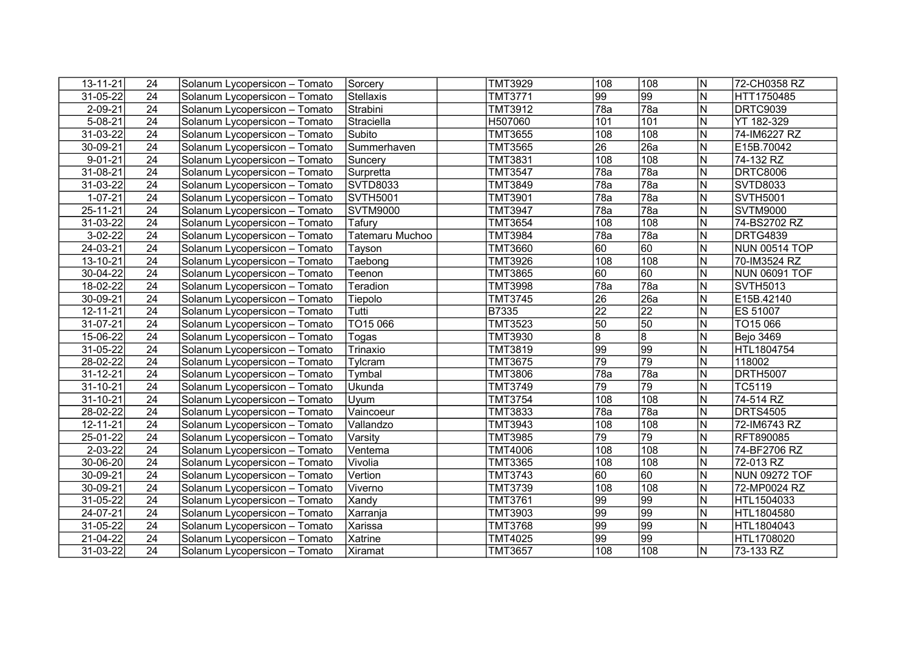| 13-11-21      | 24              | Solanum Lycopersicon - Tomato | Sorcery          | <b>TMT3929</b> | 108              | 108              | N                       | 72-CH0358 RZ         |
|---------------|-----------------|-------------------------------|------------------|----------------|------------------|------------------|-------------------------|----------------------|
| 31-05-22      | 24              | Solanum Lycopersicon - Tomato | <b>Stellaxis</b> | <b>TMT3771</b> | 99               | $\overline{99}$  | N                       | HTT1750485           |
| $2 - 09 - 21$ | 24              | Solanum Lycopersicon - Tomato | Strabini         | <b>TMT3912</b> | $\overline{78a}$ | $\overline{78a}$ | $\overline{\mathsf{N}}$ | <b>DRTC9039</b>      |
| $5 - 08 - 21$ | 24              | Solanum Lycopersicon - Tomato | Straciella       | H507060        | 101              | 101              | N                       | YT 182-329           |
| 31-03-22      | 24              | Solanum Lycopersicon - Tomato | Subito           | <b>TMT3655</b> | 108              | $\overline{108}$ | $\overline{\mathsf{N}}$ | 74-IM6227 RZ         |
| 30-09-21      | 24              | Solanum Lycopersicon - Tomato | Summerhaven      | <b>TMT3565</b> | $\overline{26}$  | 26a              | N                       | E15B.70042           |
| $9 - 01 - 21$ | $\overline{24}$ | Solanum Lycopersicon - Tomato | Suncery          | <b>TMT3831</b> | 108              | 108              | $\overline{\mathsf{N}}$ | 74-132 RZ            |
| 31-08-21      | $\overline{24}$ | Solanum Lycopersicon - Tomato | Surpretta        | <b>TMT3547</b> | $\overline{78a}$ | 78a              | N                       | <b>DRTC8006</b>      |
| 31-03-22      | 24              | Solanum Lycopersicon - Tomato | <b>SVTD8033</b>  | TMT3849        | 78a              | 78a              | N                       | <b>SVTD8033</b>      |
| $1 - 07 - 21$ | 24              | Solanum Lycopersicon - Tomato | <b>SVTH5001</b>  | TMT3901        | 78a              | 78a              | N                       | <b>SVTH5001</b>      |
| 25-11-21      | 24              | Solanum Lycopersicon - Tomato | <b>SVTM9000</b>  | <b>TMT3947</b> | 78a              | 78a              | N                       | <b>SVTM9000</b>      |
| 31-03-22      | 24              | Solanum Lycopersicon - Tomato | Tafury           | <b>TMT3654</b> | 108              | 108              | N                       | 74-BS2702 RZ         |
| $3-02-22$     | 24              | Solanum Lycopersicon - Tomato | Tatemaru Muchoo  | <b>TMT3984</b> | 78a              | ∣78a             | N                       | DRTG4839             |
| 24-03-21      | 24              | Solanum Lycopersicon - Tomato | Tayson           | <b>TMT3660</b> | 60               | 60               | N                       | NUN 00514 TOP        |
| 13-10-21      | 24              | Solanum Lycopersicon - Tomato | Taebong          | <b>TMT3926</b> | 108              | 108              | N                       | 70-IM3524 RZ         |
| 30-04-22      | 24              | Solanum Lycopersicon - Tomato | Teenon           | <b>TMT3865</b> | 60               | 60               | ${\sf N}$               | NUN 06091 TOF        |
| 18-02-22      | 24              | Solanum Lycopersicon - Tomato | Teradion         | <b>TMT3998</b> | 78a              | 78a              | N                       | <b>SVTH5013</b>      |
| 30-09-21      | 24              | Solanum Lycopersicon - Tomato | Tiepolo          | <b>TMT3745</b> | 26               | 26a              | N                       | E15B.42140           |
| 12-11-21      | 24              | Solanum Lycopersicon - Tomato | Tutti            | <b>B7335</b>   | $\overline{22}$  | $\overline{22}$  | N                       | ES 51007             |
| 31-07-21      | 24              | Solanum Lycopersicon - Tomato | TO15 066         | <b>TMT3523</b> | 50               | 50               | N                       | TO15 066             |
| 15-06-22      | 24              | Solanum Lycopersicon - Tomato | Togas            | <b>TMT3930</b> | $\overline{8}$   | $\overline{8}$   | $\overline{\mathsf{N}}$ | <b>Bejo 3469</b>     |
| 31-05-22      | 24              | Solanum Lycopersicon - Tomato | Trinaxio         | TMT3819        | 99               | $\overline{99}$  | N                       | HTL1804754           |
| 28-02-22      | 24              | Solanum Lycopersicon - Tomato | Tylcram          | <b>TMT3675</b> | $\overline{79}$  | 79               | ${\sf N}$               | 118002               |
| 31-12-21      | 24              | Solanum Lycopersicon - Tomato | Tymbal           | TMT3806        | 78a              | 78a              | N                       | <b>DRTH5007</b>      |
| 31-10-21      | 24              | Solanum Lycopersicon - Tomato | Ukunda           | TMT3749        | 79               | 79               | N                       | TC5119               |
| 31-10-21      | 24              | Solanum Lycopersicon - Tomato | Uyum             | <b>TMT3754</b> | 108              | 108              | N                       | 74-514 RZ            |
| 28-02-22      | 24              | Solanum Lycopersicon - Tomato | Vaincoeur        | TMT3833        | 78a              | 78a              | N                       | <b>DRTS4505</b>      |
| 12-11-21      | 24              | Solanum Lycopersicon - Tomato | Vallandzo        | TMT3943        | 108              | 108              | N                       | 72-IM6743 RZ         |
| 25-01-22      | 24              | Solanum Lycopersicon - Tomato | Varsity          | <b>TMT3985</b> | $\overline{79}$  | 79               | N                       | RFT890085            |
| 2-03-22       | 24              | Solanum Lycopersicon - Tomato | Ventema          | <b>TMT4006</b> | 108              | 108              | N                       | 74-BF2706 RZ         |
| 30-06-20      | 24              | Solanum Lycopersicon - Tomato | Vivolia          | <b>TMT3365</b> | 108              | 108              | N                       | 72-013 RZ            |
| 30-09-21      | 24              | Solanum Lycopersicon - Tomato | Vertion          | TMT3743        | 60               | 60               | N                       | <b>NUN 09272 TOF</b> |
| 30-09-21      | 24              | Solanum Lycopersicon - Tomato | Viverno          | TMT3739        | 108              | 108              | N                       | 72-MP0024 RZ         |
| 31-05-22      | $\overline{24}$ | Solanum Lycopersicon - Tomato | Xandy            | <b>TMT3761</b> | $ 99\rangle$     | $\overline{99}$  | N                       | HTL1504033           |
| 24-07-21      | 24              | Solanum Lycopersicon - Tomato | Xarranja         | <b>TMT3903</b> | 99               | $\overline{99}$  | N                       | HTL1804580           |
| 31-05-22      | 24              | Solanum Lycopersicon - Tomato | Xarissa          | <b>TMT3768</b> | 99               | $\overline{99}$  | N                       | HTL1804043           |
| 21-04-22      | 24              | Solanum Lycopersicon - Tomato | Xatrine          | <b>TMT4025</b> | 99               | 99               |                         | HTL1708020           |
| 31-03-22      | 24              | Solanum Lycopersicon - Tomato | Xiramat          | <b>TMT3657</b> | 108              | 108              | N                       | 73-133 RZ            |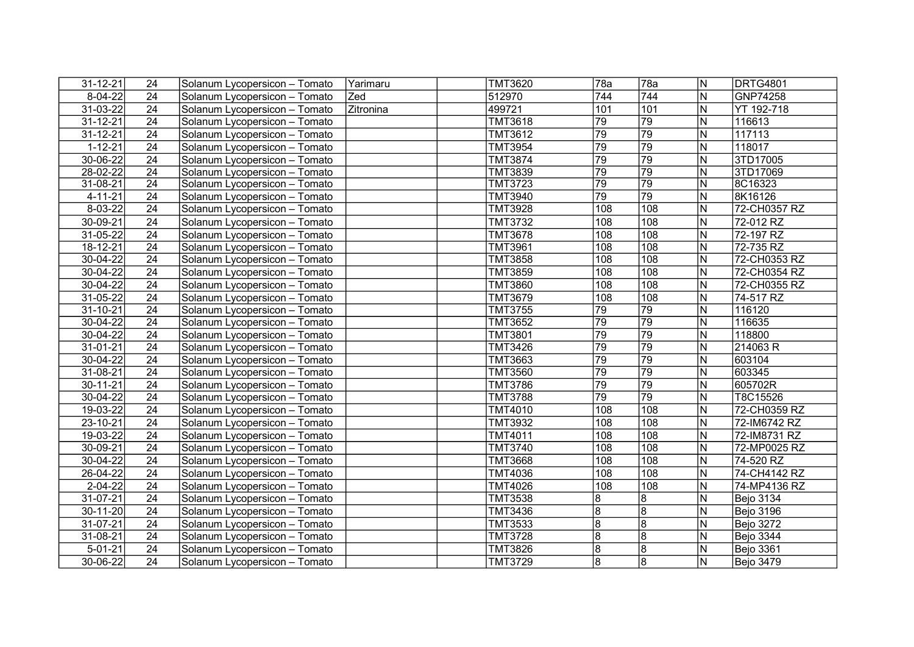| 31-12-21       | 24              | Solanum Lycopersicon - Tomato | Yarimaru  | <b>TMT3620</b> | 78a             | 78a             | N.                      | <b>DRTG4801</b>  |
|----------------|-----------------|-------------------------------|-----------|----------------|-----------------|-----------------|-------------------------|------------------|
| 8-04-22        | 24              | Solanum Lycopersicon - Tomato | Zed       | 512970         | 744             | 744             | N                       | GNP74258         |
| 31-03-22       | 24              | Solanum Lycopersicon - Tomato | Zitronina | 499721         | 101             | 101             | N                       | YT 192-718       |
| 31-12-21       | 24              | Solanum Lycopersicon - Tomato |           | <b>TMT3618</b> | $\overline{79}$ | 79              | N                       | 116613           |
| $31 - 12 - 21$ | 24              | Solanum Lycopersicon - Tomato |           | <b>TMT3612</b> | 79              | 79              | $\overline{\mathsf{N}}$ | 117113           |
| $1 - 12 - 21$  | $\overline{24}$ | Solanum Lycopersicon - Tomato |           | <b>TMT3954</b> | 79              | $\overline{79}$ | N                       | 118017           |
| 30-06-22       | $\overline{24}$ | Solanum Lycopersicon - Tomato |           | <b>TMT3874</b> | 79              | 79              | N                       | 3TD17005         |
| 28-02-22       | 24              | Solanum Lycopersicon - Tomato |           | <b>TMT3839</b> | $\overline{79}$ | $\overline{79}$ | N                       | 3TD17069         |
| 31-08-21       | 24              | Solanum Lycopersicon - Tomato |           | <b>TMT3723</b> | 79              | 79              | N                       | 8C16323          |
| $4 - 11 - 21$  | 24              | Solanum Lycopersicon - Tomato |           | TMT3940        | 79              | $\overline{79}$ | $\overline{\mathsf{N}}$ | 8K16126          |
| $8 - 03 - 22$  | $\overline{24}$ | Solanum Lycopersicon - Tomato |           | <b>TMT3928</b> | 108             | 108             | N                       | 72-CH0357 RZ     |
| 30-09-21       | 24              | Solanum Lycopersicon - Tomato |           | TMT3732        | 108             | 108             | N                       | 72-012 RZ        |
| 31-05-22       | 24              | Solanum Lycopersicon - Tomato |           | <b>TMT3678</b> | 108             | 108             | N                       | 72-197 RZ        |
| $18 - 12 - 21$ | $\overline{24}$ | Solanum Lycopersicon - Tomato |           | <b>TMT3961</b> | 108             | 108             | N                       | 72-735 RZ        |
| 30-04-22       | 24              | Solanum Lycopersicon - Tomato |           | <b>TMT3858</b> | 108             | 108             | N                       | 72-CH0353 RZ     |
| 30-04-22       | 24              | Solanum Lycopersicon - Tomato |           | TMT3859        | 108             | 108             | N                       | 72-CH0354 RZ     |
| 30-04-22       | 24              | Solanum Lycopersicon - Tomato |           | <b>TMT3860</b> | 108             | 108             | N                       | 72-CH0355 RZ     |
| 31-05-22       | 24              | Solanum Lycopersicon - Tomato |           | TMT3679        | 108             | 108             | N                       | 74-517 RZ        |
| 31-10-21       | 24              | Solanum Lycopersicon - Tomato |           | <b>TMT3755</b> | 79              | 79              | N                       | 116120           |
| 30-04-22       | 24              | Solanum Lycopersicon - Tomato |           | <b>TMT3652</b> | $\overline{79}$ | 79              | N                       | 116635           |
| 30-04-22       | 24              | Solanum Lycopersicon - Tomato |           | <b>TMT3801</b> | 79              | $\overline{79}$ | N                       | 118800           |
| $31 - 01 - 21$ | 24              | Solanum Lycopersicon - Tomato |           | <b>TMT3426</b> | 79              | 79              | N                       | 214063 R         |
| 30-04-22       | $\overline{24}$ | Solanum Lycopersicon - Tomato |           | <b>TMT3663</b> | 79              | 79              | N                       | 603104           |
| 31-08-21       | $\overline{24}$ | Solanum Lycopersicon - Tomato |           | <b>TMT3560</b> | 79              | 79              | Z                       | 603345           |
| 30-11-21       | 24              | Solanum Lycopersicon - Tomato |           | <b>TMT3786</b> | 79              | 79              | N                       | 605702R          |
| 30-04-22       | 24              | Solanum Lycopersicon - Tomato |           | <b>TMT3788</b> | $\overline{79}$ | $\overline{79}$ | N                       | T8C15526         |
| 19-03-22       | 24              | Solanum Lycopersicon - Tomato |           | TMT4010        | 108             | 108             | N                       | 72-CH0359 RZ     |
| 23-10-21       | $\overline{24}$ | Solanum Lycopersicon - Tomato |           | <b>TMT3932</b> | 108             | 108             | N                       | 72-IM6742 RZ     |
| 19-03-22       | 24              | Solanum Lycopersicon - Tomato |           | <b>TMT4011</b> | 108             | 108             | N                       | 72-IM8731 RZ     |
| 30-09-21       | 24              | Solanum Lycopersicon - Tomato |           | TMT3740        | 108             | 108             | N                       | 72-MP0025 RZ     |
| 30-04-22       | 24              | Solanum Lycopersicon - Tomato |           | <b>TMT3668</b> | 108             | 108             | N                       | 74-520 RZ        |
| 26-04-22       | 24              | Solanum Lycopersicon - Tomato |           | TMT4036        | 108             | 108             | N                       | 74-CH4142 RZ     |
| $2 - 04 - 22$  | 24              | Solanum Lycopersicon - Tomato |           | <b>TMT4026</b> | 108             | 108             | N                       | 74-MP4136 RZ     |
| 31-07-21       | 24              | Solanum Lycopersicon - Tomato |           | <b>TMT3538</b> | 8               | 8               | N                       | Bejo 3134        |
| 30-11-20       | 24              | Solanum Lycopersicon - Tomato |           | TMT3436        | $\overline{8}$  | $\overline{8}$  | N                       | Bejo 3196        |
| 31-07-21       | 24              | Solanum Lycopersicon - Tomato |           | TMT3533        | $\overline{8}$  | $\overline{8}$  | N                       | Bejo 3272        |
| 31-08-21       | $\overline{24}$ | Solanum Lycopersicon - Tomato |           | <b>TMT3728</b> | 8               | $\overline{8}$  | N                       | <b>Bejo 3344</b> |
| $5 - 01 - 21$  | 24              | Solanum Lycopersicon - Tomato |           | <b>TMT3826</b> | 8               | $\overline{8}$  | N                       | Bejo 3361        |
| 30-06-22       | 24              | Solanum Lycopersicon - Tomato |           | <b>TMT3729</b> | 8               | $\overline{8}$  | ΙN                      | Bejo 3479        |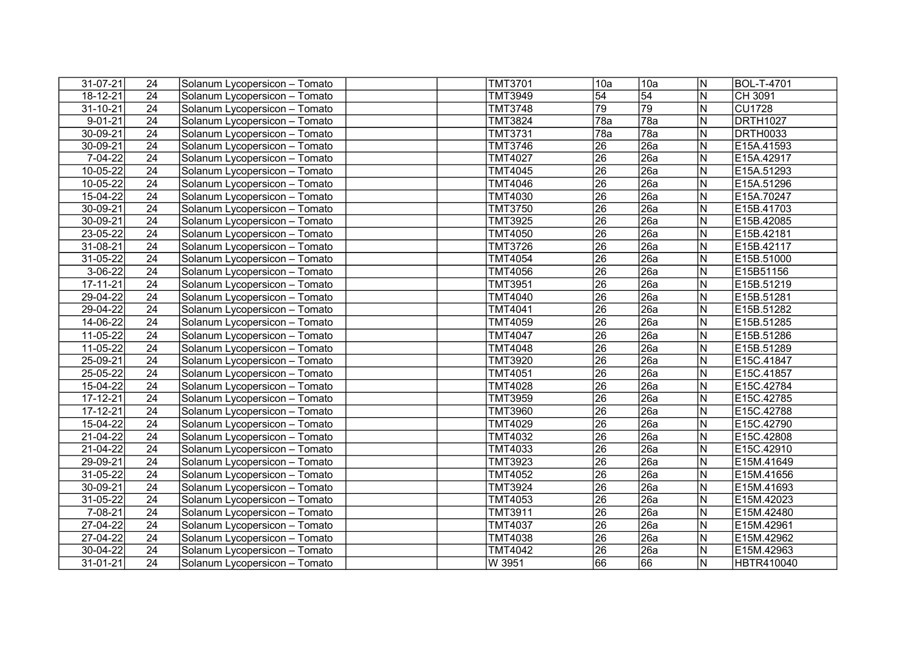| 31-07-21      | 24              | Solanum Lycopersicon - Tomato | <b>TMT3701</b> | 10a             | 10a              | IN. | BOL-T-4701 |
|---------------|-----------------|-------------------------------|----------------|-----------------|------------------|-----|------------|
| 18-12-21      | 24              | Solanum Lycopersicon - Tomato | <b>TMT3949</b> | $\overline{54}$ | $\overline{54}$  | N   | $CH$ 3091  |
| 31-10-21      | 24              | Solanum Lycopersicon - Tomato | <b>TMT3748</b> | 79              | 79               | N   | CU1728     |
| $9 - 01 - 21$ | 24              | Solanum Lycopersicon - Tomato | <b>TMT3824</b> | 78a             | 78a              | N   | DRTH1027   |
| 30-09-21      | 24              | Solanum Lycopersicon - Tomato | <b>TMT3731</b> | 78a             | 78a              | N   | DRTH0033   |
| 30-09-21      | $\overline{24}$ | Solanum Lycopersicon - Tomato | <b>TMT3746</b> | $\overline{26}$ | $\overline{26a}$ | N   | E15A.41593 |
| 7-04-22       | 24              | Solanum Lycopersicon - Tomato | <b>TMT4027</b> | $\overline{26}$ | 26a              | N   | E15A.42917 |
| 10-05-22      | 24              | Solanum Lycopersicon - Tomato | <b>TMT4045</b> | 26              | 26a              | N   | E15A.51293 |
| 10-05-22      | 24              | Solanum Lycopersicon - Tomato | <b>TMT4046</b> | $\overline{26}$ | 26a              | N   | E15A.51296 |
| 15-04-22      | 24              | Solanum Lycopersicon - Tomato | <b>TMT4030</b> | 26              | $\overline{26a}$ | N   | E15A.70247 |
| 30-09-21      | 24              | Solanum Lycopersicon - Tomato | <b>TMT3750</b> | 26              | $\overline{26a}$ | N   | E15B.41703 |
| 30-09-21      | 24              | Solanum Lycopersicon - Tomato | <b>TMT3925</b> | $\overline{26}$ | 26a              | N   | E15B.42085 |
| 23-05-22      | 24              | Solanum Lycopersicon - Tomato | <b>TMT4050</b> | 26              | 26a              | N   | E15B.42181 |
| 31-08-21      | 24              | Solanum Lycopersicon - Tomato | <b>TMT3726</b> | 26              | 26a              | N   | E15B.42117 |
| 31-05-22      | 24              | Solanum Lycopersicon - Tomato | <b>TMT4054</b> | 26              | 26a              | N   | E15B.51000 |
| 3-06-22       | 24              | Solanum Lycopersicon - Tomato | <b>TMT4056</b> | 26              | 26a              | N   | E15B51156  |
| 17-11-21      | 24              | Solanum Lycopersicon - Tomato | <b>TMT3951</b> | $\overline{26}$ | 26a              | N   | E15B.51219 |
| 29-04-22      | 24              | Solanum Lycopersicon - Tomato | <b>TMT4040</b> | 26              | 26a              | N   | E15B.51281 |
| 29-04-22      | 24              | Solanum Lycopersicon - Tomato | TMT4041        | $\overline{26}$ | 26a              | N   | E15B.51282 |
| 14-06-22      | 24              | Solanum Lycopersicon - Tomato | TMT4059        | $\overline{26}$ | 26a              | N   | E15B.51285 |
| 11-05-22      | 24              | Solanum Lycopersicon - Tomato | <b>TMT4047</b> | 26              | 26a              | N   | E15B.51286 |
| 11-05-22      | 24              | Solanum Lycopersicon - Tomato | <b>TMT4048</b> | $\overline{26}$ | 26a              | N   | E15B.51289 |
| 25-09-21      | $\overline{24}$ | Solanum Lycopersicon - Tomato | <b>TMT3920</b> | 26              | 26a              | N   | E15C.41847 |
| 25-05-22      | 24              | Solanum Lycopersicon - Tomato | TMT4051        | 26              | 26a              | N   | E15C.41857 |
| 15-04-22      | 24              | Solanum Lycopersicon - Tomato | <b>TMT4028</b> | 26              | 26a              | N   | E15C.42784 |
| 17-12-21      | 24              | Solanum Lycopersicon - Tomato | <b>TMT3959</b> | 26              | 26a              | N   | E15C.42785 |
| 17-12-21      | 24              | Solanum Lycopersicon - Tomato | <b>TMT3960</b> | 26              | 26a              | N   | E15C.42788 |
| 15-04-22      | 24              | Solanum Lycopersicon - Tomato | <b>TMT4029</b> | 26              | 26a              | N   | E15C.42790 |
| 21-04-22      | 24              | Solanum Lycopersicon - Tomato | <b>TMT4032</b> | 26              | 26a              | N   | E15C.42808 |
| 21-04-22      | 24              | Solanum Lycopersicon - Tomato | TMT4033        | 26              | $\overline{26a}$ | N   | E15C.42910 |
| 29-09-21      | 24              | Solanum Lycopersicon - Tomato | <b>TMT3923</b> | 26              | 26a              | N   | E15M.41649 |
| 31-05-22      | 24              | Solanum Lycopersicon - Tomato | <b>TMT4052</b> | 26              | 26a              | N   | E15M.41656 |
| 30-09-21      | $\overline{24}$ | Solanum Lycopersicon - Tomato | <b>TMT3924</b> | $\overline{26}$ | 26a              | N   | E15M.41693 |
| 31-05-22      | 24              | Solanum Lycopersicon - Tomato | <b>TMT4053</b> | 26              | 26a              | N   | E15M.42023 |
| 7-08-21       | 24              | Solanum Lycopersicon - Tomato | TMT3911        | $\overline{26}$ | 26a              | N   | E15M.42480 |
| 27-04-22      | 24              | Solanum Lycopersicon - Tomato | <b>TMT4037</b> | 26              | 26a              | N   | E15M.42961 |
| 27-04-22      | 24              | Solanum Lycopersicon - Tomato | <b>TMT4038</b> | 26              | 26a              | N   | E15M.42962 |
| 30-04-22      | 24              | Solanum Lycopersicon - Tomato | <b>TMT4042</b> | 26              | 26a              | N   | E15M.42963 |
| 31-01-21      | 24              | Solanum Lycopersicon - Tomato | W 3951         | 66              | 66               | ΙN  | HBTR410040 |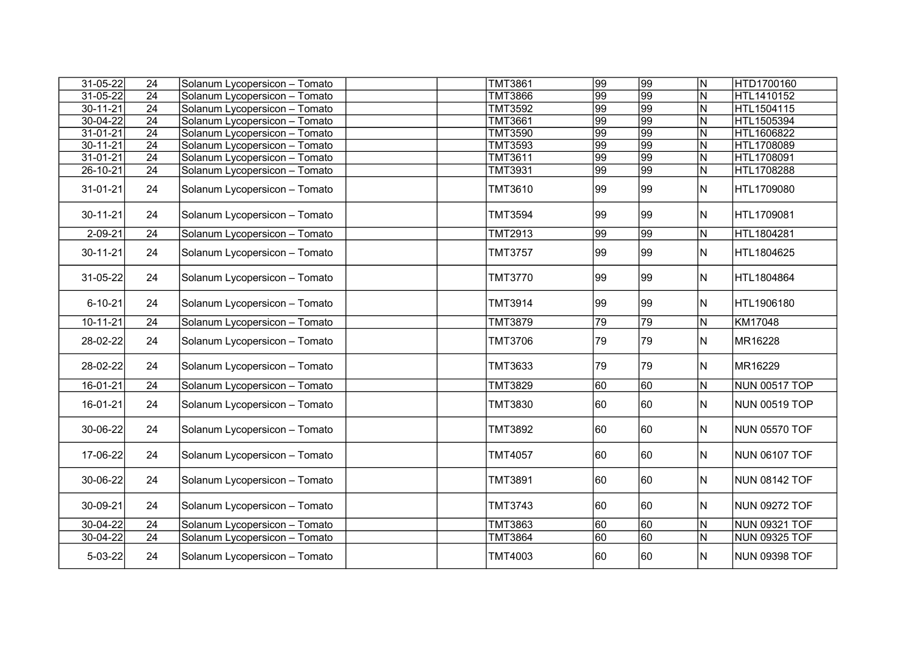| 31-05-22       | 24              | Solanum Lycopersicon - Tomato | <b>TMT3861</b> | 99              | 99              | N                       | HTD1700160           |
|----------------|-----------------|-------------------------------|----------------|-----------------|-----------------|-------------------------|----------------------|
| $31 - 05 - 22$ | $\overline{24}$ | Solanum Lycopersicon - Tomato | <b>TMT3866</b> | $\overline{99}$ | 99              | $\overline{N}$          | HTL1410152           |
| 30-11-21       | $\overline{24}$ | Solanum Lycopersicon - Tomato | <b>TMT3592</b> | $\overline{99}$ | 99              | N                       | HTL1504115           |
| $30 - 04 - 22$ | $\overline{24}$ | Solanum Lycopersicon - Tomato | <b>TMT3661</b> | $\overline{99}$ | 99              | $\overline{\mathsf{N}}$ | HTL1505394           |
| 31-01-21       | $\overline{24}$ | Solanum Lycopersicon - Tomato | <b>TMT3590</b> | $\overline{99}$ | 99              | N                       | HTL1606822           |
| 30-11-21       | $\overline{24}$ | Solanum Lycopersicon - Tomato | <b>TMT3593</b> | $\overline{99}$ | 99              | $\overline{N}$          | HTL1708089           |
| 31-01-21       | $\overline{24}$ | Solanum Lycopersicon - Tomato | TMT3611        | $\overline{99}$ | 99              | N                       | HTL1708091           |
| 26-10-21       | $\overline{24}$ | Solanum Lycopersicon - Tomato | <b>TMT3931</b> | 99              | $\overline{99}$ | $\overline{\mathsf{N}}$ | HTL1708288           |
| 31-01-21       | 24              | Solanum Lycopersicon - Tomato | TMT3610        | 99              | 99              | N                       | HTL1709080           |
| 30-11-21       | 24              | Solanum Lycopersicon - Tomato | <b>TMT3594</b> | 99              | 99              | N                       | HTL1709081           |
| $2 - 09 - 21$  | 24              | Solanum Lycopersicon - Tomato | TMT2913        | 99              | 99              | N                       | HTL1804281           |
| 30-11-21       | 24              | Solanum Lycopersicon - Tomato | <b>TMT3757</b> | 99              | 99              | N                       | HTL1804625           |
| 31-05-22       | 24              | Solanum Lycopersicon - Tomato | <b>TMT3770</b> | 99              | 99              | N                       | HTL1804864           |
| $6 - 10 - 21$  | 24              | Solanum Lycopersicon - Tomato | <b>TMT3914</b> | 99              | 99              | N                       | HTL1906180           |
| $10 - 11 - 21$ | 24              | Solanum Lycopersicon - Tomato | <b>TMT3879</b> | $\overline{79}$ | 79              | N                       | KM17048              |
| 28-02-22       | 24              | Solanum Lycopersicon - Tomato | <b>TMT3706</b> | 79              | 79              | N                       | MR16228              |
| 28-02-22       | 24              | Solanum Lycopersicon - Tomato | TMT3633        | 79              | 79              | N                       | MR16229              |
| 16-01-21       | $\overline{24}$ | Solanum Lycopersicon - Tomato | <b>TMT3829</b> | 60              | 60              | $\overline{\mathsf{N}}$ | <b>NUN 00517 TOP</b> |
| 16-01-21       | 24              | Solanum Lycopersicon - Tomato | TMT3830        | 60              | 60              | N                       | NUN 00519 TOP        |
| 30-06-22       | 24              | Solanum Lycopersicon - Tomato | <b>TMT3892</b> | 60              | 60              | N                       | <b>NUN 05570 TOF</b> |
| 17-06-22       | 24              | Solanum Lycopersicon - Tomato | <b>TMT4057</b> | 60              | 60              | N                       | <b>NUN 06107 TOF</b> |
| 30-06-22       | 24              | Solanum Lycopersicon - Tomato | <b>TMT3891</b> | 60              | 60              | N                       | <b>NUN 08142 TOF</b> |
| 30-09-21       | 24              | Solanum Lycopersicon - Tomato | TMT3743        | 60              | 60              | N                       | <b>NUN 09272 TOF</b> |
| 30-04-22       | 24              | Solanum Lycopersicon - Tomato | TMT3863        | $\overline{60}$ | 60              | $\overline{\mathsf{N}}$ | <b>NUN 09321 TOF</b> |
| $30 - 04 - 22$ | $\overline{24}$ | Solanum Lycopersicon - Tomato | <b>TMT3864</b> | 60              | 60              | $\overline{N}$          | <b>NUN 09325 TOF</b> |
| 5-03-22        | 24              | Solanum Lycopersicon - Tomato | TMT4003        | 60              | 60              | N                       | <b>NUN 09398 TOF</b> |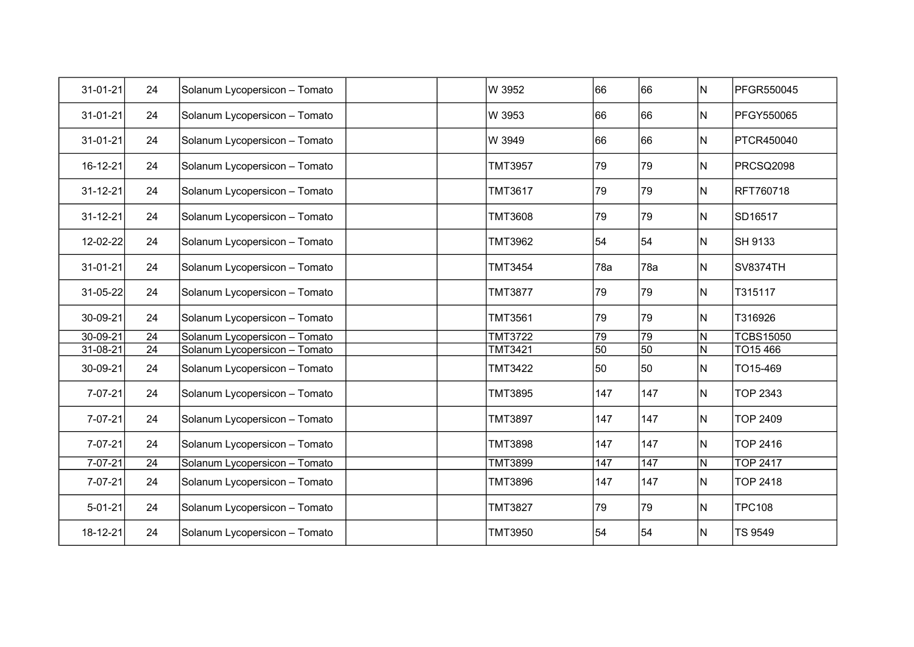| 31-01-21       | 24 | Solanum Lycopersicon - Tomato |  | W 3952         | 66  | 66  | N            | <b>PFGR550045</b>    |
|----------------|----|-------------------------------|--|----------------|-----|-----|--------------|----------------------|
| 31-01-21       | 24 | Solanum Lycopersicon - Tomato |  | W 3953         | 66  | 66  | N            | PFGY550065           |
| 31-01-21       | 24 | Solanum Lycopersicon - Tomato |  | W 3949         | 66  | 66  | N            | <b>PTCR450040</b>    |
| 16-12-21       | 24 | Solanum Lycopersicon - Tomato |  | <b>TMT3957</b> | 79  | 79  | N            | PRCSQ2098            |
| $31 - 12 - 21$ | 24 | Solanum Lycopersicon - Tomato |  | <b>TMT3617</b> | 79  | 79  | $\mathsf{N}$ | RFT760718            |
| 31-12-21       | 24 | Solanum Lycopersicon - Tomato |  | <b>TMT3608</b> | 79  | 79  | N            | SD16517              |
| 12-02-22       | 24 | Solanum Lycopersicon - Tomato |  | <b>TMT3962</b> | 54  | 54  | N            | SH 9133              |
| 31-01-21       | 24 | Solanum Lycopersicon - Tomato |  | <b>TMT3454</b> | 78a | 78a | N            | SV8374TH             |
| 31-05-22       | 24 | Solanum Lycopersicon - Tomato |  | <b>TMT3877</b> | 79  | 79  | N            | T315117              |
| 30-09-21       | 24 | Solanum Lycopersicon - Tomato |  | <b>TMT3561</b> | 79  | 79  | N            | T316926              |
| 30-09-21       | 24 | Solanum Lycopersicon - Tomato |  | <b>TMT3722</b> | 79  | 79  | $\mathsf{N}$ | <b>TCBS15050</b>     |
| 31-08-21       | 24 | Solanum Lycopersicon - Tomato |  | <b>TMT3421</b> | 50  | 50  | N            | TO <sub>15</sub> 466 |
| 30-09-21       | 24 | Solanum Lycopersicon - Tomato |  | <b>TMT3422</b> | 50  | 50  | N            | TO15-469             |
| 7-07-21        | 24 | Solanum Lycopersicon - Tomato |  | <b>TMT3895</b> | 147 | 147 | N            | <b>TOP 2343</b>      |
| 7-07-21        | 24 | Solanum Lycopersicon - Tomato |  | <b>TMT3897</b> | 147 | 147 | N            | <b>TOP 2409</b>      |
| 7-07-21        | 24 | Solanum Lycopersicon - Tomato |  | <b>TMT3898</b> | 147 | 147 | N            | TOP 2416             |
| $7 - 07 - 21$  | 24 | Solanum Lycopersicon - Tomato |  | <b>TMT3899</b> | 147 | 147 | N            | <b>TOP 2417</b>      |
| 7-07-21        | 24 | Solanum Lycopersicon - Tomato |  | <b>TMT3896</b> | 147 | 147 | N            | <b>TOP 2418</b>      |
| $5 - 01 - 21$  | 24 | Solanum Lycopersicon - Tomato |  | <b>TMT3827</b> | 79  | 79  | N            | <b>TPC108</b>        |
| 18-12-21       | 24 | Solanum Lycopersicon - Tomato |  | <b>TMT3950</b> | 54  | 54  | N            | TS 9549              |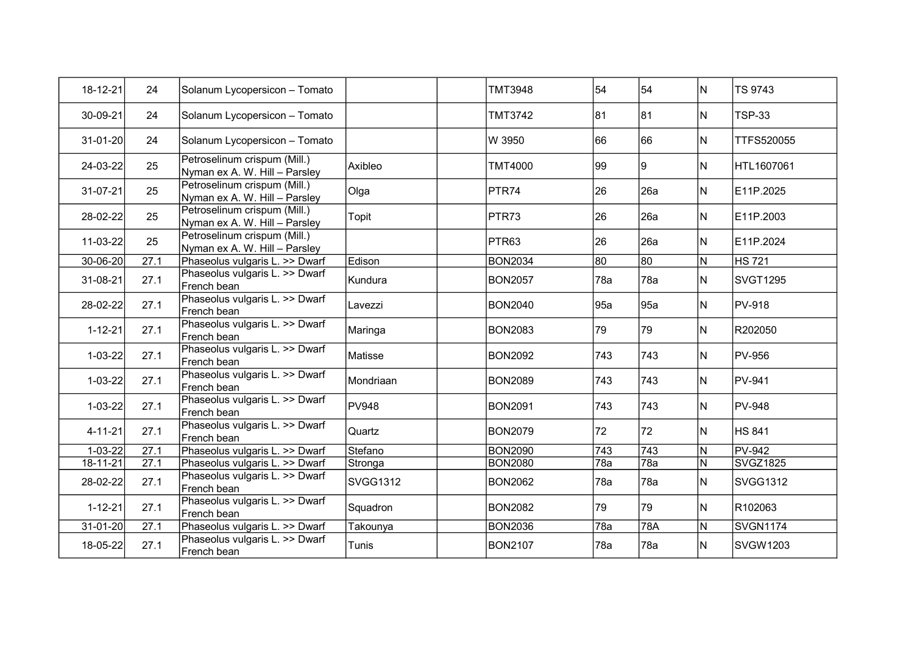| 18-12-21      | 24   | Solanum Lycopersicon - Tomato                                 |                 | <b>TMT3948</b> | 54   | 54  | N            | <b>TS 9743</b>              |
|---------------|------|---------------------------------------------------------------|-----------------|----------------|------|-----|--------------|-----------------------------|
| 30-09-21      | 24   | Solanum Lycopersicon - Tomato                                 |                 | <b>TMT3742</b> | 811  | 81  | N            | <b>TSP-33</b>               |
| 31-01-20      | 24   | Solanum Lycopersicon - Tomato                                 |                 | W 3950         | 66   | 66  | N            | <b>TTFS520055</b>           |
| 24-03-22      | 25   | Petroselinum crispum (Mill.)<br>Nyman ex A. W. Hill - Parsley | Axibleo         | <b>TMT4000</b> | 99   | 9   | N            | HTL1607061                  |
| 31-07-21      | 25   | Petroselinum crispum (Mill.)<br>Nyman ex A. W. Hill - Parsley | Olga            | PTR74          | 26   | 26a | N            | E11P.2025                   |
| 28-02-22      | 25   | Petroselinum crispum (Mill.)<br>Nyman ex A. W. Hill - Parsley | Topit           | PTR73          | 26   | 26a | N            | E11P.2003                   |
| 11-03-22      | 25   | Petroselinum crispum (Mill.)<br>Nyman ex A. W. Hill - Parsley |                 | PTR63          | 26   | 26a | N            | E11P.2024                   |
| 30-06-20      | 27.1 | Phaseolus vulgaris L. >> Dwarf                                | Edison          | <b>BON2034</b> | 80   | 80  | N            | HS 721                      |
| 31-08-21      | 27.1 | Phaseolus vulgaris L. >> Dwarf<br>French bean                 | Kundura         | <b>BON2057</b> | 78a  | 78a | N            | SVGT1295                    |
| 28-02-22      | 27.1 | Phaseolus vulgaris L. >> Dwarf<br>French bean                 | Lavezzi         | <b>BON2040</b> | l95a | 95a | N            | PV-918                      |
| $1 - 12 - 21$ | 27.1 | Phaseolus vulgaris L. >> Dwarf<br>French bean                 | Maringa         | <b>BON2083</b> | 79   | 79  | N            | R202050                     |
| $1 - 03 - 22$ | 27.1 | Phaseolus vulgaris L. >> Dwarf<br>French bean                 | Matisse         | <b>BON2092</b> | 743  | 743 | N            | PV-956                      |
| $1 - 03 - 22$ | 27.1 | Phaseolus vulgaris L. >> Dwarf<br>French bean                 | Mondriaan       | <b>BON2089</b> | 743  | 743 | IN.          | PV-941                      |
| $1 - 03 - 22$ | 27.1 | Phaseolus vulgaris L. >> Dwarf<br>French bean                 | <b>PV948</b>    | <b>BON2091</b> | 743  | 743 | N            | PV-948                      |
| $4 - 11 - 21$ | 27.1 | Phaseolus vulgaris L. >> Dwarf<br>French bean                 | Quartz          | <b>BON2079</b> | 72   | 72  | $\mathsf{N}$ | HS 841                      |
| $1 - 03 - 22$ | 27.1 | Phaseolus vulgaris L. >> Dwarf                                | Stefano         | <b>BON2090</b> | 743  | 743 | $\mathsf{N}$ | $\overline{\text{PV}}$ -942 |
| 18-11-21      | 27.1 | Phaseolus vulgaris L. >> Dwarf                                | Stronga         | <b>BON2080</b> | 78a  | 78a | $\mathsf{N}$ | <b>SVGZ1825</b>             |
| 28-02-22      | 27.1 | Phaseolus vulgaris L. >> Dwarf<br>French bean                 | <b>SVGG1312</b> | <b>BON2062</b> | 78a  | 78a | N            | SVGG1312                    |
| $1 - 12 - 21$ | 27.1 | Phaseolus vulgaris L. >> Dwarf<br>French bean                 | Squadron        | <b>BON2082</b> | 79   | 79  | N            | R <sub>102063</sub>         |
| 31-01-20      | 27.1 | Phaseolus vulgaris L. >> Dwarf                                | Takounya        | <b>BON2036</b> | 78a  | 78A | N            | SVGN1174                    |
| 18-05-22      | 27.1 | Phaseolus vulgaris L. >> Dwarf<br>French bean                 | Tunis           | <b>BON2107</b> | 78a  | 78a | N            | SVGW1203                    |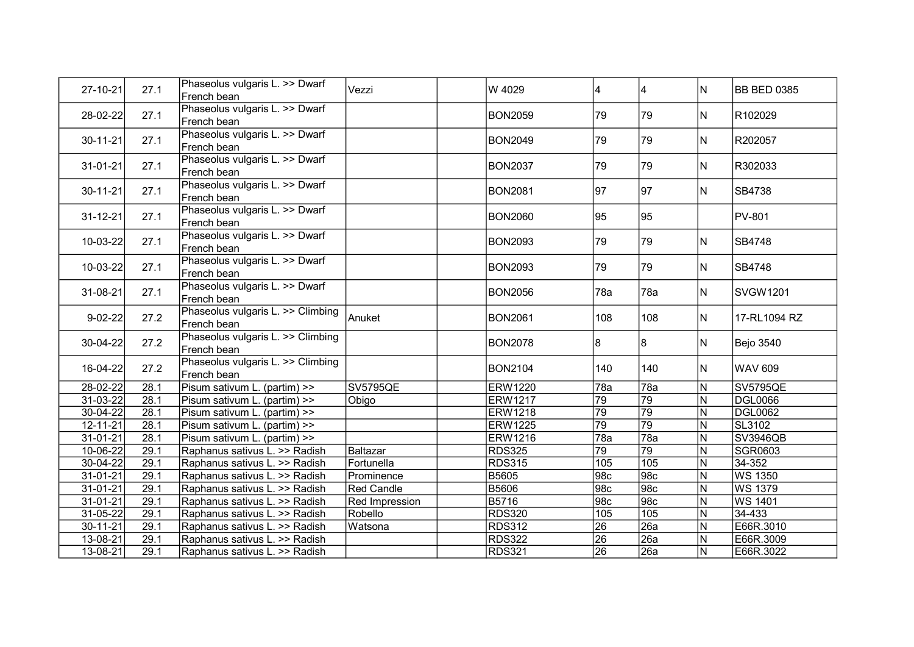| 27-10-21       | 27.1 | Phaseolus vulgaris L. >> Dwarf<br>French bean    | Vezzi           | W 4029         | 4                | $\overline{\mathbf{4}}$ | N                       | <b>BB BED 0385</b>          |
|----------------|------|--------------------------------------------------|-----------------|----------------|------------------|-------------------------|-------------------------|-----------------------------|
| 28-02-22       | 27.1 | Phaseolus vulgaris L. >> Dwarf<br>French bean    |                 | <b>BON2059</b> | 79               | 79                      | N                       | R102029                     |
| 30-11-21       | 27.1 | Phaseolus vulgaris L. >> Dwarf<br>French bean    |                 | <b>BON2049</b> | 79               | 79                      | N                       | R202057                     |
| 31-01-21       | 27.1 | Phaseolus vulgaris L. >> Dwarf<br>French bean    |                 | <b>BON2037</b> | 79               | 79                      | N                       | R302033                     |
| 30-11-21       | 27.1 | Phaseolus vulgaris L. >> Dwarf<br>French bean    |                 | <b>BON2081</b> | 97               | 97                      | N                       | SB4738                      |
| $31 - 12 - 21$ | 27.1 | Phaseolus vulgaris L. >> Dwarf<br>French bean    |                 | <b>BON2060</b> | 95               | 95                      |                         | PV-801                      |
| 10-03-22       | 27.1 | Phaseolus vulgaris L. >> Dwarf<br>French bean    |                 | <b>BON2093</b> | 79               | 79                      | N                       | SB4748                      |
| 10-03-22       | 27.1 | Phaseolus vulgaris L. >> Dwarf<br>French bean    |                 | <b>BON2093</b> | 79               | 79                      | N                       | SB4748                      |
| 31-08-21       | 27.1 | Phaseolus vulgaris L. >> Dwarf<br>French bean    |                 | <b>BON2056</b> | 78a              | 78a                     | N                       | <b>SVGW1201</b>             |
| $9 - 02 - 22$  | 27.2 | Phaseolus vulgaris L. >> Climbing<br>French bean | Anuket          | <b>BON2061</b> | 108              | 108                     | N                       | 17-RL1094 RZ                |
| 30-04-22       | 27.2 | Phaseolus vulgaris L. >> Climbing<br>French bean |                 | <b>BON2078</b> | 8                | 8                       | N                       | <b>Bejo 3540</b>            |
| 16-04-22       | 27.2 | Phaseolus vulgaris L. >> Climbing<br>French bean |                 | <b>BON2104</b> | 140              | 140                     | $\mathsf{N}$            | <b>WAV 609</b>              |
| 28-02-22       | 28.1 | Pisum sativum L. (partim) >>                     | <b>SV5795QE</b> | <b>ERW1220</b> | 78a              | 78a                     | $\overline{\mathsf{N}}$ | <b>SV5795QE</b>             |
| 31-03-22       | 28.1 | Pisum sativum L. (partim) >>                     | Obigo           | <b>ERW1217</b> | $\overline{79}$  | $\overline{79}$         | $\overline{\mathsf{N}}$ | <b>DGL0066</b>              |
| 30-04-22       | 28.1 | Pisum sativum L. (partim) >>                     |                 | <b>ERW1218</b> | $\overline{79}$  | $\overline{79}$         | $\mathsf{N}$            | <b>DGL0062</b>              |
| $12 - 11 - 21$ | 28.1 | Pisum sativum L. (partim) >>                     |                 | <b>ERW1225</b> | $\overline{79}$  | $\overline{79}$         | $\overline{\mathsf{N}}$ | SL3102                      |
| $31 - 01 - 21$ | 28.1 | Pisum sativum L. (partim) >>                     |                 | <b>ERW1216</b> | $\overline{78a}$ | $\overline{78a}$        | $\overline{\mathsf{N}}$ | <b>SV3946QB</b>             |
| 10-06-22       | 29.1 | Raphanus sativus L. >> Radish                    | Baltazar        | <b>RDS325</b>  | 79               | $\overline{79}$         | N                       | SGR0603                     |
| 30-04-22       | 29.1 | Raphanus sativus L. >> Radish                    | Fortunella      | <b>RDS315</b>  | 105              | $\frac{105}{105}$       | N                       | 34-352                      |
| $31 - 01 - 21$ | 29.1 | Raphanus sativus L. >> Radish                    | Prominence      | B5605          | 98c              | $\overline{98c}$        | $\overline{N}$          | <b>WS 1350</b>              |
| $31 - 01 - 21$ | 29.1 | Raphanus sativus L. >> Radish                    | Red Candle      | B5606          | 98c              | $\overline{98c}$        | $\overline{N}$          | <b>WS 1379</b>              |
| 31-01-21       | 29.1 | Raphanus sativus L. >> Radish                    | Red Impression  | <b>B5716</b>   | 98c              | 98c                     | N                       | $\overline{\text{WS}}$ 1401 |
| 31-05-22       | 29.1 | Raphanus sativus L. >> Radish                    | Robello         | <b>RDS320</b>  | 105              | 105                     | N                       | 34-433                      |
| $30 - 11 - 21$ | 29.1 | Raphanus sativus L. >> Radish                    | Watsona         | <b>RDS312</b>  | 26               | 26a                     | N                       | E66R.3010                   |
| 13-08-21       | 29.1 | Raphanus sativus L. >> Radish                    |                 | <b>RDS322</b>  | 26               | $\overline{26a}$        | N                       | E66R.3009                   |
| 13-08-21       | 29.1 | Raphanus sativus L. >> Radish                    |                 | <b>RDS321</b>  | 26               | 26a                     | N                       | E66R.3022                   |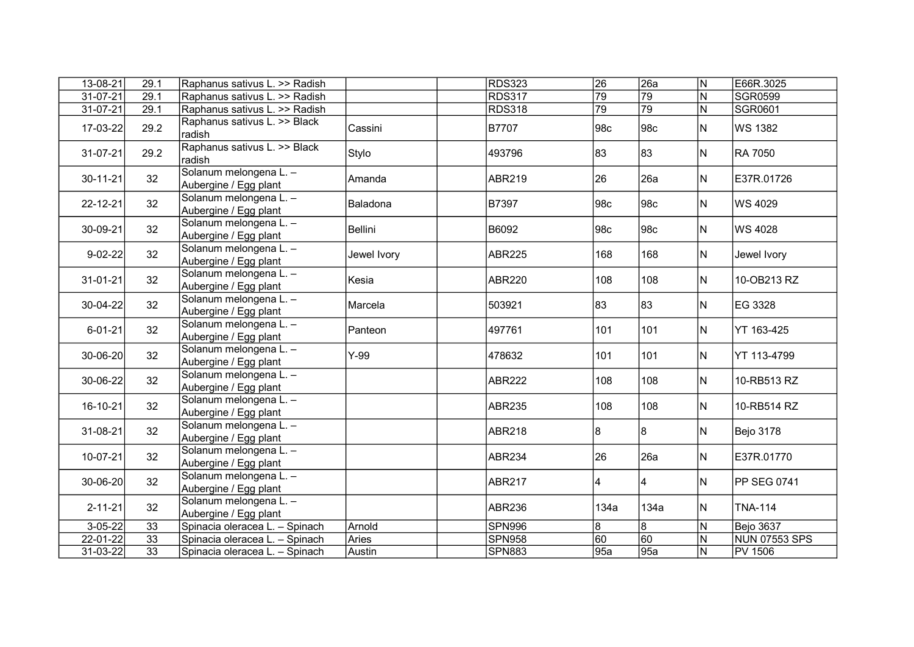| $13 - 08 - 21$ | 29.1            | Raphanus sativus L. >> Radish                   |             | <b>RDS323</b> | $\overline{26}$ | $\overline{26a}$ | $\overline{\mathsf{N}}$ | E66R.3025      |
|----------------|-----------------|-------------------------------------------------|-------------|---------------|-----------------|------------------|-------------------------|----------------|
| $31-07-21$     | 29.1            | Raphanus sativus L. >> Radish                   |             | <b>RDS317</b> | $\overline{79}$ | 79               | $\overline{N}$          | SGR0599        |
| 31-07-21       | 29.1            | Raphanus sativus L. >> Radish                   |             | <b>RDS318</b> | $\overline{79}$ | 79               | $\overline{N}$          | SGR0601        |
| 17-03-22       | 29.2            | Raphanus sativus L. >> Black<br>radish          | Cassini     | <b>B7707</b>  | 98c             | 98c              | N                       | WS 1382        |
| 31-07-21       | 29.2            | Raphanus sativus L. >> Black<br>radish          | Stylo       | 493796        | 83              | 83               | N                       | RA 7050        |
| 30-11-21       | 32              | Solanum melongena L. -<br>Aubergine / Egg plant | Amanda      | <b>ABR219</b> | 26              | 26a              | N                       | E37R.01726     |
| 22-12-21       | 32              | Solanum melongena L. -<br>Aubergine / Egg plant | Baladona    | <b>B7397</b>  | 98c             | 98c              | N                       | WS 4029        |
| 30-09-21       | 32              | Solanum melongena L. -<br>Aubergine / Egg plant | Bellini     | B6092         | 98c             | 98c              | N                       | WS 4028        |
| $9 - 02 - 22$  | 32              | Solanum melongena L. -<br>Aubergine / Egg plant | Jewel Ivory | <b>ABR225</b> | 168             | 168              | N                       | Jewel Ivory    |
| 31-01-21       | 32              | Solanum melongena L. -<br>Aubergine / Egg plant | Kesia       | <b>ABR220</b> | 108             | 108              | N                       | 10-OB213 RZ    |
| 30-04-22       | 32              | Solanum melongena L. -<br>Aubergine / Egg plant | Marcela     | 503921        | 83              | 83               | $\mathsf{N}$            | EG 3328        |
| $6 - 01 - 21$  | 32              | Solanum melongena L. -<br>Aubergine / Egg plant | Panteon     | 497761        | 101             | 101              | $\mathsf{N}$            | YT 163-425     |
| 30-06-20       | 32              | Solanum melongena L.-<br>Aubergine / Egg plant  | $Y-99$      | 478632        | 101             | 101              | N                       | YT 113-4799    |
| 30-06-22       | 32              | Solanum melongena L. -<br>Aubergine / Egg plant |             | <b>ABR222</b> | 108             | 108              | N                       | 10-RB513 RZ    |
| 16-10-21       | 32              | Solanum melongena L.-<br>Aubergine / Egg plant  |             | <b>ABR235</b> | 108             | 108              | N                       | 10-RB514 RZ    |
| 31-08-21       | 32              | Solanum melongena L. -<br>Aubergine / Egg plant |             | <b>ABR218</b> | 8               | 8                | $\mathsf{N}$            | Bejo 3178      |
| 10-07-21       | 32              | Solanum melongena L. -<br>Aubergine / Egg plant |             | <b>ABR234</b> | 26              | 26a              | $\mathsf{N}$            | E37R.01770     |
| 30-06-20       | 32              | Solanum melongena L. -<br>Aubergine / Egg plant |             | <b>ABR217</b> | 4               | l4               | N                       | PP SEG 0741    |
| $2 - 11 - 21$  | 32              | Solanum melongena L. -<br>Aubergine / Egg plant |             | <b>ABR236</b> | 134a            | 134a             | N                       | <b>TNA-114</b> |
| $3 - 05 - 22$  | 33              | Spinacia oleracea L. - Spinach                  | Arnold      | <b>SPN996</b> | 8               | 8                | $\mathsf{N}$            | Bejo 3637      |
| 22-01-22       | $\overline{33}$ | Spinacia oleracea L. - Spinach                  | Aries       | <b>SPN958</b> | 60              | 60               | N                       | NUN 07553 SPS  |
| 31-03-22       | $\overline{33}$ | Spinacia oleracea L. - Spinach                  | Austin      | <b>SPN883</b> | 95a             | 95a              | N                       | PV 1506        |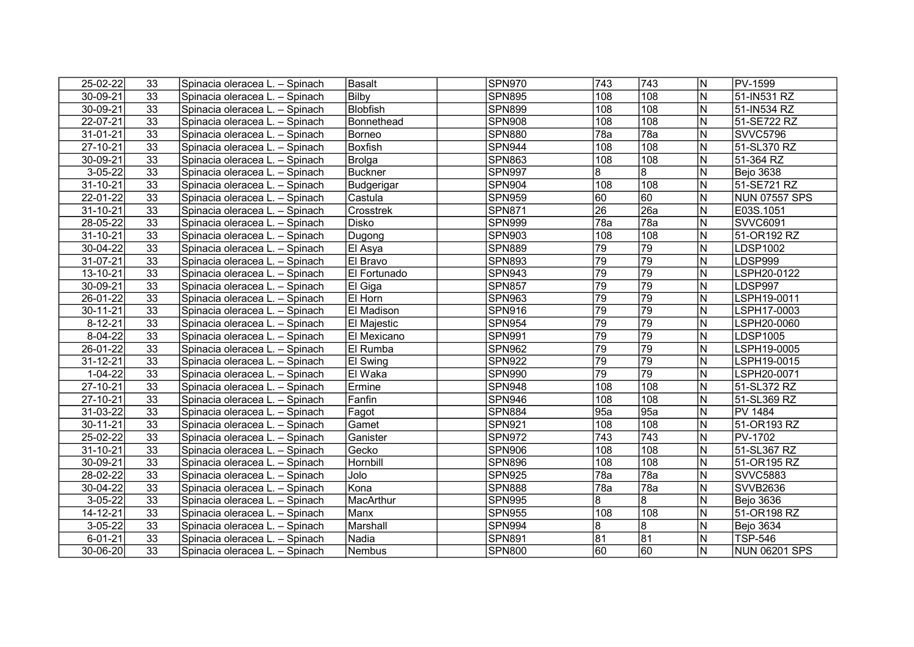| 25-02-22      | 33              | Spinacia oleracea L. - Spinach | Basalt         | <b>SPN970</b> | 743             | 743              | İΝ                      | PV-1599         |
|---------------|-----------------|--------------------------------|----------------|---------------|-----------------|------------------|-------------------------|-----------------|
| 30-09-21      | 33              | Spinacia oleracea L. - Spinach | Bilby          | <b>SPN895</b> | 108             | 108              | N                       | 51-IN531 RZ     |
| 30-09-21      | 33              | Spinacia oleracea L. - Spinach | Blobfish       | <b>SPN899</b> | 108             | $\overline{108}$ | $\overline{\mathsf{N}}$ | 51-IN534 RZ     |
| 22-07-21      | 33              | Spinacia oleracea L. - Spinach | Bonnethead     | <b>SPN908</b> | 108             | 108              | N                       | 51-SE722 RZ     |
| 31-01-21      | 33              | Spinacia oleracea L. - Spinach | Borneo         | <b>SPN880</b> | 78a             | $\overline{78a}$ | N                       | SVVC5796        |
| 27-10-21      | 33              | Spinacia oleracea L. - Spinach | Boxfish        | <b>SPN944</b> | 108             | 108              | N                       | 51-SL370 RZ     |
| 30-09-21      | 33              | Spinacia oleracea L. - Spinach | <b>Brolga</b>  | <b>SPN863</b> | 108             | 108              | N                       | 51-364 RZ       |
| $3 - 05 - 22$ | 33              | Spinacia oleracea L. - Spinach | <b>Buckner</b> | <b>SPN997</b> | 8               | 8                | N                       | Bejo 3638       |
| 31-10-21      | 33              | Spinacia oleracea L. - Spinach | Budgerigar     | <b>SPN904</b> | 108             | 108              | N                       | 51-SE721 RZ     |
| 22-01-22      | 33              | Spinacia oleracea L. - Spinach | Castula        | <b>SPN959</b> | 60              | 60               | N                       | NUN 07557 SPS   |
| 31-10-21      | 33              | Spinacia oleracea L. - Spinach | Crosstrek      | <b>SPN871</b> | 26              | 26a              | N                       | E03S.1051       |
| 28-05-22      | 33              | Spinacia oleracea L. - Spinach | Disko          | <b>SPN999</b> | 78a             | 78a              | N                       | SVVC6091        |
| 31-10-21      | 33              | Spinacia oleracea L. - Spinach | Dugong         | <b>SPN903</b> | 108             | 108              | N                       | 51-OR192 RZ     |
| 30-04-22      | 33              | Spinacia oleracea L. - Spinach | El Asya        | <b>SPN889</b> | 79              | 79               | N                       | LDSP1002        |
| 31-07-21      | 33              | Spinacia oleracea L. - Spinach | El Bravo       | <b>SPN893</b> | $\overline{79}$ | 79               | N                       | LDSP999         |
| 13-10-21      | 33              | Spinacia oleracea L. - Spinach | El Fortunado   | <b>SPN943</b> | $\overline{79}$ | 79               | N                       | LSPH20-0122     |
| 30-09-21      | 33              | Spinacia oleracea L. - Spinach | El Giga        | <b>SPN857</b> | 79              | 79               | N                       | LDSP997         |
| 26-01-22      | $\overline{33}$ | Spinacia oleracea L. - Spinach | El Horn        | <b>SPN963</b> | 79              | 79               | N                       | LSPH19-0011     |
| 30-11-21      | 33              | Spinacia oleracea L. - Spinach | El Madison     | <b>SPN916</b> | 79              | 79               | N                       | LSPH17-0003     |
| $8 - 12 - 21$ | 33              | Spinacia oleracea L. - Spinach | El Majestic    | <b>SPN954</b> | $\overline{79}$ | 79               | N                       | LSPH20-0060     |
| 8-04-22       | 33              | Spinacia oleracea L. - Spinach | El Mexicano    | <b>SPN991</b> | 79              | 79               | N                       | LDSP1005        |
| 26-01-22      | 33              | Spinacia oleracea L. - Spinach | El Rumba       | <b>SPN962</b> | $\overline{79}$ | 79               | $\mathsf{N}$            | LSPH19-0005     |
| 31-12-21      | 33              | Spinacia oleracea L. - Spinach | El Swing       | <b>SPN922</b> | 79              | 79               | N                       | LSPH19-0015     |
| $1 - 04 - 22$ | 33              | Spinacia oleracea L. - Spinach | El Waka        | <b>SPN990</b> | $\overline{79}$ | $\overline{79}$  | N                       | LSPH20-0071     |
| 27-10-21      | 33              | Spinacia oleracea L. - Spinach | Ermine         | <b>SPN948</b> | 108             | 108              | N                       | 51-SL372 RZ     |
| 27-10-21      | 33              | Spinacia oleracea L. - Spinach | Fanfin         | <b>SPN946</b> | 108             | 108              | N                       | 51-SL369 RZ     |
| 31-03-22      | 33              | Spinacia oleracea L. – Spinach | Fagot          | <b>SPN884</b> | 95a             | 95a              | N                       | PV 1484         |
| 30-11-21      | 33              | Spinacia oleracea L. - Spinach | Gamet          | <b>SPN921</b> | 108             | 108              | N                       | 51-OR193 RZ     |
| 25-02-22      | 33              | Spinacia oleracea L. – Spinach | Ganister       | <b>SPN972</b> | 743             | 743              | N                       | PV-1702         |
| 31-10-21      | 33              | Spinacia oleracea L. – Spinach | Gecko          | <b>SPN906</b> | 108             | 108              | N                       | 51-SL367 RZ     |
| 30-09-21      | 33              | Spinacia oleracea L. – Spinach | Hornbill       | <b>SPN896</b> | 108             | 108              | N                       | 51-OR195 RZ     |
| 28-02-22      | 33              | Spinacia oleracea L. - Spinach | Jolo           | <b>SPN925</b> | 78a             | $\overline{78a}$ | N                       | <b>SVVC5883</b> |
| 30-04-22      | 33              | Spinacia oleracea L. - Spinach | Kona           | <b>SPN888</b> | 78a             | 78a              | N                       | <b>SVVB2636</b> |
| $3 - 05 - 22$ | 33              | Spinacia oleracea L. - Spinach | MacArthur      | <b>SPN995</b> | 8               | 8                | N                       | Bejo 3636       |
| 14-12-21      | 33              | Spinacia oleracea L. - Spinach | Manx           | <b>SPN955</b> | 108             | 108              | N                       | 51-OR198 RZ     |
| $3 - 05 - 22$ | 33              | Spinacia oleracea L. - Spinach | Marshall       | <b>SPN994</b> | 8               | $\overline{8}$   | N                       | Bejo 3634       |
| $6 - 01 - 21$ | 33              | Spinacia oleracea L. - Spinach | Nadia          | <b>SPN891</b> | 81              | 81               | N                       | TSP-546         |
| 30-06-20      | 33              | Spinacia oleracea L. - Spinach | Nembus         | <b>SPN800</b> | 60              | 60               | N                       | NUN 06201 SPS   |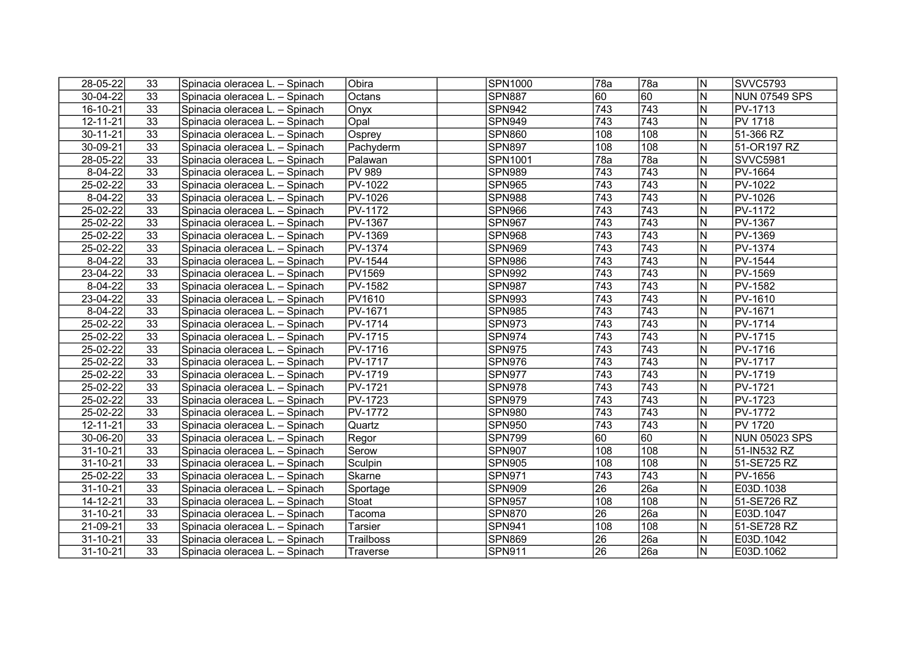| 28-05-22 | 33              | Spinacia oleracea L. - Spinach | Obira          | <b>SPN1000</b> | 78a              | l78a             | IN. | SVVC5793      |
|----------|-----------------|--------------------------------|----------------|----------------|------------------|------------------|-----|---------------|
| 30-04-22 | 33              | Spinacia oleracea L. - Spinach | Octans         | <b>SPN887</b>  | 60               | 60               | N   | NUN 07549 SPS |
| 16-10-21 | 33              | Spinacia oleracea L. - Spinach | Onyx           | <b>SPN942</b>  | $\overline{743}$ | $\overline{743}$ | N   | PV-1713       |
| 12-11-21 | 33              | Spinacia oleracea L. - Spinach | Opal           | <b>SPN949</b>  | 743              | 743              | N   | PV 1718       |
| 30-11-21 | 33              | Spinacia oleracea L. - Spinach | Osprey         | <b>SPN860</b>  | 108              | 108              | N   | 51-366 RZ     |
| 30-09-21 | 33              | Spinacia oleracea L. - Spinach | Pachyderm      | <b>SPN897</b>  | 108              | 108              | N   | 51-OR197 RZ   |
| 28-05-22 | 33              | Spinacia oleracea L. – Spinach | Palawan        | SPN1001        | 78a              | 78a              | N   | SVVC5981      |
| 8-04-22  | $\overline{33}$ | Spinacia oleracea L. - Spinach | <b>PV 989</b>  | <b>SPN989</b>  | $\overline{743}$ | 743              | N   | PV-1664       |
| 25-02-22 | 33              | Spinacia oleracea L. - Spinach | PV-1022        | <b>SPN965</b>  | 743              | 743              | N   | PV-1022       |
| 8-04-22  | 33              | Spinacia oleracea L. - Spinach | PV-1026        | <b>SPN988</b>  | 743              | 743              | N   | PV-1026       |
| 25-02-22 | 33              | Spinacia oleracea L. – Spinach | PV-1172        | <b>SPN966</b>  | 743              | 743              | N   | PV-1172       |
| 25-02-22 | 33              | Spinacia oleracea L. - Spinach | PV-1367        | <b>SPN967</b>  | 743              | 743              | N   | PV-1367       |
| 25-02-22 | 33              | Spinacia oleracea L. – Spinach | PV-1369        | <b>SPN968</b>  | 743              | 743              | ΙN  | PV-1369       |
| 25-02-22 | 33              | Spinacia oleracea L. - Spinach | PV-1374        | <b>SPN969</b>  | $\overline{743}$ | 743              | N   | PV-1374       |
| 8-04-22  | 33              | Spinacia oleracea L. - Spinach | PV-1544        | <b>SPN986</b>  | 743              | 743              | N   | PV-1544       |
| 23-04-22 | 33              | Spinacia oleracea L. - Spinach | PV1569         | <b>SPN992</b>  | 743              | 743              | N   | PV-1569       |
| 8-04-22  | 33              | Spinacia oleracea L. - Spinach | PV-1582        | <b>SPN987</b>  | 743              | 743              | N   | PV-1582       |
| 23-04-22 | 33              | Spinacia oleracea L. - Spinach | PV1610         | <b>SPN993</b>  | 743              | 743              | N   | PV-1610       |
| 8-04-22  | 33              | Spinacia oleracea L. - Spinach | PV-1671        | <b>SPN985</b>  | 743              | 743              | N   | PV-1671       |
| 25-02-22 | 33              | Spinacia oleracea L. - Spinach | PV-1714        | <b>SPN973</b>  | 743              | 743              | N   | PV-1714       |
| 25-02-22 | 33              | Spinacia oleracea L. - Spinach | PV-1715        | <b>SPN974</b>  | 743              | 743              | N   | PV-1715       |
| 25-02-22 | 33              | Spinacia oleracea L. - Spinach | PV-1716        | <b>SPN975</b>  | 743              | 743              | N   | PV-1716       |
| 25-02-22 | 33              | Spinacia oleracea L. - Spinach | PV-1717        | <b>SPN976</b>  | 743              | 743              | N   | PV-1717       |
| 25-02-22 | 33              | Spinacia oleracea L. - Spinach | PV-1719        | <b>SPN977</b>  | 743              | 743              | N   | PV-1719       |
| 25-02-22 | 33              | Spinacia oleracea L. - Spinach | PV-1721        | <b>SPN978</b>  | 743              | 743              | N   | PV-1721       |
| 25-02-22 | 33              | Spinacia oleracea L. – Spinach | PV-1723        | <b>SPN979</b>  | 743              | 743              | N   | PV-1723       |
| 25-02-22 | 33              | Spinacia oleracea L. – Spinach | <b>PV-1772</b> | <b>SPN980</b>  | 743              | $\sqrt{743}$     | N   | PV-1772       |
| 12-11-21 | 33              | Spinacia oleracea L. – Spinach | Quartz         | <b>SPN950</b>  | 743              | $\overline{743}$ | N   | PV 1720       |
| 30-06-20 | 33              | Spinacia oleracea L. – Spinach | Regor          | <b>SPN799</b>  | 60               | 60               | N   | NUN 05023 SPS |
| 31-10-21 | 33              | Spinacia oleracea L. – Spinach | Serow          | <b>SPN907</b>  | 108              | 108              | N   | 51-IN532 RZ   |
| 31-10-21 | 33              | Spinacia oleracea L. – Spinach | Sculpin        | <b>SPN905</b>  | 108              | 108              | N   | 51-SE725 RZ   |
| 25-02-22 | 33              | Spinacia oleracea L. – Spinach | Skarne         | <b>SPN971</b>  | 743              | 743              | N   | PV-1656       |
| 31-10-21 | 33              | Spinacia oleracea L. - Spinach | Sportage       | <b>SPN909</b>  | 26               | 26a              | N   | E03D.1038     |
| 14-12-21 | 33              | Spinacia oleracea L. – Spinach | Stoat          | <b>SPN957</b>  | 108              | 108              | N   | 51-SE726 RZ   |
| 31-10-21 | 33              | Spinacia oleracea L. - Spinach | Tacoma         | <b>SPN870</b>  | 26               | 26a              | N   | E03D.1047     |
| 21-09-21 | 33              | Spinacia oleracea L. - Spinach | Tarsier        | <b>SPN941</b>  | 108              | 108              | N   | 51-SE728 RZ   |
| 31-10-21 | 33              | Spinacia oleracea L. - Spinach | Trailboss      | <b>SPN869</b>  | 26               | $\overline{26a}$ | N   | E03D.1042     |
| 31-10-21 | 33              | Spinacia oleracea L. - Spinach | Traverse       | <b>SPN911</b>  | 26               | 26a              | ΙN  | E03D.1062     |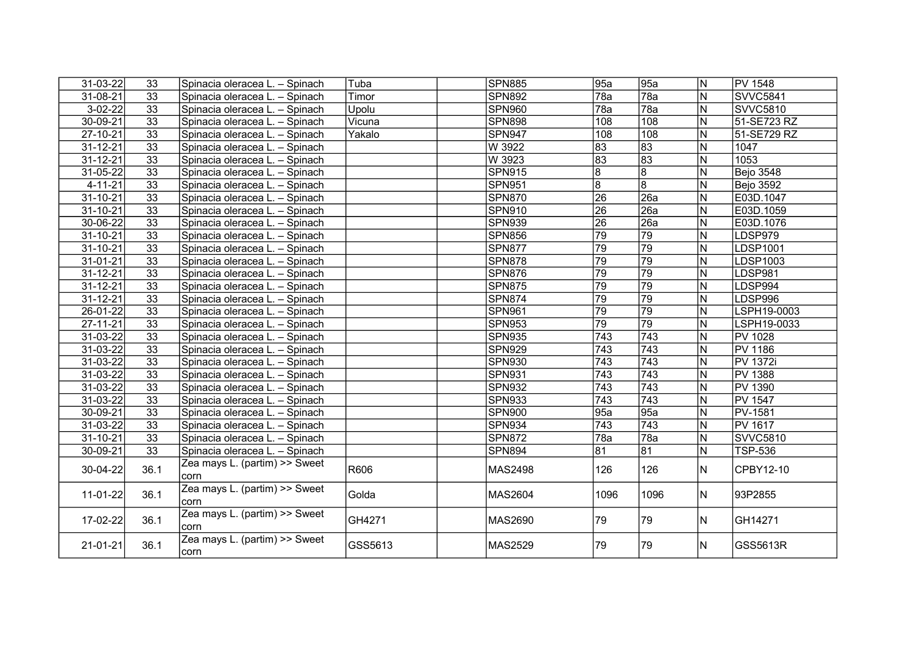| 31-03-22       | 33              | Spinacia oleracea L. - Spinach | Tuba    | <b>SPN885</b>  | 95a                     | 95a              | N                       | PV 1548          |
|----------------|-----------------|--------------------------------|---------|----------------|-------------------------|------------------|-------------------------|------------------|
| 31-08-21       | 33              | Spinacia oleracea L. - Spinach | Timor   | <b>SPN892</b>  | 78a                     | 78a              | $\overline{\mathsf{N}}$ | <b>SVVC5841</b>  |
| 3-02-22        | 33              | Spinacia oleracea L. - Spinach | Upolu   | <b>SPN960</b>  | 78a                     | 78a              | N                       | <b>SVVC5810</b>  |
| 30-09-21       | 33              | Spinacia oleracea L. - Spinach | Vicuna  | <b>SPN898</b>  | 108                     | 108              | N                       | 51-SE723 RZ      |
| 27-10-21       | 33              | Spinacia oleracea L. - Spinach | Yakalo  | <b>SPN947</b>  | 108                     | 108              | N                       | 51-SE729 RZ      |
| $31 - 12 - 21$ | 33              | Spinacia oleracea L. - Spinach |         | W 3922         | 83                      | 83               | $\overline{\mathsf{N}}$ | 1047             |
| $31 - 12 - 21$ | $\overline{33}$ | Spinacia oleracea L. - Spinach |         | W 3923         | 83                      | 83               | N                       | 1053             |
| 31-05-22       | $\overline{33}$ | Spinacia oleracea L. - Spinach |         | <b>SPN915</b>  | $\overline{8}$          | 8                | $\overline{\mathsf{N}}$ | <b>Bejo 3548</b> |
| $4 - 11 - 21$  | 33              | Spinacia oleracea L. - Spinach |         | <b>SPN951</b>  | $\overline{\mathbf{8}}$ | $\overline{8}$   | N                       | <b>Bejo 3592</b> |
| 31-10-21       | 33              | Spinacia oleracea L. - Spinach |         | <b>SPN870</b>  | $\overline{26}$         | 26a              | $\overline{\mathsf{N}}$ | E03D.1047        |
| 31-10-21       | 33              | Spinacia oleracea L. - Spinach |         | <b>SPN910</b>  | $\overline{26}$         | 26a              | N                       | E03D.1059        |
| 30-06-22       | 33              | Spinacia oleracea L. - Spinach |         | <b>SPN939</b>  | 26                      | 26a              | N                       | E03D.1076        |
| 31-10-21       | 33              | Spinacia oleracea L. - Spinach |         | <b>SPN856</b>  | $\overline{79}$         | 79               | ${\sf N}$               | LDSP979          |
| 31-10-21       | 33              | Spinacia oleracea L. - Spinach |         | <b>SPN877</b>  | $\overline{79}$         | 79               | N                       | LDSP1001         |
| 31-01-21       | 33              | Spinacia oleracea L. - Spinach |         | SPN878         | $\overline{79}$         | 79               | N                       | LDSP1003         |
| 31-12-21       | 33              | Spinacia oleracea L. - Spinach |         | <b>SPN876</b>  | 79                      | 79               | N                       | LDSP981          |
| 31-12-21       | 33              | Spinacia oleracea L. - Spinach |         | <b>SPN875</b>  | 79                      | 79               | N                       | LDSP994          |
| 31-12-21       | 33              | Spinacia oleracea L. - Spinach |         | <b>SPN874</b>  | $\overline{79}$         | 79               | ${\sf N}$               | LDSP996          |
| 26-01-22       | 33              | Spinacia oleracea L. - Spinach |         | <b>SPN961</b>  | $\overline{79}$         | 79               | N                       | LSPH19-0003      |
| 27-11-21       | 33              | Spinacia oleracea L. - Spinach |         | <b>SPN953</b>  | 79                      | 79               | ${\sf N}$               | LSPH19-0033      |
| 31-03-22       | 33              | Spinacia oleracea L. - Spinach |         | <b>SPN935</b>  | 743                     | 743              | ${\sf N}$               | <b>PV 1028</b>   |
| 31-03-22       | 33              | Spinacia oleracea L. - Spinach |         | <b>SPN929</b>  | 743                     | 743              | ${\sf N}$               | <b>PV 1186</b>   |
| 31-03-22       | 33              | Spinacia oleracea L. - Spinach |         | <b>SPN930</b>  | 743                     | 743              | ${\sf N}$               | PV 1372i         |
| 31-03-22       | 33              | Spinacia oleracea L. - Spinach |         | <b>SPN931</b>  | 743                     | 743              | ${\sf N}$               | <b>PV 1388</b>   |
| 31-03-22       | 33              | Spinacia oleracea L. - Spinach |         | <b>SPN932</b>  | 743                     | 743              | N                       | <b>PV 1390</b>   |
| 31-03-22       | 33              | Spinacia oleracea L. - Spinach |         | <b>SPN933</b>  | $\overline{743}$        | $\overline{743}$ | $\overline{N}$          | <b>PV 1547</b>   |
| 30-09-21       | 33              | Spinacia oleracea L. - Spinach |         | <b>SPN900</b>  | 95a                     | 95a              | ${\sf N}$               | <b>PV-1581</b>   |
| 31-03-22       | $\overline{33}$ | Spinacia oleracea L. - Spinach |         | <b>SPN934</b>  | $\overline{743}$        | $\overline{743}$ | $\overline{N}$          | <b>PV 1617</b>   |
| 31-10-21       | $\overline{33}$ | Spinacia oleracea L. - Spinach |         | <b>SPN872</b>  | 78a                     | 78a              | ${\sf N}$               | <b>SVVC5810</b>  |
| 30-09-21       | $\overline{33}$ | Spinacia oleracea L. - Spinach |         | <b>SPN894</b>  | 81                      | 81               | $\overline{N}$          | <b>TSP-536</b>   |
| 30-04-22       | 36.1            | Zea mays L. (partim) >> Sweet  | R606    | <b>MAS2498</b> | 126                     | 126              | N                       | CPBY12-10        |
|                |                 | corn                           |         |                |                         |                  |                         |                  |
| 11-01-22       | 36.1            | Zea mays L. (partim) >> Sweet  | Golda   | <b>MAS2604</b> | 1096                    | 1096             | N                       | 93P2855          |
|                |                 | corn                           |         |                |                         |                  |                         |                  |
| 17-02-22       | 36.1            | Zea mays L. (partim) >> Sweet  | GH4271  | MAS2690        | 79                      | 79               | N                       | GH14271          |
|                |                 | corn                           |         |                |                         |                  |                         |                  |
| 21-01-21       | 36.1            | Zea mays L. (partim) >> Sweet  | GSS5613 | MAS2529        | 79                      | 79               | N                       | GSS5613R         |
|                |                 | corn                           |         |                |                         |                  |                         |                  |